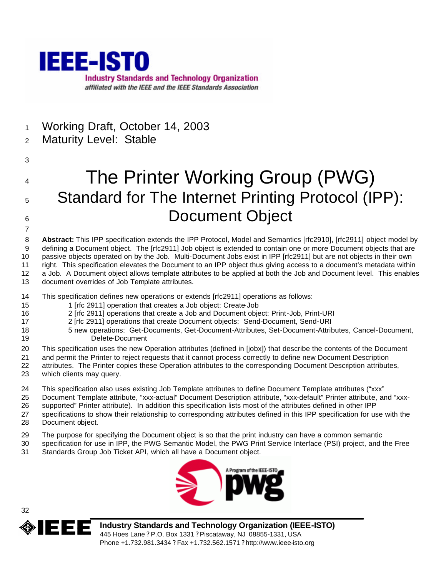

- Working Draft, October 14, 2003
- Maturity Level: Stable
- 

# The Printer Working Group (PWG) 5 Standard for The Internet Printing Protocol (IPP): 6 Document Object

 **Abstract:** This IPP specification extends the IPP Protocol, Model and Semantics [rfc2910], [rfc2911] object model by defining a Document object. The [rfc2911] Job object is extended to contain one or more Document objects that are passive objects operated on by the Job. Multi-Document Jobs exist in IPP [rfc2911] but are not objects in their own right. This specification elevates the Document to an IPP object thus giving access to a document's metadata within a Job. A Document object allows template attributes to be applied at both the Job and Document level. This enables document overrides of Job Template attributes.

- This specification defines new operations or extends [rfc2911] operations as follows:
- 1 [rfc 2911] operation that creates a Job object: Create-Job
- 2 [rfc 2911] operations that create a Job and Document object: Print-Job, Print-URI
- 2 [rfc 2911] operations that create Document objects: Send-Document, Send-URI
- 5 new operations: Get-Documents, Get-Document-Attributes, Set-Document-Attributes, Cancel-Document, Delete-Document
- This specification uses the new Operation attributes (defined in [jobx]) that describe the contents of the Document
- and permit the Printer to reject requests that it cannot process correctly to define new Document Description
- attributes. The Printer copies these Operation attributes to the corresponding Document Description attributes, which clients may query.
- This specification also uses existing Job Template attributes to define Document Template attributes ("xxx"
- Document Template attribute, "xxx-actual" Document Description attribute, "xxx-default" Printer attribute, and "xxx-supported" Printer attribute). In addition this specification lists most of the attributes defined in other IPP
- specifications to show their relationship to corresponding attributes defined in this IPP specification for use with the
- Document object.
- The purpose for specifying the Document object is so that the print industry can have a common semantic
- specification for use in IPP, the PWG Semantic Model, the PWG Print Service Interface (PSI) project, and the Free Standards Group Job Ticket API, which all have a Document object.





**Industry Standards and Technology Organization (IEEE-ISTO)** 445 Hoes Lane ? P.O. Box 1331 ? Piscataway, NJ 08855-1331, USA Phone +1.732.981.3434 ? Fax +1.732.562.1571 ? http://www.ieee-isto.org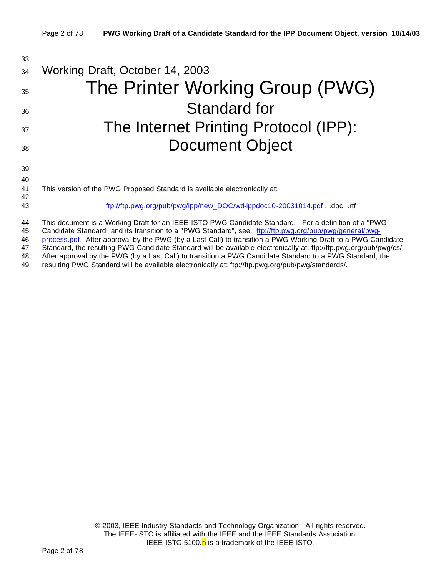| 33       |                                                                                                                                                                                                                 |
|----------|-----------------------------------------------------------------------------------------------------------------------------------------------------------------------------------------------------------------|
| 34       | Working Draft, October 14, 2003                                                                                                                                                                                 |
| 35       | The Printer Working Group (PWG)                                                                                                                                                                                 |
| 36       | <b>Standard for</b>                                                                                                                                                                                             |
| 37       | The Internet Printing Protocol (IPP):                                                                                                                                                                           |
| 38       | <b>Document Object</b>                                                                                                                                                                                          |
| 39       |                                                                                                                                                                                                                 |
| 40       |                                                                                                                                                                                                                 |
| 41<br>42 | This version of the PWG Proposed Standard is available electronically at:                                                                                                                                       |
| 43       | ftp://ftp.pwg.org/pub/pwg/ipp/new_DOC/wd-ippdoc10-20031014.pdf, .doc, .rtf                                                                                                                                      |
| 44<br>45 | This document is a Working Draft for an IEEE-ISTO PWG Candidate Standard. For a definition of a "PWG<br>Candidate Standard" and its transition to a "PWG Standard", see: ftp://ftp.pwg.org/pub/pwg/general/pwg- |

46 process.pdf. After approval by the PWG (by a Last Call) to transition a PWG Working Draft to a PWG Candidate

47 Standard, the resulting PWG Candidate Standard will be available electronically at: ftp://ftp.pwg.org/pub/pwg/cs/.<br>48 After approval by the PWG (by a Last Call) to transition a PWG Candidate Standard to a PWG Standard, After approval by the PWG (by a Last Call) to transition a PWG Candidate Standard to a PWG Standard, the

49 resulting PWG Standard will be available electronically at: ftp://ftp.pwg.org/pub/pwg/standards/.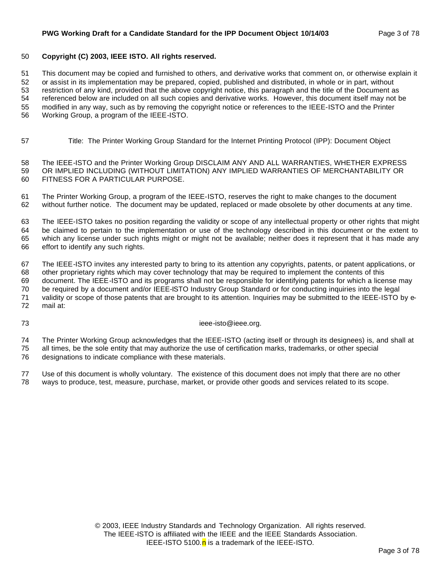#### **PWG Working Draft for a Candidate Standard for the IPP Document Object 10/14/03** Page 3 of 78

#### **Copyright (C) 2003, IEEE ISTO. All rights reserved.**

This document may be copied and furnished to others, and derivative works that comment on, or otherwise explain it

or assist in its implementation may be prepared, copied, published and distributed, in whole or in part, without

 restriction of any kind, provided that the above copyright notice, this paragraph and the title of the Document as referenced below are included on all such copies and derivative works. However, this document itself may not be

modified in any way, such as by removing the copyright notice or references to the IEEE-ISTO and the Printer

Working Group, a program of the IEEE-ISTO.

Title: The Printer Working Group Standard for the Internet Printing Protocol (IPP): Document Object

 The IEEE-ISTO and the Printer Working Group DISCLAIM ANY AND ALL WARRANTIES, WHETHER EXPRESS OR IMPLIED INCLUDING (WITHOUT LIMITATION) ANY IMPLIED WARRANTIES OF MERCHANTABILITY OR FITNESS FOR A PARTICULAR PURPOSE.

 The Printer Working Group, a program of the IEEE-ISTO, reserves the right to make changes to the document without further notice. The document may be updated, replaced or made obsolete by other documents at any time.

 The IEEE-ISTO takes no position regarding the validity or scope of any intellectual property or other rights that might be claimed to pertain to the implementation or use of the technology described in this document or the extent to which any license under such rights might or might not be available; neither does it represent that it has made any effort to identify any such rights.

The IEEE-ISTO invites any interested party to bring to its attention any copyrights, patents, or patent applications, or

 other proprietary rights which may cover technology that may be required to implement the contents of this document. The IEEE-ISTO and its programs shall not be responsible for identifying patents for which a license may be required by a document and/or IEEE-ISTO Industry Group Standard or for conducting inquiries into the legal validity or scope of those patents that are brought to its attention. Inquiries may be submitted to the IEEE-ISTO by e-

mail at:

ieee-isto@ieee.org.

 The Printer Working Group acknowledges that the IEEE-ISTO (acting itself or through its designees) is, and shall at all times, be the sole entity that may authorize the use of certification marks, trademarks, or other special

designations to indicate compliance with these materials.

 Use of this document is wholly voluntary. The existence of this document does not imply that there are no other ways to produce, test, measure, purchase, market, or provide other goods and services related to its scope.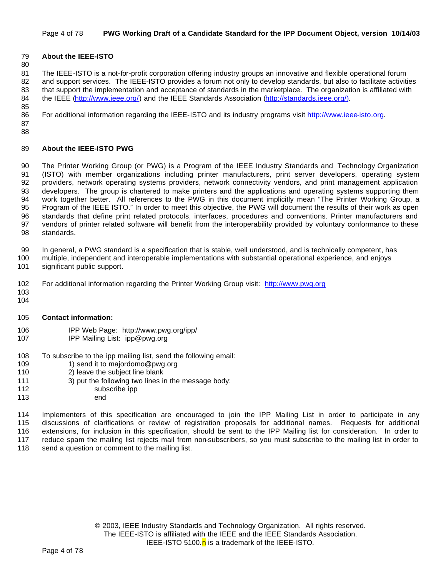#### Page 4 of 78 **PWG Working Draft of a Candidate Standard for the IPP Document Object, version 10/14/03**

#### **About the IEEE-ISTO**

 The IEEE-ISTO is a not-for-profit corporation offering industry groups an innovative and flexible operational forum 82 and support services. The IEEE-ISTO provides a forum not only to develop standards, but also to facilitate activities that support the implementation and acceptance of standards in the marketplace. The organization is affiliated with 84 the IEEE (http://www.ieee.org/) and the IEEE Standards Association (http://standards.ieee.org/).

For additional information regarding the IEEE-ISTO and its industry programs visit http://www.ieee-isto.org.

 

#### **About the IEEE-ISTO PWG**

 The Printer Working Group (or PWG) is a Program of the IEEE Industry Standards and Technology Organization (ISTO) with member organizations including printer manufacturers, print server developers, operating system providers, network operating systems providers, network connectivity vendors, and print management application developers. The group is chartered to make printers and the applications and operating systems supporting them work together better. All references to the PWG in this document implicitly mean "The Printer Working Group, a Program of the IEEE ISTO." In order to meet this objective, the PWG will document the results of their work as open standards that define print related protocols, interfaces, procedures and conventions. Printer manufacturers and vendors of printer related software will benefit from the interoperability provided by voluntary conformance to these standards.

In general, a PWG standard is a specification that is stable, well understood, and is technically competent, has

- multiple, independent and interoperable implementations with substantial operational experience, and enjoys significant public support.
- For additional information regarding the Printer Working Group visit: http://www.pwg.org
- 
- **Contact information:**
- IPP Web Page: http://www.pwg.org/ipp/
- IPP Mailing List: ipp@pwg.org
- 108 To subscribe to the ipp mailing list, send the following email:<br>109 1) send it to maiordomo@pwg.org
- 1) send it to majordomo@pwg.org
- 2) leave the subject line blank
- 3) put the following two lines in the message body:
- 112 subscribe ipp
- end

 Implementers of this specification are encouraged to join the IPP Mailing List in order to participate in any discussions of clarifications or review of registration proposals for additional names. Requests for additional extensions, for inclusion in this specification, should be sent to the IPP Mailing list for consideration. In order to reduce spam the mailing list rejects mail from non-subscribers, so you must subscribe to the mailing list in order to 118 send a question or comment to the mailing list.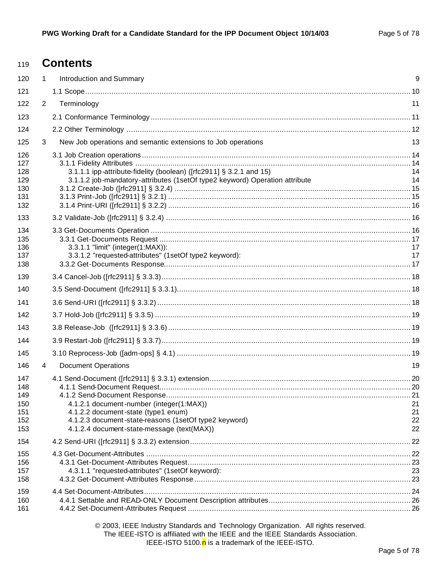# **Contents**

| 120                                           | $\mathbf 1$    | Introduction and Summary                                                                                                                                                               | 9                    |
|-----------------------------------------------|----------------|----------------------------------------------------------------------------------------------------------------------------------------------------------------------------------------|----------------------|
| 121                                           |                |                                                                                                                                                                                        |                      |
| 122                                           | $\overline{2}$ | Terminology                                                                                                                                                                            | 11                   |
| 123                                           |                |                                                                                                                                                                                        |                      |
| 124                                           |                |                                                                                                                                                                                        |                      |
| 125                                           | 3              | New Job operations and semantic extensions to Job operations                                                                                                                           | 13                   |
| 126<br>127<br>128<br>129<br>130<br>131<br>132 |                | 3.1.1.1 ipp-attribute-fidelity (boolean) ([rfc2911] § 3.2.1 and 15)<br>3.1.1.2 job-mandatory-attributes (1setOf type2 keyword) Operation attribute                                     | 14<br>14             |
| 133                                           |                |                                                                                                                                                                                        |                      |
| 134<br>135<br>136<br>137<br>138               |                | 3.3.1.1 "limit" (integer(1:MAX)):<br>3.3.1.2 "requested-attributes" (1setOf type2 keyword):                                                                                            | 17<br>17             |
| 139                                           |                |                                                                                                                                                                                        |                      |
| 140                                           |                |                                                                                                                                                                                        |                      |
| 141                                           |                |                                                                                                                                                                                        |                      |
| 142                                           |                |                                                                                                                                                                                        |                      |
| 143                                           |                |                                                                                                                                                                                        |                      |
| 144                                           |                |                                                                                                                                                                                        |                      |
| 145                                           |                |                                                                                                                                                                                        |                      |
| 146                                           | 4              | <b>Document Operations</b>                                                                                                                                                             | 19                   |
| 147<br>148<br>149<br>150<br>151<br>152<br>153 |                | 4.1.2.1 document-number (integer(1:MAX))<br>4.1.2.2 document-state (type1 enum)<br>4.1.2.3 document-state-reasons (1setOf type2 keyword)<br>4.1.2.4 document-state-message (text(MAX)) | 21<br>21<br>22<br>22 |
| 154                                           |                |                                                                                                                                                                                        |                      |
| 155<br>156<br>157<br>158                      |                | 4.3.1.1 "requested-attributes" (1setOf keyword):                                                                                                                                       | 23                   |
| 159<br>160<br>161                             |                |                                                                                                                                                                                        |                      |

© 2003, IEEE Industry Standards and Technology Organization. All rights reserved. The IEEE-ISTO is affiliated with the IEEE and the IEEE Standards Association. IEEE-ISTO 5100. $n$  is a trademark of the IEEE-ISTO.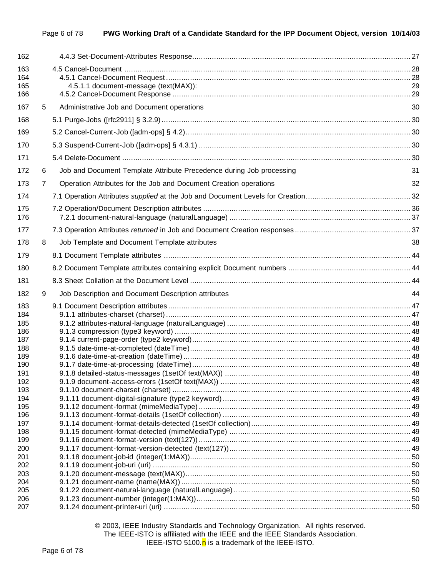| 163<br>164<br>165<br>166<br>167<br>5<br>168<br>169<br>170<br>171<br>172<br>6<br>173<br>7<br>174<br>175<br>176<br>177<br>178<br>8<br>179<br>180<br>181<br>182<br>9<br>183<br>184<br>185<br>186<br>187<br>188<br>189 | 4.5.1.1 document-message (text(MAX)):<br>29<br>Administrative Job and Document operations<br>30<br>Job and Document Template Attribute Precedence during Job processing<br>31<br>Operation Attributes for the Job and Document Creation operations<br>32<br>Job Template and Document Template attributes<br>38 |  |
|--------------------------------------------------------------------------------------------------------------------------------------------------------------------------------------------------------------------|-----------------------------------------------------------------------------------------------------------------------------------------------------------------------------------------------------------------------------------------------------------------------------------------------------------------|--|
|                                                                                                                                                                                                                    |                                                                                                                                                                                                                                                                                                                 |  |
|                                                                                                                                                                                                                    |                                                                                                                                                                                                                                                                                                                 |  |
|                                                                                                                                                                                                                    |                                                                                                                                                                                                                                                                                                                 |  |
|                                                                                                                                                                                                                    |                                                                                                                                                                                                                                                                                                                 |  |
|                                                                                                                                                                                                                    |                                                                                                                                                                                                                                                                                                                 |  |
|                                                                                                                                                                                                                    |                                                                                                                                                                                                                                                                                                                 |  |
|                                                                                                                                                                                                                    |                                                                                                                                                                                                                                                                                                                 |  |
|                                                                                                                                                                                                                    |                                                                                                                                                                                                                                                                                                                 |  |
|                                                                                                                                                                                                                    |                                                                                                                                                                                                                                                                                                                 |  |
|                                                                                                                                                                                                                    |                                                                                                                                                                                                                                                                                                                 |  |
|                                                                                                                                                                                                                    |                                                                                                                                                                                                                                                                                                                 |  |
|                                                                                                                                                                                                                    |                                                                                                                                                                                                                                                                                                                 |  |
|                                                                                                                                                                                                                    |                                                                                                                                                                                                                                                                                                                 |  |
|                                                                                                                                                                                                                    |                                                                                                                                                                                                                                                                                                                 |  |
|                                                                                                                                                                                                                    |                                                                                                                                                                                                                                                                                                                 |  |
|                                                                                                                                                                                                                    |                                                                                                                                                                                                                                                                                                                 |  |
|                                                                                                                                                                                                                    | 44<br>Job Description and Document Description attributes                                                                                                                                                                                                                                                       |  |
| 190<br>191<br>192<br>193<br>194<br>195<br>196<br>197<br>198<br>199<br>200<br>201                                                                                                                                   |                                                                                                                                                                                                                                                                                                                 |  |
| 202<br>203<br>204<br>205<br>206<br>207                                                                                                                                                                             |                                                                                                                                                                                                                                                                                                                 |  |

© 2003, IEEE Industry Standards and Technology Organization. All rights reserved. The IEEE-ISTO is affiliated with the IEEE and the IEEE Standards Association. IEEE-ISTO 5100. $n$  is a trademark of the IEEE-ISTO.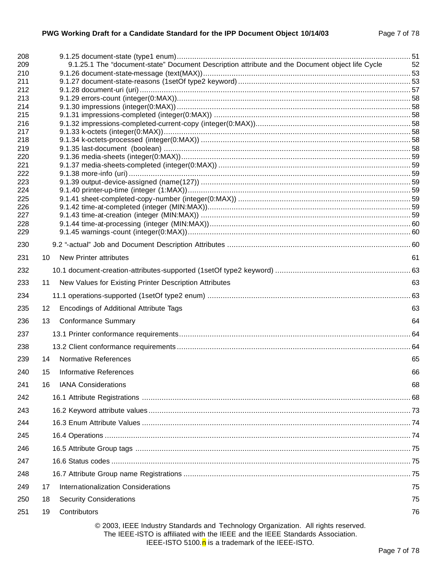| 208        |    |                                                                                                                                                                    |     |
|------------|----|--------------------------------------------------------------------------------------------------------------------------------------------------------------------|-----|
| 209        |    | 9.1.25.1 The "document-state" Document Description attribute and the Document object life Cycle                                                                    | -52 |
| 210<br>211 |    |                                                                                                                                                                    |     |
| 212        |    |                                                                                                                                                                    |     |
| 213        |    |                                                                                                                                                                    |     |
| 214        |    |                                                                                                                                                                    |     |
| 215        |    |                                                                                                                                                                    |     |
| 216<br>217 |    |                                                                                                                                                                    |     |
| 218        |    |                                                                                                                                                                    |     |
| 219        |    |                                                                                                                                                                    |     |
| 220        |    |                                                                                                                                                                    |     |
| 221<br>222 |    |                                                                                                                                                                    |     |
| 223        |    |                                                                                                                                                                    |     |
| 224        |    |                                                                                                                                                                    |     |
| 225        |    |                                                                                                                                                                    |     |
| 226<br>227 |    |                                                                                                                                                                    |     |
| 228        |    |                                                                                                                                                                    |     |
| 229        |    |                                                                                                                                                                    |     |
| 230        |    |                                                                                                                                                                    |     |
| 231        | 10 | <b>New Printer attributes</b>                                                                                                                                      | 61  |
| 232        |    |                                                                                                                                                                    |     |
| 233        | 11 | New Values for Existing Printer Description Attributes                                                                                                             | 63  |
| 234        |    |                                                                                                                                                                    |     |
| 235        | 12 | Encodings of Additional Attribute Tags                                                                                                                             | 63  |
| 236        | 13 | <b>Conformance Summary</b>                                                                                                                                         | 64  |
| 237        |    |                                                                                                                                                                    |     |
| 238        |    |                                                                                                                                                                    |     |
| 239        | 14 | <b>Normative References</b>                                                                                                                                        | 65  |
| 240        | 15 | Informative References                                                                                                                                             | 66  |
| 241        | 16 | <b>IANA Considerations</b>                                                                                                                                         | 68  |
| 242        |    |                                                                                                                                                                    |     |
| 243        |    |                                                                                                                                                                    |     |
| 244        |    |                                                                                                                                                                    |     |
| 245        |    |                                                                                                                                                                    |     |
| 246        |    |                                                                                                                                                                    |     |
| 247        |    |                                                                                                                                                                    |     |
| 248        |    |                                                                                                                                                                    |     |
| 249        | 17 | Internationalization Considerations                                                                                                                                | 75  |
| 250        | 18 | <b>Security Considerations</b>                                                                                                                                     | 75  |
| 251        | 19 | Contributors                                                                                                                                                       | 76  |
|            |    | © 2003, IEEE Industry Standards and Technology Organization. All rights reserved.<br>The IEEE-ISTO is affiliated with the IEEE and the IEEE Standards Association. |     |

IEEE-ISTO 5100. $n$  is a trademark of the IEEE-ISTO.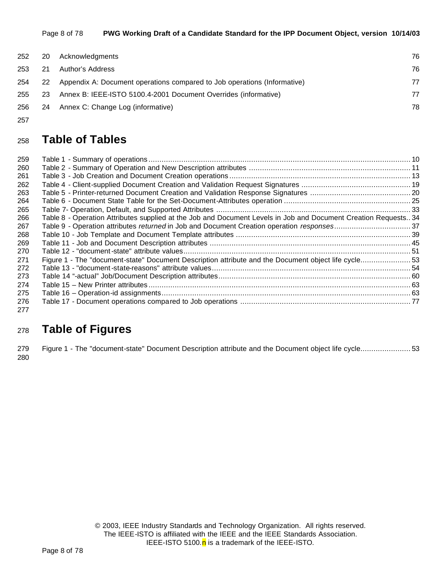| 252 | 20        | Acknowledgments                                                          | 76 |
|-----|-----------|--------------------------------------------------------------------------|----|
| 253 | -21       | Author's Address                                                         | 76 |
| 254 | <b>22</b> | Appendix A: Document operations compared to Job operations (Informative) | 77 |
| 255 | 23        | Annex B: IEEE-ISTO 5100.4-2001 Document Overrides (informative)          | 77 |
| 256 | - 24      | Annex C: Change Log (informative)                                        | 78 |

# **Table of Tables**

| 259 |                                                                                                                 |  |
|-----|-----------------------------------------------------------------------------------------------------------------|--|
| 260 |                                                                                                                 |  |
| 261 |                                                                                                                 |  |
| 262 |                                                                                                                 |  |
| 263 |                                                                                                                 |  |
| 264 |                                                                                                                 |  |
| 265 |                                                                                                                 |  |
| 266 | Table 8 - Operation Attributes supplied at the Job and Document Levels in Job and Document Creation Requests 34 |  |
| 267 |                                                                                                                 |  |
| 268 |                                                                                                                 |  |
| 269 |                                                                                                                 |  |
| 270 |                                                                                                                 |  |
| 271 | Figure 1 - The "document-state" Document Description attribute and the Document object life cycle53             |  |
| 272 |                                                                                                                 |  |
| 273 |                                                                                                                 |  |
| 274 |                                                                                                                 |  |
| 275 |                                                                                                                 |  |
| 276 |                                                                                                                 |  |
| 277 |                                                                                                                 |  |

# **Table of Figures**

 Figure 1 - The "document-state" Document Description attribute and the Document object life cycle....................... 53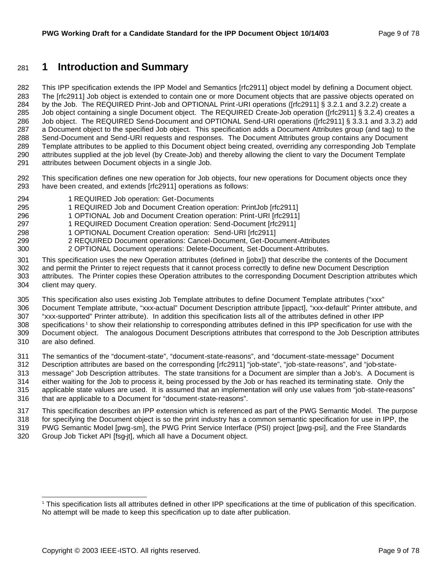# **1 Introduction and Summary**

 This IPP specification extends the IPP Model and Semantics [rfc2911] object model by defining a Document object. The [rfc2911] Job object is extended to contain one or more Document objects that are passive objects operated on by the Job. The REQUIRED Print-Job and OPTIONAL Print-URI operations ([rfc2911] § 3.2.1 and 3.2.2) create a Job object containing a single Document object. The REQUIRED Create-Job operation ([rfc2911] § 3.2.4) creates a 286 Job obiect. The REQUIRED Send-Document and OPTIONAL Send-URI operations ([rfc2911] § 3.3.1 and 3.3.2) add a Document object to the specified Job object. This specification adds a Document Attributes group (and tag) to the Send-Document and Send-URI requests and responses. The Document Attributes group contains any Document Template attributes to be applied to this Document object being created, overriding any corresponding Job Template attributes supplied at the job level (by Create-Job) and thereby allowing the client to vary the Document Template attributes between Document objects in a single Job.

- This specification defines one new operation for Job objects, four new operations for Document objects once they have been created, and extends [rfc2911] operations as follows:
- 1 REQUIRED Job operation: Get-Documents
- 1 REQUIRED Job and Document Creation operation: PrintJob [rfc2911]
- 1 OPTIONAL Job and Document Creation operation: Print-URI [rfc2911]
- 1 REQUIRED Document Creation operation: Send-Document [rfc2911]
- 1 OPTIONAL Document Creation operation: Send-URI [rfc2911]
- 2 REQUIRED Document operations: Cancel-Document, Get-Document-Attributes
- 2 OPTIONAL Document operations: Delete-Document, Set-Document-Attributes.
- This specification uses the new Operation attributes (defined in [jobx]) that describe the contents of the Document and permit the Printer to reject requests that it cannot process correctly to define new Document Description
- attributes. The Printer copies these Operation attributes to the corresponding Document Description attributes which client may query.
- This specification also uses existing Job Template attributes to define Document Template attributes ("xxx"
- Document Template attribute, "xxx-actual" Document Description attribute [ippact], "xxx-default" Printer attribute, and
- "xxx-supported" Printer attribute). In addition this specification lists all of the attributes defined in other IPP 308 specifications<sup>1</sup> to show their relationship to corresponding attributes defined in this IPP specification for use with the
- Document object. The analogous Document Descriptions attributes that correspond to the Job Description attributes are also defined.
- The semantics of the "document-state", "document-state-reasons", and "document-state-message" Document
- Description attributes are based on the corresponding [rfc2911] "job-state", "job-state-reasons", and "job-state-
- message" Job Description attributes. The state transitions for a Document are simpler than a Job's. A Document is
- either waiting for the Job to process it, being processed by the Job or has reached its terminating state. Only the applicable state values are used. It is assumed that an implementation will only use values from "job-state-reasons"
- that are applicable to a Document for "document-state-reasons".
- This specification describes an IPP extension which is referenced as part of the PWG Semantic Model. The purpose for specifying the Document object is so the print industry has a common semantic specification for use in IPP, the
- PWG Semantic Model [pwg-sm], the PWG Print Service Interface (PSI) project [pwg-psi], and the Free Standards
- Group Job Ticket API [fsg-jt], which all have a Document object.

 This specification lists all attributes defined in other IPP specifications at the time of publication of this specification. No attempt will be made to keep this specification up to date after publication.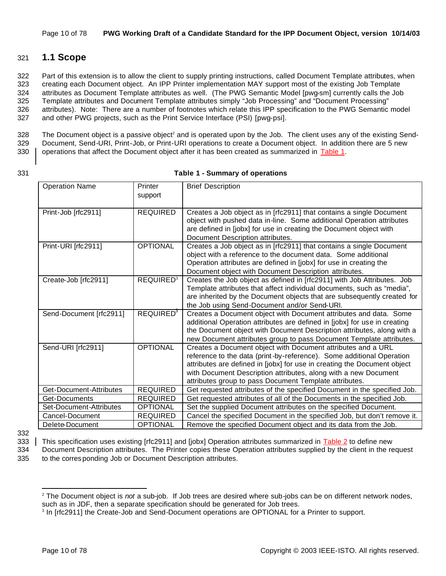# 321 **1.1 Scope**

 Part of this extension is to allow the client to supply printing instructions, called Document Template attributes, when creating each Document object. An IPP Printer implementation MAY support most of the existing Job Template attributes as Document Template attributes as well. (The PWG Semantic Model [pwg-sm] currently calls the Job Template attributes and Document Template attributes simply "Job Processing" and "Document Processing" attributes). Note: There are a number of footnotes which relate this IPP specification to the PWG Semantic model and other PWG projects, such as the Print Service Interface (PSI) [pwg-psi].

 $328$  The Document object is a passive object<sup>2</sup> and is operated upon by the Job. The client uses any of the existing Send-329 Document, Send-URI, Print-Job, or Print-URI operations to create a Document object. In addition there are 5 new 330 operations that affect the Document object after it has been created as summarized in Table 1.

#### 331 **Table 1 - Summary of operations**

| <b>Operation Name</b>   | Printer<br>support          | <b>Brief Description</b>                                                                                                                                                                                                                                                                                                                       |
|-------------------------|-----------------------------|------------------------------------------------------------------------------------------------------------------------------------------------------------------------------------------------------------------------------------------------------------------------------------------------------------------------------------------------|
|                         |                             |                                                                                                                                                                                                                                                                                                                                                |
| Print-Job [rfc2911]     | <b>REQUIRED</b>             | Creates a Job object as in [rfc2911] that contains a single Document<br>object with pushed data in-line. Some additional Operation attributes<br>are defined in [jobx] for use in creating the Document object with<br>Document Description attributes.                                                                                        |
| Print-URI [rfc2911]     | <b>OPTIONAL</b>             | Creates a Job object as in [rfc2911] that contains a single Document<br>object with a reference to the document data. Some additional<br>Operation attributes are defined in [jobx] for use in creating the<br>Document object with Document Description attributes.                                                                           |
| Create-Job [rfc2911]    | <b>REQUIRED<sup>3</sup></b> | Creates the Job object as defined in [rfc2911] with Job Attributes. Job<br>Template attributes that affect individual documents, such as "media",<br>are inherited by the Document objects that are subsequently created for<br>the Job using Send-Document and/or Send-URI.                                                                   |
| Send-Document [rfc2911] | <b>REQUIRED<sup>3</sup></b> | Creates a Document object with Document attributes and data. Some<br>additional Operation attributes are defined in [jobx] for use in creating<br>the Document object with Document Description attributes, along with a<br>new Document attributes group to pass Document Template attributes.                                                |
| Send-URI [rfc2911]      | <b>OPTIONAL</b>             | Creates a Document object with Document attributes and a URL<br>reference to the data (print-by-reference). Some additional Operation<br>attributes are defined in [jobx] for use in creating the Document object<br>with Document Description attributes, along with a new Document<br>attributes group to pass Document Template attributes. |
| Get-Document-Attributes | <b>REQUIRED</b>             | Get requested attributes of the specified Document in the specified Job.                                                                                                                                                                                                                                                                       |
| Get-Documents           | <b>REQUIRED</b>             | Get requested attributes of all of the Documents in the specified Job.                                                                                                                                                                                                                                                                         |
| Set-Document-Attributes | <b>OPTIONAL</b>             | Set the supplied Document attributes on the specified Document.                                                                                                                                                                                                                                                                                |
| Cancel-Document         | <b>REQUIRED</b>             | Cancel the specified Document in the specified Job, but don't remove it.                                                                                                                                                                                                                                                                       |
| Delete-Document         | <b>OPTIONAL</b>             | Remove the specified Document object and its data from the Job.                                                                                                                                                                                                                                                                                |

332

333 This specification uses existing [rfc2911] and [jobx] Operation attributes summarized in Table 2 to define new

334 Document Description attributes. The Printer copies these Operation attributes supplied by the client in the request 335 to the corres ponding Job or Document Description attributes.

<sup>2</sup> The Document object is *not* a sub-job. If Job trees are desired where sub-jobs can be on different network nodes, such as in JDF, then a separate specification should be generated for Job trees.

<sup>&</sup>lt;sup>3</sup> In [rfc2911] the Create-Job and Send-Document operations are OPTIONAL for a Printer to support.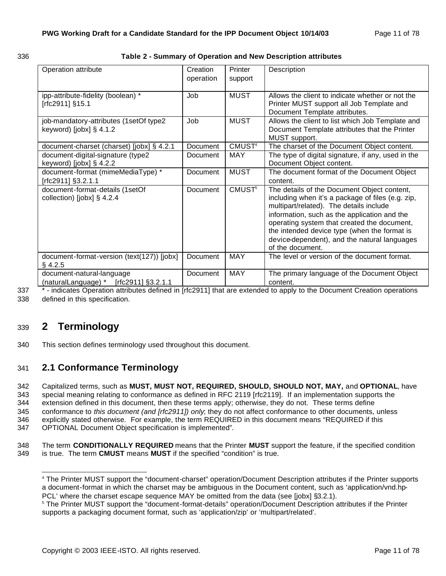| . . | . .<br>- - - | ٠<br>٦ |
|-----|--------------|--------|

#### 336 **Table 2 - Summary of Operation and New Description attributes**

| Operation attribute                                                   | Creation<br>operation | Printer<br>support | Description                                                                                                                                                                                                                                                                                                                                                    |
|-----------------------------------------------------------------------|-----------------------|--------------------|----------------------------------------------------------------------------------------------------------------------------------------------------------------------------------------------------------------------------------------------------------------------------------------------------------------------------------------------------------------|
| ipp-attribute-fidelity (boolean) *<br>[rfc2911] §15.1                 | Job                   | <b>MUST</b>        | Allows the client to indicate whether or not the<br>Printer MUST support all Job Template and<br>Document Template attributes.                                                                                                                                                                                                                                 |
| job-mandatory-attributes (1setOf type2<br>keyword) [jobx] $§$ 4.1.2   | Job                   | <b>MUST</b>        | Allows the client to list which Job Template and<br>Document Template attributes that the Printer<br>MUST support.                                                                                                                                                                                                                                             |
| document-charset (charset) [jobx] § 4.2.1                             | Document              | CMUST <sup>4</sup> | The charset of the Document Object content.                                                                                                                                                                                                                                                                                                                    |
| document-digital-signature (type2<br>keyword) [jobx] $\S$ 4.2.2       | Document              | <b>MAY</b>         | The type of digital signature, if any, used in the<br>Document Object content.                                                                                                                                                                                                                                                                                 |
| document-format (mimeMediaType) *<br>[rfc2911] §3.2.1.1               | Document              | <b>MUST</b>        | The document format of the Document Object<br>content.                                                                                                                                                                                                                                                                                                         |
| document-format-details (1setOf<br>collection) [jobx] $\S$ 4.2.4      | Document              | CMUST <sup>5</sup> | The details of the Document Object content,<br>including when it's a package of files (e.g. zip,<br>multipart/related). The details include<br>information, such as the application and the<br>operating system that created the document,<br>the intended device type (when the format is<br>device-dependent), and the natural languages<br>of the document. |
| document-format-version (text(127)) [jobx]<br>$§$ 4.2.5               | Document              | <b>MAY</b>         | The level or version of the document format.                                                                                                                                                                                                                                                                                                                   |
| document-natural-language<br>(naturalLanguage) * $[rfc2911]$ §3.2.1.1 | <b>Document</b>       | <b>MAY</b>         | The primary language of the Document Object<br>content.                                                                                                                                                                                                                                                                                                        |

337 \* - indicates Operation attributes defined in [rfc2911] that are extended to apply to the Document Creation operations 338 defined in this specification.

# <sup>339</sup> **2 Terminology**

340 This section defines terminology used throughout this document.

# 341 **2.1 Conformance Terminology**

 Capitalized terms, such as **MUST, MUST NOT, REQUIRED, SHOULD, SHOULD NOT, MAY,** and **OPTIONAL**, have special meaning relating to conformance as defined in RFC 2119 [rfc2119]. If an implementation supports the extension defined in this document, then these terms apply; otherwise, they do not. These terms define conformance to *this document (and [rfc2911]) only*; they do not affect conformance to other documents, unless explicitly stated otherwise. For example, the term REQUIRED in this document means "REQUIRED if this OPTIONAL Document Object specification is implemented"*.*

348 The term **CONDITIONALLY REQUIRED** means that the Printer **MUST** support the feature, if the specified condition 349 is true. The term **CMUST** means **MUST** if the specified "condition" is true.

 4 The Printer MUST support the "document-charset" operation/Document Description attributes if the Printer supports a document-format in which the charset may be ambiguous in the Document content, such as 'application/vnd.hp-PCL' where the charset escape sequence MAY be omitted from the data (see [jobx] §3.2.1).

<sup>5</sup> The Printer MUST support the "document-format-details" operation/Document Description attributes if the Printer supports a packaging document format, such as 'application/zip' or 'multipart/related'.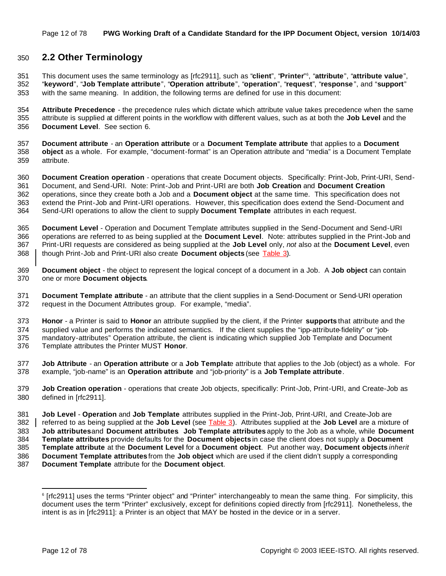# **2.2 Other Terminology**

This document uses the same terminology as [rfc2911], such as "**client**", "**Printer**" <sup>6</sup> , "**attribute**", "**attribute value**", "**keyword**", "**Job Template attribute**", "**Operation attribute**", "**operation**", "**request**", "**response** ", and "**support**" with the same meaning. In addition, the following terms are defined for use in this document:

 **Attribute Precedence** - the precedence rules which dictate which attribute value takes precedence when the same attribute is supplied at different points in the workflow with different values, such as at both the **Job Level** and the **Document Level**. See section 6.

 **Document attribute** - an **Operation attribute** or a **Document Template attribute** that applies to a **Document object** as a whole. For example, "document-format" is an Operation attribute and "media" is a Document Template attribute.

 **Document Creation operation** - operations that create Document objects. Specifically: Print-Job, Print-URI, Send- Document, and Send-URI. Note: Print-Job and Print-URI are both **Job Creation** and **Document Creation** operations, since they create both a Job and a **Document object** at the same time. This specification does not extend the Print-Job and Print-URI operations. However, this specification does extend the Send-Document and Send-URI operations to allow the client to supply **Document Template** attributes in each request.

 **Document Level** - Operation and Document Template attributes supplied in the Send-Document and Send-URI operations are referred to as being supplied at the **Document Level**. Note: attributes supplied in the Print-Job and Print-URI requests are considered as being supplied at the **Job Level** only, *not* also at the **Document Level**, even though Print-Job and Print-URI also create **Document objects** (see Table 3).

 **Document object** - the object to represent the logical concept of a document in a Job. A **Job object** can contain one or more **Document objects**.

 **Document Template attribute** - an attribute that the client supplies in a Send-Document or Send-URI operation request in the Document Attributes group. For example, "media".

 **Honor** - a Printer is said to **Honor** an attribute supplied by the client, if the Printer **supports** that attribute and the supplied value and performs the indicated semantics. If the client supplies the "ipp-attribute-fidelity" or "job-

 mandatory-attributes" Operation attribute, the client is indicating which supplied Job Template and Document Template attributes the Printer MUST **Honor**.

 **Job Attribute** - an **Operation attribute** or a **Job Templat**e attribute that applies to the Job (object) as a whole. For example, "job-name" is an **Operation attribute** and "job-priority" is a **Job Template attribute**.

 **Job Creation operation** - operations that create Job objects, specifically: Print-Job, Print-URI, and Create-Job as defined in [rfc2911].

**Job Level** - **Operation** and **Job Template** attributes supplied in the Print-Job, Print-URI, and Create-Job are

referred to as being supplied at the **Job Level** (see Table 3). Attributes supplied at the **Job Level** are a mixture of

**Job attributes** and **Document attributes**. **Job Template attributes** apply to the Job as a whole, while **Document** 

**Template attributes** provide defaults for the **Document objects** in case the client does not supply a **Document** 

**Template attribute** at the **Document Level** for a **Document object**. Put another way, **Document objects** *inherit*

 **Document Template attributes** from the **Job object** which are used if the client didn't supply a corresponding **Document Template** attribute for the **Document object**.

 [rfc2911] uses the terms "Printer object" and "Printer" interchangeably to mean the same thing. For simplicity, this document uses the term "Printer" exclusively, except for definitions copied directly from [rfc2911]. Nonetheless, the intent is as in [rfc2911]: a Printer is an object that MAY be hosted in the device or in a server.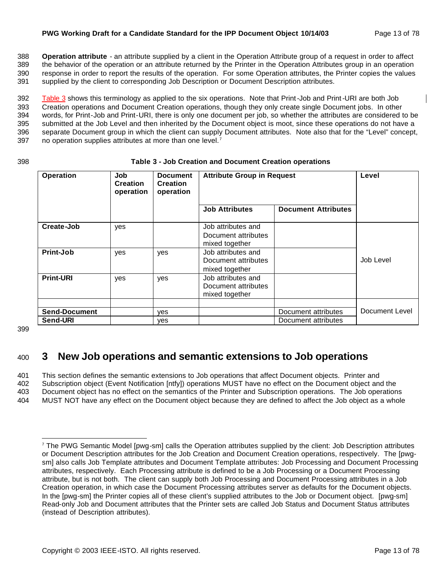#### **PWG Working Draft for a Candidate Standard for the IPP Document Object 10/14/03** Page 13 of 78

 **Operation attribute** - an attribute supplied by a client in the Operation Attribute group of a request in order to affect the behavior of the operation or an attribute returned by the Printer in the Operation Attributes group in an operation response in order to report the results of the operation. For some Operation attributes, the Printer copies the values supplied by the client to corresponding Job Description or Document Description attributes.

392 Table 3 shows this terminology as applied to the six operations. Note that Print-Job and Print-URI are both Job Creation operations and Document Creation operations, though they only create single Document jobs. In other words, for Print-Job and Print-URI, there is only one document per job, so whether the attributes are considered to be submitted at the Job Level and then inherited by the Document object is moot, since these operations do not have a separate Document group in which the client can supply Document attributes. Note also that for the "Level" concept, 397 no operation supplies attributes at more than one level. $<sup>7</sup>$ </sup>

| 398 | Table 3 - Job Creation and Document Creation operations |  |
|-----|---------------------------------------------------------|--|
|     |                                                         |  |

| <b>Operation</b>                 | Job<br><b>Creation</b><br>operation | <b>Document</b><br><b>Creation</b><br>operation | <b>Attribute Group in Request</b>                           |                                            | Level          |
|----------------------------------|-------------------------------------|-------------------------------------------------|-------------------------------------------------------------|--------------------------------------------|----------------|
|                                  |                                     |                                                 | <b>Job Attributes</b>                                       | <b>Document Attributes</b>                 |                |
| Create-Job                       | yes                                 |                                                 | Job attributes and<br>Document attributes<br>mixed together |                                            |                |
| Print-Job                        | yes                                 | yes                                             | Job attributes and<br>Document attributes<br>mixed together |                                            | Job Level      |
| <b>Print-URI</b>                 | yes                                 | yes                                             | Job attributes and<br>Document attributes<br>mixed together |                                            |                |
| <b>Send-Document</b><br>Send-URI |                                     | <b>ves</b><br><b>ves</b>                        |                                                             | Document attributes<br>Document attributes | Document Level |

399

# <sup>400</sup> **3 New Job operations and semantic extensions to Job operations**

 This section defines the semantic extensions to Job operations that affect Document objects. Printer and Subscription object (Event Notification [ntfy]) operations MUST have no effect on the Document object and the Document object has no effect on the semantics of the Printer and Subscription operations. The Job operations MUST NOT have any effect on the Document object because they are defined to affect the Job object as a whole

<sup>7</sup> The PWG Semantic Model [pwg-sm] calls the Operation attributes supplied by the client: Job Description attributes or Document Description attributes for the Job Creation and Document Creation operations, respectively. The [pwgsm] also calls Job Template attributes and Document Template attributes: Job Processing and Document Processing attributes, respectively. Each Processing attribute is defined to be a Job Processing or a Document Processing attribute, but is not both. The client can supply both Job Processing and Document Processing attributes in a Job Creation operation, in which case the Document Processing attributes server as defaults for the Document objects. In the [pwg-sm] the Printer copies all of these client's supplied attributes to the Job or Document object. [pwg-sm] Read-only Job and Document attributes that the Printer sets are called Job Status and Document Status attributes (instead of Description attributes).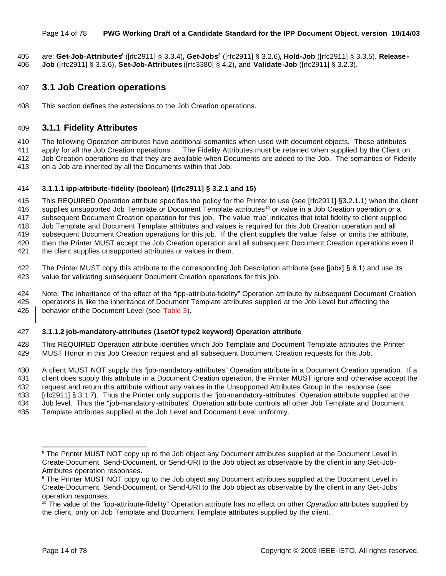#### Page 14 of 78 **PWG Working Draft of a Candidate Standard for the IPP Document Object, version 10/14/03**

are: **Get-Job-Attributes<sup>8</sup>** ([rfc2911] § 3.3.4)**, Get-Jobs<sup>9</sup>** ([rfc2911] § 3.2.6)**, Hold-Job** ([rfc2911] § 3.3.5), **Release - Job** ([rfc2911] § 3.3.6), **Set-Job-Attributes** ([rfc3380] § 4.2), and **Validate-Job** ([rfc2911] § 3.2.3).

# **3.1 Job Creation operations**

This section defines the extensions to the Job Creation operations.

### **3.1.1 Fidelity Attributes**

 The following Operation attributes have additional semantics when used with document objects. These attributes apply for all the Job Creation operations.. The Fidelity Attributes must be retained when supplied by the Client on

 Job Creation operations so that they are available when Documents are added to the Job. The semantics of Fidelity on a Job are inherited by all the Documents within that Job.

#### **3.1.1.1 ipp-attribute-fidelity (boolean) ([rfc2911] § 3.2.1 and 15)**

 This REQUIRED Operation attribute specifies the policy for the Printer to use (see [rfc2911] §3.2.1.1) when the client 416 supplies unsupported Job Template or Document Template attributes <sup>10</sup> or value in a Job Creation operation or a subsequent Document Creation operation for this job. The value 'true' indicates that total fidelity to client supplied Job Template and Document Template attributes and values is required for this Job Creation operation and all subsequent Document Creation operations for this job. If the client supplies the value 'false' or omits the attribute, then the Printer MUST accept the Job Creation operation and all subsequent Document Creation operations even if the client supplies unsupported attributes or values in them.

 The Printer MUST copy this attribute to the corresponding Job Description attribute (see [jobx] § 6.1) and use its value for validating subsequent Document Creation operations for this job.

 Note: The inheritance of the effect of the "ipp-attribute-fidelity" Operation attribute by subsequent Document Creation operations is like the inheritance of Document Template attributes supplied at the Job Level but affecting the 426 | behavior of the Document Level (see Table 3).

#### **3.1.1.2 job-mandatory-attributes (1setOf type2 keyword) Operation attribute**

 This REQUIRED Operation attribute identifies which Job Template and Document Template attributes the Printer MUST Honor in this Job Creation request and all subsequent Document Creation requests for this Job.

 A client MUST NOT supply this "job-mandatory-attributes" Operation attribute in a Document Creation operation. If a client does supply this attribute in a Document Creation operation, the Printer MUST ignore and otherwise accept the request and return this attribute without any values in the Unsupported Attributes Group in the response (see [rfc2911] § 3.1.7). Thus the Printer only supports the "job-mandatory-attributes" Operation attribute supplied at the Job level. Thus the "job-mandatory -attributes" Operation attribute controls all other Job Template and Document

Template attributes supplied at the Job Level and Document Level uniformly.

<sup>&</sup>lt;sup>8</sup> The Printer MUST NOT copy up to the Job object any Document attributes supplied at the Document Level in Create-Document, Send-Document, or Send-URI to the Job object as observable by the client in any Get-Job-Attributes operation responses.

 The Printer MUST NOT copy up to the Job object any Document attributes supplied at the Document Level in Create-Document, Send-Document, or Send-URI to the Job object as observable by the client in any Get-Jobs operation responses.

<sup>&</sup>lt;sup>10</sup> The value of the "ipp-attribute-fidelity" Operation attribute has no effect on other Operation attributes supplied by the client, only on Job Template and Document Template attributes supplied by the client.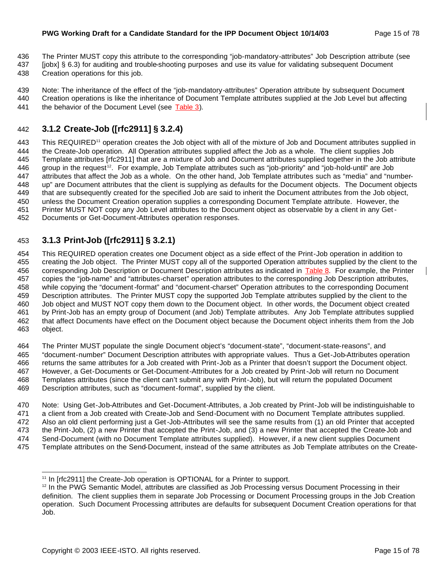- The Printer MUST copy this attribute to the corresponding "job-mandatory-attributes" Job Description attribute (see
- [jobx] § 6.3) for auditing and trouble-shooting purposes and use its value for validating subsequent Document
- Creation operations for this job.
- Note: The inheritance of the effect of the "job-mandatory-attributes" Operation attribute by subsequent Document
- Creation operations is like the inheritance of Document Template attributes supplied at the Job Level but affecting 441 the behavior of the Document Level (see Table 3).

# **3.1.2 Create-Job ([rfc2911] § 3.2.4)**

443 This REQUIRED<sup>11</sup> operation creates the Job object with all of the mixture of Job and Document attributes supplied in the Create-Job operation. All Operation attributes supplied affect the Job as a whole. The client supplies Job Template attributes [rfc2911] that are a mixture of Job and Document attributes supplied together in the Job attribute 446 group in the request<sup>12</sup>. For example, Job Template attributes such as "job-priority" and "job-hold-until" are Job attributes that affect the Job as a whole. On the other hand, Job Template attributes such as "media" and "number- up" are Document attributes that the client is supplying as defaults for the Document objects. The Document objects that are subsequently created for the specified Job are said to inherit the Document attributes from the Job object, unless the Document Creation operation supplies a corresponding Document Template attribute. However, the Printer MUST NOT copy any Job Level attributes to the Document object as observable by a client in any Get-Documents or Get-Document-Attributes operation responses.

# **3.1.3 Print-Job ([rfc2911] § 3.2.1)**

 This REQUIRED operation creates one Document object as a side effect of the Print-Job operation in addition to creating the Job object. The Printer MUST copy all of the supported Operation attributes supplied by the client to the 456 corresponding Job Description or Document Description attributes as indicated in Table 8. For example, the Printer copies the "job-name" and "attributes-charset" operation attributes to the corresponding Job Description attributes, while copying the "document-format" and "document-charset" Operation attributes to the corresponding Document Description attributes. The Printer MUST copy the supported Job Template attributes supplied by the client to the Job object and MUST NOT copy them down to the Document object. In other words, the Document object created by Print-Job has an empty group of Document (and Job) Template attributes. Any Job Template attributes supplied that affect Documents have effect on the Document object because the Document object inherits them from the Job object.

 The Printer MUST populate the single Document object's "document-state", "document-state-reasons", and "document-number" Document Description attributes with appropriate values. Thus a Get-Job-Attributes operation returns the same attributes for a Job created with Print-Job as a Printer that doesn't support the Document object. However, a Get-Documents or Get-Document-Attributes for a Job created by Print-Job will return no Document Templates attributes (since the client can't submit any with Print-Job), but will return the populated Document Description attributes, such as "document-format", supplied by the client.

 Note: Using Get-Job-Attributes and Get-Document-Attributes, a Job created by Print-Job will be indistinguishable to a client from a Job created with Create-Job and Send-Document with no Document Template attributes supplied. Also an old client performing just a Get-Job-Attributes will see the same results from (1) an old Printer that accepted the Print-Job, (2) a new Printer that accepted the Print-Job, and (3) a new Printer that accepted the Create-Job and Send-Document (with no Document Template attributes supplied). However, if a new client supplies Document Template attributes on the Send-Document, instead of the same attributes as Job Template attributes on the Create-

 <sup>11</sup> In [rfc2911] the Create-Job operation is OPTIONAL for a Printer to support.

 In the PWG Semantic Model, attributes are classified as Job Processing versus Document Processing in their definition. The client supplies them in separate Job Processing or Document Processing groups in the Job Creation operation. Such Document Processing attributes are defaults for subsequent Document Creation operations for that Job.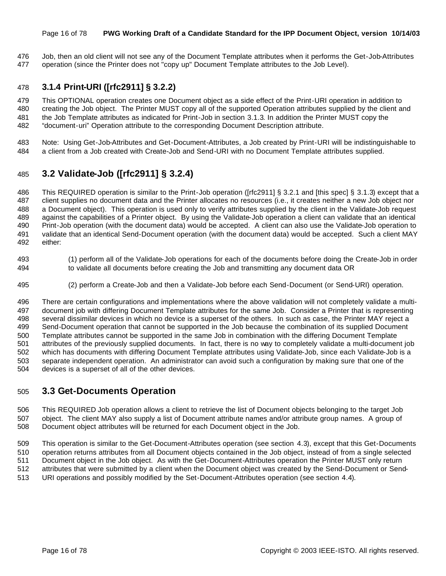#### Page 16 of 78 **PWG Working Draft of a Candidate Standard for the IPP Document Object, version 10/14/03**

 Job, then an old client will not see any of the Document Template attributes when it performs the Get-Job-Attributes operation (since the Printer does not "copy up" Document Template attributes to the Job Level).

# **3.1.4 Print-URI ([rfc2911] § 3.2.2)**

 This OPTIONAL operation creates one Document object as a side effect of the Print-URI operation in addition to creating the Job object. The Printer MUST copy all of the supported Operation attributes supplied by the client and the Job Template attributes as indicated for Print-Job in section 3.1.3. In addition the Printer MUST copy the "document-uri" Operation attribute to the corresponding Document Description attribute.

 Note: Using Get-Job-Attributes and Get-Document-Attributes, a Job created by Print-URI will be indistinguishable to a client from a Job created with Create-Job and Send-URI with no Document Template attributes supplied.

# **3.2 Validate-Job ([rfc2911] § 3.2.4)**

 This REQUIRED operation is similar to the Print-Job operation ([rfc2911] § 3.2.1 and [this spec] § 3.1.3) except that a client supplies no document data and the Printer allocates no resources (i.e., it creates neither a new Job object nor a Document object). This operation is used only to verify attributes supplied by the client in the Validate-Job request against the capabilities of a Printer object. By using the Validate-Job operation a client can validate that an identical Print-Job operation (with the document data) would be accepted. A client can also use the Validate-Job operation to validate that an identical Send-Document operation (with the document data) would be accepted. Such a client MAY either:

- (1) perform all of the Validate-Job operations for each of the documents before doing the Create-Job in order to validate all documents before creating the Job and transmitting any document data OR
- (2) perform a Create-Job and then a Validate-Job before each Send-Document (or Send-URI) operation.

 There are certain configurations and implementations where the above validation will not completely validate a multi- document job with differing Document Template attributes for the same Job. Consider a Printer that is representing several dissimilar devices in which no device is a superset of the others. In such as case, the Printer MAY reject a Send-Document operation that cannot be supported in the Job because the combination of its supplied Document Template attributes cannot be supported in the same Job in combination with the differing Document Template attributes of the previously supplied documents. In fact, there is no way to completely validate a multi-document job which has documents with differing Document Template attributes using Validate-Job, since each Validate-Job is a separate independent operation. An administrator can avoid such a configuration by making sure that one of the devices is a superset of all of the other devices.

# **3.3 Get-Documents Operation**

 This REQUIRED Job operation allows a client to retrieve the list of Document objects belonging to the target Job object. The client MAY also supply a list of Document attribute names and/or attribute group names. A group of Document object attributes will be returned for each Document object in the Job.

 This operation is similar to the Get-Document-Attributes operation (see section 4.3), except that this Get-Documents operation returns attributes from all Document objects contained in the Job object, instead of from a single selected Document object in the Job object. As with the Get-Document-Attributes operation the Printer MUST only return attributes that were submitted by a client when the Document object was created by the Send-Document or Send-URI operations and possibly modified by the Set-Document-Attributes operation (see section 4.4).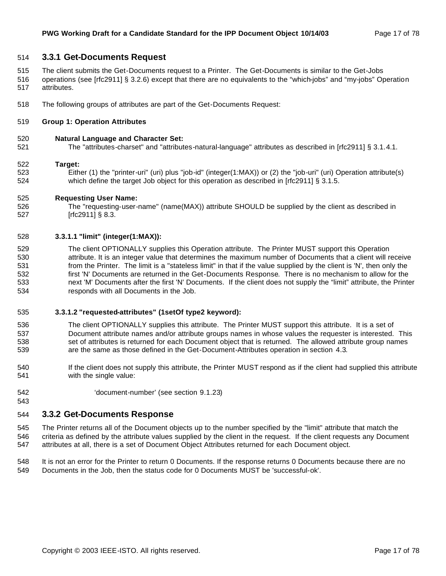#### **3.3.1 Get-Documents Request**

- The client submits the Get-Documents request to a Printer. The Get-Documents is similar to the Get-Jobs
- operations (see [rfc2911] § 3.2.6) except that there are no equivalents to the "which-jobs" and "my-jobs" Operation attributes.
- The following groups of attributes are part of the Get-Documents Request:

#### **Group 1: Operation Attributes**

#### **Natural Language and Character Set:**

The "attributes-charset" and "attributes-natural-language" attributes as described in [rfc2911] § 3.1.4.1.

#### **Target:**

 Either (1) the "printer-uri" (uri) plus "job-id" (integer(1:MAX)) or (2) the "job-uri" (uri) Operation attribute(s) 524 which define the target Job object for this operation as described in [rfc2911] § 3.1.5.

#### **Requesting User Name:**

 The "requesting-user-name" (name(MAX)) attribute SHOULD be supplied by the client as described in [rfc2911] § 8.3.

#### **3.3.1.1 "limit" (integer(1:MAX)):**

 The client OPTIONALLY supplies this Operation attribute. The Printer MUST support this Operation attribute. It is an integer value that determines the maximum number of Documents that a client will receive from the Printer. The limit is a "stateless limit" in that if the value supplied by the client is 'N', then only the first 'N' Documents are returned in the Get-Documents Response. There is no mechanism to allow for the next 'M' Documents after the first 'N' Documents. If the client does not supply the "limit" attribute, the Printer responds with all Documents in the Job.

#### **3.3.1.2 "requested-attributes" (1setOf type2 keyword):**

- The client OPTIONALLY supplies this attribute. The Printer MUST support this attribute. It is a set of Document attribute names and/or attribute groups names in whose values the requester is interested. This 538 set of attributes is returned for each Document object that is returned. The allowed attribute group names are the same as those defined in the Get-Document-Attributes operation in section 4.3.
- If the client does not supply this attribute, the Printer MUST respond as if the client had supplied this attribute with the single value:
- 'document-number' (see section 9.1.23)

### **3.3.2 Get-Documents Response**

 The Printer returns all of the Document objects up to the number specified by the "limit" attribute that match the criteria as defined by the attribute values supplied by the client in the request. If the client requests any Document attributes at all, there is a set of Document Object Attributes returned for each Document object.

 It is not an error for the Printer to return 0 Documents. If the response returns 0 Documents because there are no Documents in the Job, then the status code for 0 Documents MUST be 'successful-ok'.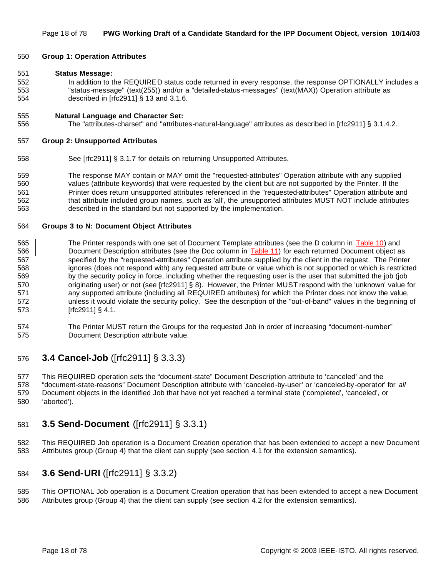#### **Group 1: Operation Attributes**

#### **Status Message:**

 In addition to the REQUIRE D status code returned in every response, the response OPTIONALLY includes a "status-message" (text(255)) and/or a "detailed-status-messages" (text(MAX)) Operation attribute as described in [rfc2911] § 13 and 3.1.6.

#### **Natural Language and Character Set:**

The "attributes-charset" and "attributes-natural-language" attributes as described in [rfc2911] § 3.1.4.2.

#### **Group 2: Unsupported Attributes**

See [rfc2911] § 3.1.7 for details on returning Unsupported Attributes.

 The response MAY contain or MAY omit the "requested-attributes" Operation attribute with any supplied values (attribute keywords) that were requested by the client but are not supported by the Printer. If the Printer does return unsupported attributes referenced in the "requested-attributes" Operation attribute and that attribute included group names, such as 'all', the unsupported attributes MUST NOT include attributes described in the standard but not supported by the implementation.

#### **Groups 3 to N: Document Object Attributes**

- 565 The Printer responds with one set of Document Template attributes (see the D column in Table 10) and 566 Document Description attributes (see the Doc column in Table 11) for each returned Document object as specified by the "requested-attributes" Operation attribute supplied by the client in the request. The Printer ignores (does not respond with) any requested attribute or value which is not supported or which is restricted by the security policy in force, including whether the requesting user is the user that submitted the job (job originating user) or not (see [rfc2911] § 8). However, the Printer MUST respond with the 'unknown' value for any supported attribute (including all REQUIRED attributes) for which the Printer does not know the value, unless it would violate the security policy. See the description of the "out-of-band" values in the beginning of [rfc2911] § 4.1.
- The Printer MUST return the Groups for the requested Job in order of increasing "document-number" Document Description attribute value.

### **3.4 Cancel-Job** ([rfc2911] § 3.3.3)

 This REQUIRED operation sets the "document-state" Document Description attribute to 'canceled' and the "document-state-reasons" Document Description attribute with 'canceled-by-user' or 'canceled-by -operator' for *all* Document objects in the identified Job that have not yet reached a terminal state ('completed', 'canceled', or 'aborted').

# **3.5 Send-Document** ([rfc2911] § 3.3.1)

 This REQUIRED Job operation is a Document Creation operation that has been extended to accept a new Document Attributes group (Group 4) that the client can supply (see section 4.1 for the extension semantics).

### **3.6 Send-URI** ([rfc2911] § 3.3.2)

 This OPTIONAL Job operation is a Document Creation operation that has been extended to accept a new Document Attributes group (Group 4) that the client can supply (see section 4.2 for the extension semantics).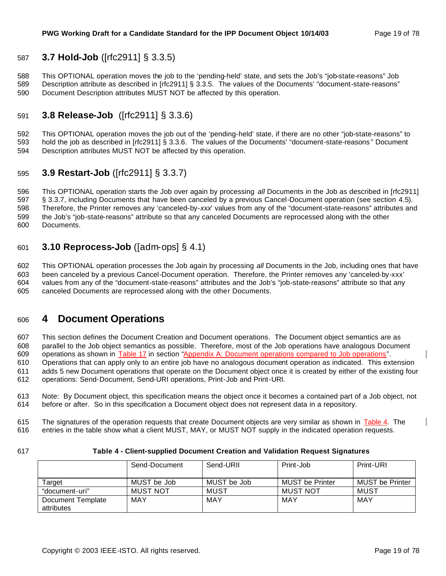# **3.7 Hold-Job** ([rfc2911] § 3.3.5)

 This OPTIONAL operation moves the job to the 'pending-held' state, and sets the Job's "job-state-reasons" Job Description attribute as described in [rfc2911] § 3.3.5. The values of the Documents' "document-state-reasons" Document Description attributes MUST NOT be affected by this operation.

# **3.8 Release-Job** ([rfc2911] § 3.3.6)

 This OPTIONAL operation moves the job out of the 'pending-held' state, if there are no other "job-state-reasons" to hold the job as described in [rfc2911] § 3.3.6. The values of the Documents' "document-state-reasons " Document Description attributes MUST NOT be affected by this operation.

# **3.9 Restart-Job** ([rfc2911] § 3.3.7)

 This OPTIONAL operation starts the Job over again by processing *all* Documents in the Job as described in [rfc2911] § 3.3.7, including Documents that have been canceled by a previous Cancel-Document operation (see section 4.5). Therefore, the Printer removes any 'canceled-by-*xxx*' values from any of the "document-state-reasons" attributes and the Job's "job-state-reasons" attribute so that any canceled Documents are reprocessed along with the other Documents.

# **3.10 Reprocess-Job** ([adm-ops] § 4.1)

 This OPTIONAL operation processes the Job again by processing *all* Documents in the Job, including ones that have been canceled by a previous Cancel-Document operation. Therefore, the Printer removes any 'canceled-by-xxx' values from any of the "document-state-reasons" attributes and the Job's "job-state-reasons" attribute so that any canceled Documents are reprocessed along with the other Documents.

# **4 Document Operations**

 This section defines the Document Creation and Document operations. The Document object semantics are as parallel to the Job object semantics as possible. Therefore, most of the Job operations have analogous Document operations as shown in Table 17 in section "Appendix A: Document operations compared to Job operations". Operations that can apply only to an entire job have no analogous document operation as indicated. This extension

 adds 5 new Document operations that operate on the Document object once it is created by either of the existing four operations: Send-Document, Send-URI operations, Print-Job and Print-URI.

 Note: By Document object, this specification means the object once it becomes a contained part of a Job object, not before or after. So in this specification a Document object does not represent data in a repository.

615 The signatures of the operation requests that create Document objects are very similar as shown in Table 4. The entries in the table show what a client MUST, MAY, or MUST NOT supply in the indicated operation requests.

#### **Table 4 - Client-supplied Document Creation and Validation Request Signatures**

|                                 | Send-Document   | Send-URII   | Print-Job              | Print-URI              |
|---------------------------------|-----------------|-------------|------------------------|------------------------|
|                                 |                 |             |                        |                        |
| Target                          | MUST be Job     | MUST be Job | <b>MUST be Printer</b> | <b>MUST be Printer</b> |
| "document-uri"                  | <b>MUST NOT</b> | MUST        | MUST NOT               | MUST                   |
| Document Template<br>attributes | MAY             | MAY         | MAY                    | MAY                    |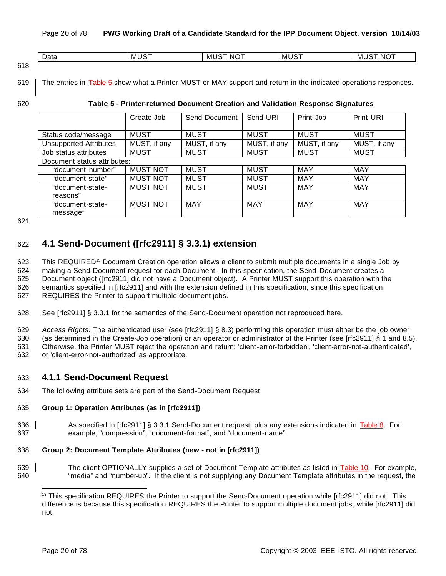|      | -<br>Data | $\cdot$ . $\sim$ $\sim$<br>MU. | .<br>ML<br>NO<br>. <i>. .</i> . | $-$<br>M'<br>. .<br>. ت | NO <sup>-</sup><br>Mι<br>י |
|------|-----------|--------------------------------|---------------------------------|-------------------------|----------------------------|
| 24 O |           |                                |                                 |                         |                            |

618

619 The entries in Table 5 show what a Printer MUST or MAY support and return in the indicated operations responses.

#### 620 **Table 5 - Printer-returned Document Creation and Validation Response Signatures**

|                               | Create-Job      | Send-Document | Send-URI     | Print-Job    | Print-URI    |
|-------------------------------|-----------------|---------------|--------------|--------------|--------------|
|                               |                 |               |              |              |              |
| Status code/message           | <b>MUST</b>     | <b>MUST</b>   | <b>MUST</b>  | <b>MUST</b>  | <b>MUST</b>  |
| <b>Unsupported Attributes</b> | MUST, if any    | MUST, if any  | MUST, if any | MUST, if any | MUST, if any |
| Job status attributes         | <b>MUST</b>     | <b>MUST</b>   | <b>MUST</b>  | <b>MUST</b>  | <b>MUST</b>  |
| Document status attributes:   |                 |               |              |              |              |
| "document-number"             | <b>MUST NOT</b> | <b>MUST</b>   | <b>MUST</b>  | MAY          | <b>MAY</b>   |
| "document-state"              | <b>MUST NOT</b> | <b>MUST</b>   | <b>MUST</b>  | MAY          | <b>MAY</b>   |
| "document-state-              | <b>MUST NOT</b> | <b>MUST</b>   | <b>MUST</b>  | MAY          | <b>MAY</b>   |
| reasons"                      |                 |               |              |              |              |
| "document-state-              | <b>MUST NOT</b> | <b>MAY</b>    | <b>MAY</b>   | MAY          | MAY          |
| message"                      |                 |               |              |              |              |

621

# 622 **4.1 Send-Document ([rfc2911] § 3.3.1) extension**

623 This REQUIRED<sup>13</sup> Document Creation operation allows a client to submit multiple documents in a single Job by making a Send-Document request for each Document. In this specification, the Send-Document creates a Document object ([rfc2911] did not have a Document object). A Printer MUST support this operation with the semantics specified in [rfc2911] and with the extension defined in this specification, since this specification REQUIRES the Printer to support multiple document jobs.

628 See [rfc2911] § 3.3.1 for the semantics of the Send-Document operation not reproduced here.

629 *Access Rights:* The authenticated user (see [rfc2911] § 8.3) performing this operation must either be the job owner

630 (as determined in the Create-Job operation) or an operator or administrator of the Printer (see [rfc2911] § 1 and 8.5).

631 Otherwise, the Printer MUST reject the operation and return: 'client-error-forbidden', 'client-error-not-authenticated', 632 or 'client-error-not-authorized' as appropriate.

# 633 **4.1.1 Send-Document Request**

634 The following attribute sets are part of the Send-Document Request:

### 635 **Group 1: Operation Attributes (as in [rfc2911])**

636 As specified in [rfc2911] § 3.3.1 Send-Document request, plus any extensions indicated in Table 8. For 637 example, "compression", "document-format", and "document-name".

#### 638 **Group 2: Document Template Attributes (new - not in [rfc2911])**

639 The client OPTIONALLY supplies a set of Document Template attributes as listed in Table 10. For example, 640 "media" and "number-up". If the client is not supplying any Document Template attributes in the request, the

<sup>&</sup>lt;sup>13</sup> This specification REQUIRES the Printer to support the Send-Document operation while [rfc2911] did not. This difference is because this specification REQUIRES the Printer to support multiple document jobs, while [rfc2911] did not.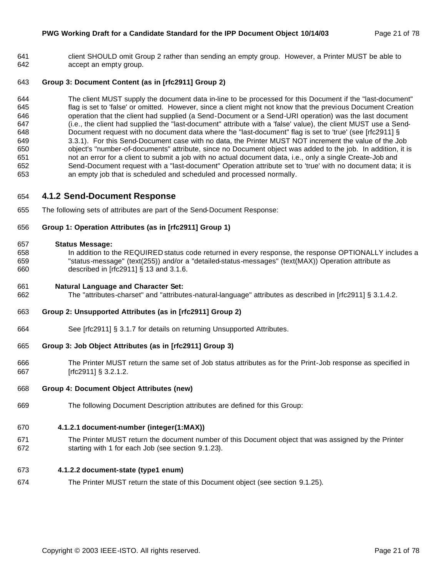client SHOULD omit Group 2 rather than sending an empty group. However, a Printer MUST be able to accept an empty group.

### **Group 3: Document Content (as in [rfc2911] Group 2)**

 The client MUST supply the document data in-line to be processed for this Document if the "last-document" 645 flag is set to 'false' or omitted. However, since a client might not know that the previous Document Creation 646 operation that the client had supplied (a Send-Document or a Send-URI operation) was the last document 647 (i.e., the client had supplied the "last-document" attribute with a 'false' value), the client MUST use a Send- Document request with no document data where the "last-document" flag is set to 'true' (see [rfc2911] § 3.3.1). For this Send-Document case with no data, the Printer MUST NOT increment the value of the Job object's "number-of-documents" attribute, since no Document object was added to the job. In addition, it is not an error for a client to submit a job with no actual document data, i.e., only a single Create-Job and Send-Document request with a "last-document" Operation attribute set to 'true' with no document data; it is an empty job that is scheduled and scheduled and processed normally.

# **4.1.2 Send-Document Response**

The following sets of attributes are part of the Send-Document Response:

#### **Group 1: Operation Attributes (as in [rfc2911] Group 1)**

#### **Status Message:**

 In addition to the REQUIRED status code returned in every response, the response OPTIONALLY includes a "status-message" (text(255)) and/or a "detailed-status-messages" (text(MAX)) Operation attribute as described in [rfc2911] § 13 and 3.1.6.

#### **Natural Language and Character Set:**

The "attributes-charset" and "attributes-natural-language" attributes as described in [rfc2911] § 3.1.4.2.

#### **Group 2: Unsupported Attributes (as in [rfc2911] Group 2)**

See [rfc2911] § 3.1.7 for details on returning Unsupported Attributes.

### **Group 3: Job Object Attributes (as in [rfc2911] Group 3)**

 The Printer MUST return the same set of Job status attributes as for the Print-Job response as specified in [rfc2911] § 3.2.1.2.

#### **Group 4: Document Object Attributes (new)**

The following Document Description attributes are defined for this Group:

#### **4.1.2.1 document-number (integer(1:MAX))**

 The Printer MUST return the document number of this Document object that was assigned by the Printer starting with 1 for each Job (see section 9.1.23).

#### **4.1.2.2 document-state (type1 enum)**

The Printer MUST return the state of this Document object (see section 9.1.25).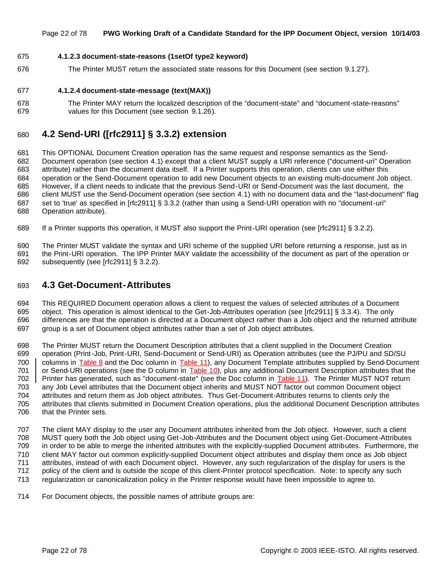#### Page 22 of 78 **PWG Working Draft of a Candidate Standard for the IPP Document Object, version 10/14/03**

#### **4.1.2.3 document-state-reasons (1setOf type2 keyword)**

The Printer MUST return the associated state reasons for this Document (see section 9.1.27).

#### **4.1.2.4 document-state-message (text(MAX))**

 The Printer MAY return the localized description of the "document-state" and "document-state-reasons" values for this Document (see section 9.1.26).

# **4.2 Send-URI ([rfc2911] § 3.3.2) extension**

 This OPTIONAL Document Creation operation has the same request and response semantics as the Send- Document operation (see section 4.1) except that a client MUST supply a URI reference ("document-uri" Operation attribute) rather than the document data itself. If a Printer supports this operation, clients can use either this operation or the Send-Document operation to add new Document objects to an existing multi-document Job object. However, if a client needs to indicate that the previous Send-URI or Send-Document was the last document, the client MUST use the Send-Document operation (see section 4.1) with no document data and the "last-document" flag set to 'true' as specified in [rfc2911] § 3.3.2 (rather than using a Send-URI operation with no "document-uri" Operation attribute).

If a Printer supports this operation, it MUST also support the Print-URI operation (see [rfc2911] § 3.2.2).

 The Printer MUST validate the syntax and URI scheme of the supplied URI before returning a response, just as in the Print-URI operation. The IPP Printer MAY validate the accessibility of the document as part of the operation or subsequently (see [rfc2911] § 3.2.2).

# **4.3 Get-Document-Attributes**

 This REQUIRED Document operation allows a client to request the values of selected attributes of a Document object. This operation is almost identical to the Get-Job-Attributes operation (see [rfc2911] § 3.3.4). The only differences are that the operation is directed at a Document object rather than a Job object and the returned attribute group is a set of Document object attributes rather than a set of Job object attributes.

 The Printer MUST return the Document Description attributes that a client supplied in the Document Creation operation (Print-Job, Print-URI, Send-Document or Send-URI) as Operation attributes (see the PJ/PU and SD/SU columns in Table 8 and the Doc column in Table 11), any Document Template attributes supplied by Send-Document 701 or Send-URI operations (see the D column in Table 10), plus any additional Document Description attributes that the 702 | Printer has generated, such as "document-state" (see the Doc column in Table 11). The Printer MUST NOT return any Job Level attributes that the Document object inherits and MUST NOT factor out common Document object attributes and return them as Job object attributes. Thus Get-Document-Attributes returns to clients only the attributes that clients submitted in Document Creation operations, plus the additional Document Description attributes that the Printer sets.

 The client MAY display to the user any Document attributes inherited from the Job object. However, such a client MUST query both the Job object using Get-Job-Attributes and the Document object using Get-Document-Attributes in order to be able to merge the inherited attributes with the explicitly-supplied Document attributes. Furthermore, the client MAY factor out common explicitly-supplied Document object attributes and display them once as Job object attributes, instead of with each Document object. However, any such regularization of the display for users is the policy of the client and is outside the scope of this client-Printer protocol specification. Note: to specify any such regularization or canonicalization policy in the Printer response would have been impossible to agree to.

For Document objects, the possible names of attribute groups are: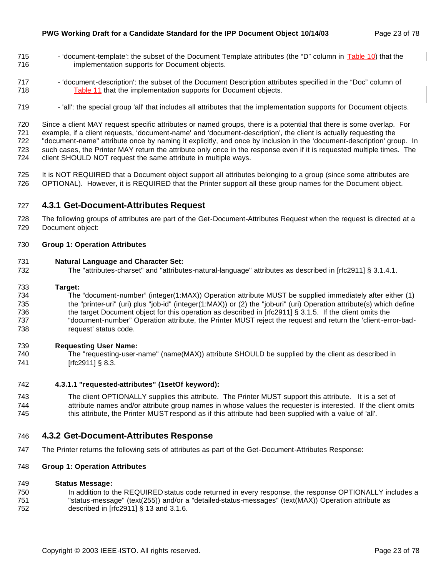- 715 'document-template': the subset of the Document Template attributes (the "D" column in Table 10) that the implementation supports for Document objects.
- 'document-description': the subset of the Document Description attributes specified in the "Doc" column of Table 11 that the implementation supports for Document objects.
- 719 'all': the special group 'all' that includes all attributes that the implementation supports for Document objects.

 Since a client MAY request specific attributes or named groups, there is a potential that there is some overlap. For example, if a client requests, 'document-name' and 'document-description', the client is actually requesting the "document-name" attribute once by naming it explicitly, and once by inclusion in the 'document-description' group. In such cases, the Printer MAY return the attribute only once in the response even if it is requested multiple times. The client SHOULD NOT request the same attribute in multiple ways.

 It is NOT REQUIRED that a Document object support all attributes belonging to a group (since some attributes are OPTIONAL). However, it is REQUIRED that the Printer support all these group names for the Document object.

# **4.3.1 Get-Document-Attributes Request**

 The following groups of attributes are part of the Get-Document-Attributes Request when the request is directed at a Document object:

#### **Group 1: Operation Attributes**

#### **Natural Language and Character Set:**

The "attributes-charset" and "attributes-natural-language" attributes as described in [rfc2911] § 3.1.4.1.

#### **Target:**

 The "document-number" (integer(1:MAX)) Operation attribute MUST be supplied immediately after either (1) the "printer-uri" (uri) plus "job-id" (integer(1:MAX)) or (2) the "job-uri" (uri) Operation attribute(s) which define the target Document object for this operation as described in [rfc2911] § 3.1.5. If the client omits the "document-number" Operation attribute, the Printer MUST reject the request and return the 'client-error-bad-request' status code.

#### **Requesting User Name:**

 The "requesting-user-name" (name(MAX)) attribute SHOULD be supplied by the client as described in 741 [rfc2911] § 8.3.

#### **4.3.1.1 "requested-attributes" (1setOf keyword):**

 The client OPTIONALLY supplies this attribute. The Printer MUST support this attribute. It is a set of attribute names and/or attribute group names in whose values the requester is interested. If the client omits this attribute, the Printer MUST respond as if this attribute had been supplied with a value of 'all'.

### **4.3.2 Get-Document-Attributes Response**

The Printer returns the following sets of attributes as part of the Get-Document-Attributes Response:

#### **Group 1: Operation Attributes**

#### **Status Message:**

750 In addition to the REQUIRED status code returned in every response, the response OPTIONALLY includes a "status-message" (text(255)) and/or a "detailed-status-messages" (text(MAX)) Operation attribute as described in [rfc2911] § 13 and 3.1.6.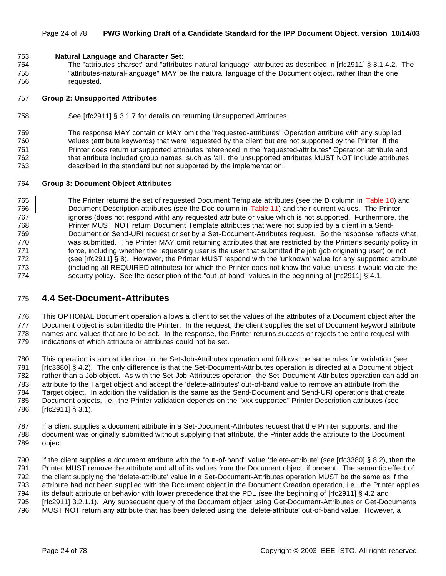#### Page 24 of 78 **PWG Working Draft of a Candidate Standard for the IPP Document Object, version 10/14/03**

#### **Natural Language and Character Set:**

 The "attributes-charset" and "attributes-natural-language" attributes as described in [rfc2911] § 3.1.4.2. The "attributes-natural-language" MAY be the natural language of the Document object, rather than the one requested.

#### **Group 2: Unsupported Attributes**

See [rfc2911] § 3.1.7 for details on returning Unsupported Attributes.

 The response MAY contain or MAY omit the "requested-attributes" Operation attribute with any supplied values (attribute keywords) that were requested by the client but are not supported by the Printer. If the Printer does return unsupported attributes referenced in the "requested-attributes" Operation attribute and that attribute included group names, such as 'all', the unsupported attributes MUST NOT include attributes described in the standard but not supported by the implementation.

#### **Group 3: Document Object Attributes**

765 The Printer returns the set of requested Document Template attributes (see the D column in Table 10) and 766 Document Description attributes (see the Doc column in Table 11) and their current values. The Printer 767 ignores (does not respond with) any requested attribute or value which is not supported. Furthermore, the Printer MUST NOT return Document Template attributes that were not supplied by a client in a Send- Document or Send-URI request or set by a Set-Document-Attributes request. So the response reflects what was submitted. The Printer MAY omit returning attributes that are restricted by the Printer's security policy in 771 force, including whether the requesting user is the user that submitted the job (job originating user) or not (see [rfc2911] § 8). However, the Printer MUST respond with the 'unknown' value for any supported attribute (including all REQUIRED attributes) for which the Printer does not know the value, unless it would violate the 774 security policy. See the description of the "out-of-band" values in the beginning of [rfc2911] § 4.1.

# **4.4 Set-Document-Attributes**

 This OPTIONAL Document operation allows a client to set the values of the attributes of a Document object after the Document object is submittedto the Printer. In the request, the client supplies the set of Document keyword attribute names and values that are to be set. In the response, the Printer returns success or rejects the entire request with indications of which attribute or attributes could not be set.

 This operation is almost identical to the Set-Job-Attributes operation and follows the same rules for validation (see [rfc3380] § 4.2). The only difference is that the Set-Document-Attributes operation is directed at a Document object rather than a Job object. As with the Set-Job-Attributes operation, the Set-Document-Attributes operation can add an attribute to the Target object and accept the 'delete-attributes' out-of-band value to remove an attribute from the Target object. In addition the validation is the same as the Send-Document and Send-URI operations that create Document objects, i.e., the Printer validation depends on the "xxx-supported" Printer Description attributes (see [rfc2911] § 3.1).

 If a client supplies a document attribute in a Set-Document-Attributes request that the Printer supports, and the document was originally submitted without supplying that attribute, the Printer adds the attribute to the Document object.

 If the client supplies a document attribute with the "out-of-band" value 'delete-attribute' (see [rfc3380] § 8.2), then the Printer MUST remove the attribute and all of its values from the Document object, if present. The semantic effect of the client supplying the 'delete-attribute' value in a Set-Document-Attributes operation MUST be the same as if the attribute had not been supplied with the Document object in the Document Creation operation, i.e., the Printer applies its default attribute or behavior with lower precedence that the PDL (see the beginning of [rfc2911] § 4.2 and [rfc2911] 3.2.1.1). Any subsequent query of the Document object using Get-Document-Attributes or Get-Documents MUST NOT return any attribute that has been deleted using the 'delete-attribute' out-of-band value. However, a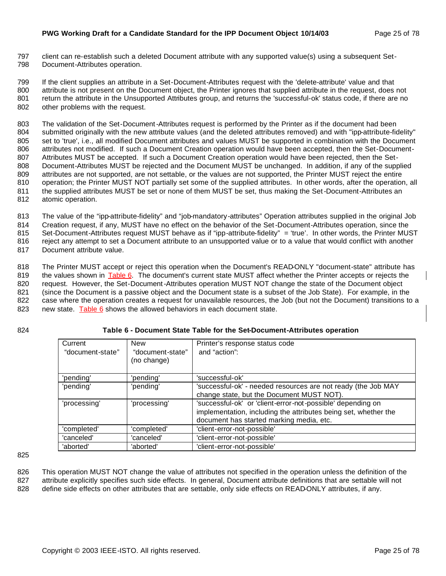797 client can re-establish such a deleted Document attribute with any supported value(s) using a subsequent Set-798 Document-Attributes operation.

 If the client supplies an attribute in a Set-Document-Attributes request with the 'delete-attribute' value and that attribute is not present on the Document object, the Printer ignores that supplied attribute in the request, does not return the attribute in the Unsupported Attributes group, and returns the 'successful-ok' status code, if there are no other problems with the request.

 The validation of the Set-Document-Attributes request is performed by the Printer as if the document had been submitted originally with the new attribute values (and the deleted attributes removed) and with "ipp-attribute-fidelity" 805 set to 'true', i.e., all modified Document attributes and values MUST be supported in combination with the Document attributes not modified. If such a Document Creation operation would have been accepted, then the Set-Document- Attributes MUST be accepted. If such a Document Creation operation would have been rejected, then the Set- Document-Attributes MUST be rejected and the Document MUST be unchanged. In addition, if any of the supplied attributes are not supported, are not settable, or the values are not supported, the Printer MUST reject the entire operation; the Printer MUST NOT partially set some of the supplied attributes. In other words, after the operation, all the supplied attributes MUST be set or none of them MUST be set, thus making the Set-Document-Attributes an atomic operation.

 The value of the "ipp-attribute-fidelity" and "job-mandatory-attributes" Operation attributes supplied in the original Job Creation request, if any, MUST have no effect on the behavior of the Set-Document-Attributes operation, since the Set-Document-Attributes request MUST behave as if "ipp-attribute-fidelity" = 'true'. In other words, the Printer MUST reject any attempt to set a Document attribute to an unsupported value or to a value that would conflict with another

817 Document attribute value.

 The Printer MUST accept or reject this operation when the Document's READ-ONLY "document-state" attribute has 819 the values shown in Table 6. The document's current state MUST affect whether the Printer accepts or rejects the 820 request. However, the Set-Document-Attributes operation MUST NOT change the state of the Document object (since the Document is a passive object and the Document state is a subset of the Job State). For example, in the case where the operation creates a request for unavailable resources, the Job (but not the Document) transitions to a new state. Table 6 shows the allowed behaviors in each document state.

### 824 **Table 6 - Document State Table for the Set-Document-Attributes operation**

| Current          | <b>New</b>       | Printer's response status code                                  |
|------------------|------------------|-----------------------------------------------------------------|
| "document-state" | "document-state" | and "action":                                                   |
|                  | (no change)      |                                                                 |
|                  |                  |                                                                 |
| 'pending'        | 'pending'        | 'successful-ok'                                                 |
| 'pending'        | 'pending'        | 'successful-ok' - needed resources are not ready (the Job MAY   |
|                  |                  | change state, but the Document MUST NOT).                       |
| 'processing'     | 'processing'     | 'successful-ok' or 'client-error-not-possible' depending on     |
|                  |                  | implementation, including the attributes being set, whether the |
|                  |                  | document has started marking media, etc.                        |
| 'completed'      | 'completed'      | 'client-error-not-possible'                                     |
| 'canceled'       | 'canceled'       | 'client-error-not-possible'                                     |
| 'aborted'        | 'aborted'        | 'client-error-not-possible'                                     |

825

826 This operation MUST NOT change the value of attributes not specified in the operation unless the definition of the 827 attribute explicitly specifies such side effects. In general, Document attribute definitions that are settable will not 828 define side effects on other attributes that are settable, only side effects on READ-ONLY attributes, if any.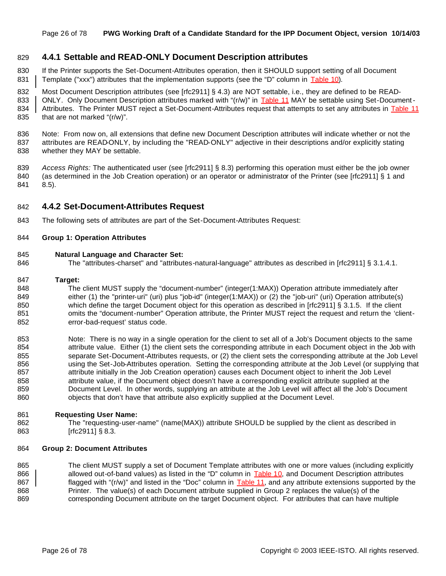# **4.4.1 Settable and READ-ONLY Document Description attributes**

- If the Printer supports the Set-Document-Attributes operation, then it SHOULD support setting of all Document 831 Template ("xxx") attributes that the implementation supports (see the "D" column in  $Table 10$ ).
- Most Document Description attributes (see [rfc2911] § 4.3) are NOT settable, i.e., they are defined to be READ-
- 833 | ONLY. Only Document Description attributes marked with "(r/w)" in **Table 11** MAY be settable using Set-Document-
- 834 Attributes. The Printer MUST reject a Set-Document-Attributes request that attempts to set any attributes in Table 11 that are not marked "(r/w)".
- Note: From now on, all extensions that define new Document Description attributes will indicate whether or not the attributes are READ-ONLY, by including the "READ-ONLY" adjective in their descriptions and/or explicitly stating whether they MAY be settable.
- *Access Rights:* The authenticated user (see [rfc2911] § 8.3) performing this operation must either be the job owner 840 (as determined in the Job Creation operation) or an operator or administrator of the Printer (see [rfc2911] § 1 and 8.5).

### **4.4.2 Set-Document-Attributes Request**

The following sets of attributes are part of the Set-Document-Attributes Request:

#### **Group 1: Operation Attributes**

#### **Natural Language and Character Set:**

The "attributes-charset" and "attributes-natural-language" attributes as described in [rfc2911] § 3.1.4.1.

#### **Target:**

- The client MUST supply the "document-number" (integer(1:MAX)) Operation attribute immediately after either (1) the "printer-uri" (uri) plus "job-id" (integer(1:MAX)) or (2) the "job-uri" (uri) Operation attribute(s) which define the target Document object for this operation as described in [rfc2911] § 3.1.5. If the client 851 omits the "document-number" Operation attribute, the Printer MUST reject the request and return the 'client-error-bad-request' status code.
- Note: There is no way in a single operation for the client to set all of a Job's Document objects to the same attribute value. Either (1) the client sets the corresponding attribute in each Document object in the Job with separate Set-Document-Attributes requests, or (2) the client sets the corresponding attribute at the Job Level 856 using the Set-Job-Attributes operation. Setting the corresponding attribute at the Job Level (or supplying that 857 attribute initially in the Job Creation operation) causes each Document object to inherit the Job Level attribute value, if the Document object doesn't have a corresponding explicit attribute supplied at the Document Level. In other words, supplying an attribute at the Job Level will affect all the Job's Document 860 objects that don't have that attribute also explicitly supplied at the Document Level.

#### **Requesting User Name:**

 The "requesting-user-name" (name(MAX)) attribute SHOULD be supplied by the client as described in [rfc2911] § 8.3.

#### **Group 2: Document Attributes**

865 The client MUST supply a set of Document Template attributes with one or more values (including explicitly 866 allowed out-of-band values) as listed in the "D" column in Table 10, and Document Description attributes **finally in the "**flagged with "(r/w)" and listed in the "Doc" column in Table 11, and any attribute extensions supported by the Printer. The value(s) of each Document attribute supplied in Group 2 replaces the value(s) of the corresponding Document attribute on the target Document object. For attributes that can have multiple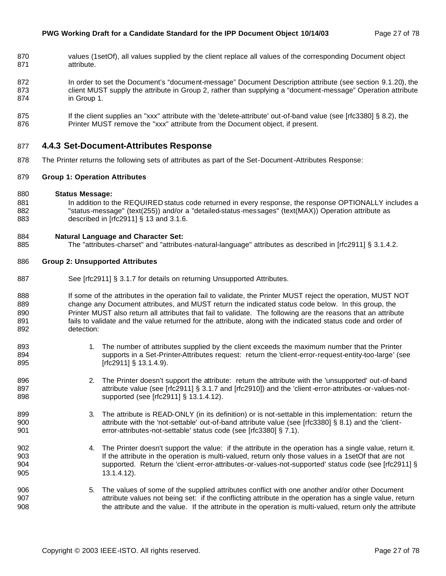- 870 values (1setOf), all values supplied by the client replace all values of the corresponding Document object attribute.
- In order to set the Document's "document-message" Document Description attribute (see section 9.1.20), the 873 client MUST supply the attribute in Group 2, rather than supplying a "document-message" Operation attribute in Group 1.
- 875 If the client supplies an "xxx" attribute with the 'delete-attribute' out-of-band value (see [rfc3380] § 8.2), the 876 Printer MUST remove the "xxx" attribute from the Document object, if present.

### **4.4.3 Set-Document-Attributes Response**

The Printer returns the following sets of attributes as part of the Set-Document-Attributes Response:

#### **Group 1: Operation Attributes**

- **Status Message:**
- 881 In addition to the REQUIRED status code returned in every response, the response OPTIONALLY includes a 882 "status-message" (text(255)) and/or a "detailed-status-messages" (text(MAX)) Operation attribute as described in [rfc2911] § 13 and 3.1.6.

#### **Natural Language and Character Set:**

The "attributes-charset" and "attributes-natural-language" attributes as described in [rfc2911] § 3.1.4.2.

#### **Group 2: Unsupported Attributes**

- 887 See [rfc2911] § 3.1.7 for details on returning Unsupported Attributes.
- 888 If some of the attributes in the operation fail to validate, the Printer MUST reject the operation, MUST NOT change any Document attributes, and MUST return the indicated status code below. In this group, the 890 Printer MUST also return all attributes that fail to validate. The following are the reasons that an attribute 891 fails to validate and the value returned for the attribute, along with the indicated status code and order of detection:
- 893 1. The number of attributes supplied by the client exceeds the maximum number that the Printer supports in a Set-Printer-Attributes request: return the 'client-error-request-entity-too-large' (see 895 [rfc2911] § 13.1.4.9).
- 2. The Printer doesn't support the attribute: return the attribute with the 'unsupported' out-of-band 897 attribute value (see [rfc2911] § 3.1.7 and [rfc2910]) and the 'client-error-attributes-or-values-not-**Supported (see [rfc2911] § 13.1.4.12).**
- 899 3. The attribute is READ-ONLY (in its definition) or is not-settable in this implementation: return the attribute with the 'not-settable' out-of-band attribute value (see [rfc3380] § 8.1) and the 'client-error-attributes-not-settable' status code (see [rfc3380] § 7.1).
- 4. The Printer doesn't support the value: if the attribute in the operation has a single value, return it. If the attribute in the operation is multi-valued, return only those values in a 1setOf that are not supported. Return the 'client-error-attributes-or-values-not-supported' status code (see [rfc2911] § 13.1.4.12).
- 5. The values of some of the supplied attributes conflict with one another and/or other Document **attribute values not being set:** if the conflicting attribute in the operation has a single value, return the attribute and the value. If the attribute in the operation is multi-valued, return only the attribute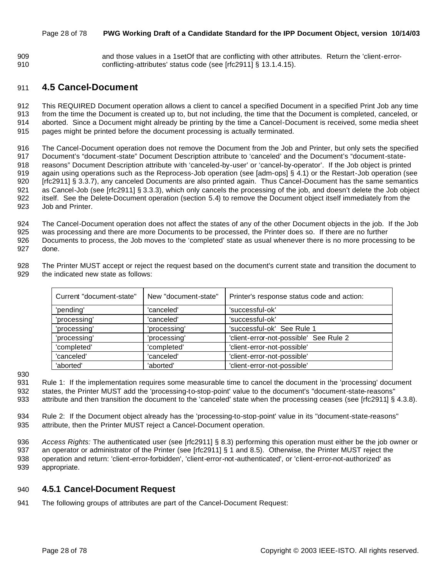#### Page 28 of 78 **PWG Working Draft of a Candidate Standard for the IPP Document Object, version 10/14/03**

 and those values in a 1setOf that are conflicting with other attributes. Return the 'client-error-conflicting-attributes' status code (see [rfc2911] § 13.1.4.15).

# **4.5 Cancel-Document**

 This REQUIRED Document operation allows a client to cancel a specified Document in a specified Print Job any time from the time the Document is created up to, but not including, the time that the Document is completed, canceled, or aborted. Since a Document might already be printing by the time a Cancel-Document is received, some media sheet pages might be printed before the document processing is actually terminated.

 The Cancel-Document operation does not remove the Document from the Job and Printer, but only sets the specified Document's "document-state" Document Description attribute to 'canceled' and the Document's "document-state- reasons" Document Description attribute with 'canceled-by-user' or 'cancel-by-operator'. If the Job object is printed again using operations such as the Reprocess-Job operation (see [adm-ops] § 4.1) or the Restart-Job operation (see [rfc2911] § 3.3.7), any canceled Documents are also printed again. Thus Cancel-Document has the same semantics as Cancel-Job (see [rfc2911] § 3.3.3), which only cancels the processing of the job, and doesn't delete the Job object itself. See the Delete-Document operation (section 5.4) to remove the Document object itself immediately from the Job and Printer.

 The Cancel-Document operation does not affect the states of any of the other Document objects in the job. If the Job was processing and there are more Documents to be processed, the Printer does so. If there are no further Documents to process, the Job moves to the 'completed' state as usual whenever there is no more processing to be done.

 The Printer MUST accept or reject the request based on the document's current state and transition the document to the indicated new state as follows:

| Current "document-state" | New "document-state" | Printer's response status code and action: |  |  |  |
|--------------------------|----------------------|--------------------------------------------|--|--|--|
| 'pending'                | 'canceled'           | 'successful-ok'                            |  |  |  |
| 'processing'             | 'canceled'           | 'successful-ok'                            |  |  |  |
| 'processing'             | 'processing'         | 'successful-ok' See Rule 1                 |  |  |  |
| 'processing'             | 'processing'         | 'client-error-not-possible' See Rule 2     |  |  |  |
| 'completed'              | 'completed'          | 'client-error-not-possible'                |  |  |  |
| 'canceled'               | 'canceled'           | 'client-error-not-possible'                |  |  |  |
| 'aborted'                | 'aborted'            | 'client-error-not-possible'                |  |  |  |

 Rule 1: If the implementation requires some measurable time to cancel the document in the 'processing' document states, the Printer MUST add the 'processing-to-stop-point' value to the document's "document-state-reasons" 933 attribute and then transition the document to the 'canceled' state when the processing ceases (see [rfc2911] § 4.3.8).

- Rule 2: If the Document object already has the 'processing-to-stop-point' value in its "document-state-reasons" attribute, then the Printer MUST reject a Cancel-Document operation.
- *Access Rights:* The authenticated user (see [rfc2911] § 8.3) performing this operation must either be the job owner or an operator or administrator of the Printer (see [rfc2911] § 1 and 8.5). Otherwise, the Printer MUST reject the operation and return: 'client-error-forbidden', 'client-error-not-authenticated', or 'client-error-not-authorized' as appropriate.

### **4.5.1 Cancel-Document Request**

The following groups of attributes are part of the Cancel-Document Request: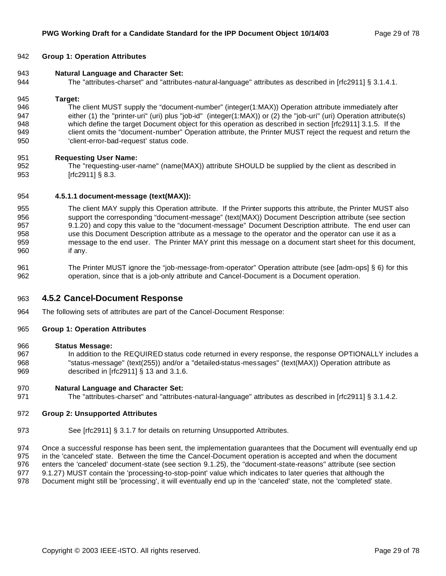#### **Group 1: Operation Attributes**

- **Natural Language and Character Set:**
- The "attributes-charset" and "attributes-natural-language" attributes as described in [rfc2911] § 3.1.4.1.

#### **Target:**

 The client MUST supply the "document-number" (integer(1:MAX)) Operation attribute immediately after 947 either (1) the "printer-uri" (uri) plus "job-id" (integer(1:MAX)) or (2) the "job-uri" (uri) Operation attribute(s) which define the target Document object for this operation as described in section [rfc2911] 3.1.5. If the client omits the "document-number" Operation attribute, the Printer MUST reject the request and return the 'client-error-bad-request' status code.

#### **Requesting User Name:**

 The "requesting-user-name" (name(MAX)) attribute SHOULD be supplied by the client as described in [rfc2911] § 8.3.

#### **4.5.1.1 document-message (text(MAX)):**

- The client MAY supply this Operation attribute. If the Printer supports this attribute, the Printer MUST also support the corresponding "document-message" (text(MAX)) Document Description attribute (see section 9.1.20) and copy this value to the "document-message" Document Description attribute. The end user can use this Document Description attribute as a message to the operator and the operator can use it as a message to the end user. The Printer MAY print this message on a document start sheet for this document, if any.
- The Printer MUST ignore the "job-message-from-operator" Operation attribute (see [adm-ops] § 6) for this operation, since that is a job-only attribute and Cancel-Document is a Document operation.

### **4.5.2 Cancel-Document Response**

The following sets of attributes are part of the Cancel-Document Response:

#### **Group 1: Operation Attributes**

#### **Status Message:**

967 In addition to the REQUIRED status code returned in every response, the response OPTIONALLY includes a "status-message" (text(255)) and/or a "detailed-status-messages" (text(MAX)) Operation attribute as described in [rfc2911] § 13 and 3.1.6.

#### **Natural Language and Character Set:**

971 The "attributes-charset" and "attributes-natural-language" attributes as described in [rfc2911] § 3.1.4.2.

#### **Group 2: Unsupported Attributes**

973 See [rfc2911] § 3.1.7 for details on returning Unsupported Attributes.

 Once a successful response has been sent, the implementation guarantees that the Document will eventually end up in the 'canceled' state. Between the time the Cancel-Document operation is accepted and when the document enters the 'canceled' document-state (see section 9.1.25), the "document-state-reasons" attribute (see section 9.1.27) MUST contain the 'processing-to-stop-point' value which indicates to later queries that although the

Document might still be 'processing', it will eventually end up in the 'canceled' state, not the 'completed' state.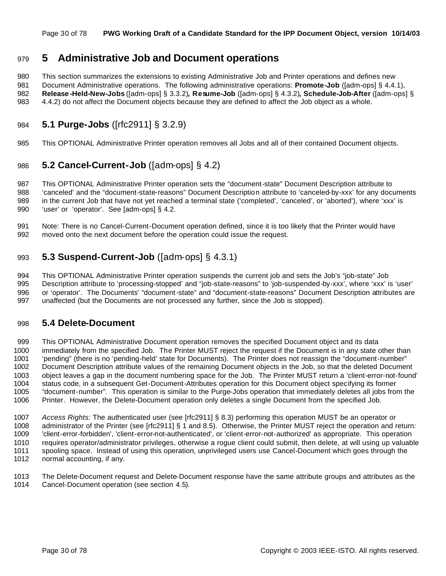#### Page 30 of 78 **PWG Working Draft of a Candidate Standard for the IPP Document Object, version 10/14/03**

# **5 Administrative Job and Document operations**

 This section summarizes the extensions to existing Administrative Job and Printer operations and defines new Document Administrative operations. The following administrative operations: **Promote-Job** ([adm-ops] § 4.4.1), **Release -Held-New-Jobs** ([adm-ops] § 3.3.2)**, Resume-Job** ([adm-ops] § 4.3.2)**, Schedule-Job-After** ([adm-ops] § 4.4.2) do not affect the Document objects because they are defined to affect the Job object as a whole.

# **5.1 Purge-Jobs** ([rfc2911] § 3.2.9)

This OPTIONAL Administrative Printer operation removes all Jobs and all of their contained Document objects.

# **5.2 Cancel-Current-Job** ([adm-ops] § 4.2)

 This OPTIONAL Administrative Printer operation sets the "document-state" Document Description attribute to 'canceled' and the "document-state-reasons" Document Description attribute to 'canceled-by-xxx' for any documents 989 in the current Job that have not yet reached a terminal state ('completed', 'canceled', or 'aborted'), where 'xxx' is 'user' or 'operator'. See [adm-ops] § 4.2.

 Note: There is no Cancel-Current-Document operation defined, since it is too likely that the Printer would have moved onto the next document before the operation could issue the request.

# **5.3 Suspend-Current-Job** ([adm-ops] § 4.3.1)

 This OPTIONAL Administrative Printer operation suspends the current job and sets the Job's "job-state" Job Description attribute to 'processing-stopped' and "job-state-reasons" to 'job-suspended-by-xxx', where 'xxx' is 'user' or 'operator'. The Documents' "document-state" and "document-state-reasons" Document Description attributes are unaffected (but the Documents are not processed any further, since the Job is stopped).

# **5.4 Delete-Document**

 This OPTIONAL Administrative Document operation removes the specified Document object and its data immediately from the specified Job. The Printer MUST reject the request if the Document is in any state other than 'pending" (there is no 'pending-held' state for Documents). The Printer does not reassign the "document-number" Document Description attribute values of the remaining Document objects in the Job, so that the deleted Document object leaves a gap in the document numbering space for the Job. The Printer MUST return a 'client-error-not-found' status code, in a subsequent Get-Document-Attributes operation for this Document object specifying its former "document-number". This operation is similar to the Purge-Jobs operation that immediately deletes all jobs from the Printer. However, the Delete-Document operation only deletes a single Document from the specified Job.

 *Access Rights:* The authenticated user (see [rfc2911] § 8.3) performing this operation MUST be an operator or administrator of the Printer (see [rfc2911] § 1 and 8.5). Otherwise, the Printer MUST reject the operation and return: 'client-error-forbidden', 'client-error-not-authenticated', or 'client-error-not-authorized' as appropriate. This operation requires operator/administrator privileges, otherwise a rogue client could submit, then delete, at will using up valuable spooling space. Instead of using this operation, unprivileged users use Cancel-Document which goes through the normal accounting, if any.

 The Delete-Document request and Delete-Document response have the same attribute groups and attributes as the Cancel-Document operation (see section 4.5).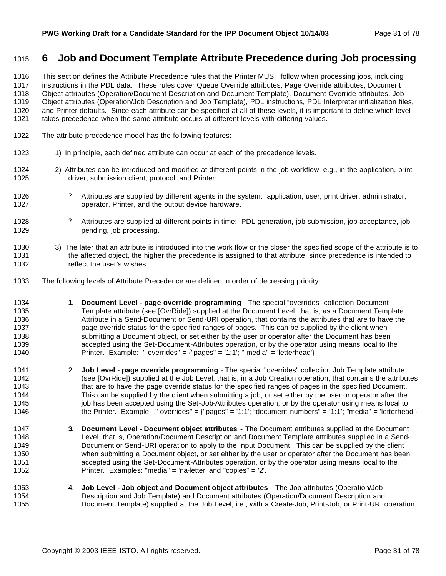# **6 Job and Document Template Attribute Precedence during Job processing**

 This section defines the Attribute Precedence rules that the Printer MUST follow when processing jobs, including instructions in the PDL data. These rules cover Queue Override attributes, Page Override attributes, Document Object attributes (Operation/Document Description and Document Template), Document Override attributes, Job Object attributes (Operation/Job Description and Job Template), PDL instructions, PDL Interpreter initialization files, and Printer defaults. Since each attribute can be specified at all of these levels, it is important to define which level takes precedence when the same attribute occurs at different levels with differing values.

- The attribute precedence model has the following features:
- 1023 1) In principle, each defined attribute can occur at each of the precedence levels.
- 2) Attributes can be introduced and modified at different points in the job workflow, e.g., in the application, print driver, submission client, protocol, and Printer:
- ? Attributes are supplied by different agents in the system: application, user, print driver, administrator, operator, Printer, and the output device hardware.
- ? Attributes are supplied at different points in time: PDL generation, job submission, job acceptance, job pending, job processing.
- 3) The later that an attribute is introduced into the work flow or the closer the specified scope of the attribute is to the affected object, the higher the precedence is assigned to that attribute, since precedence is intended to reflect the user's wishes.
- The following levels of Attribute Precedence are defined in order of decreasing priority:
- **1. Document Level page override programming** The special "overrides" collection Document Template attribute (see [OvrRide]) supplied at the Document Level, that is, as a Document Template Attribute in a Send-Document or Send-URI operation, that contains the attributes that are to have the page override status for the specified ranges of pages. This can be supplied by the client when submitting a Document object, or set either by the user or operator after the Document has been accepted using the Set-Document-Attributes operation, or by the operator using means local to the Printer. Example: " overrides" = {"pages" = '1:1'; " media" = 'letterhead'}
- 2. **Job Level page override programming** The special "overrides" collection Job Template attribute (see [OvrRide]) supplied at the Job Level, that is, in a Job Creation operation, that contains the attributes 1043 that are to have the page override status for the specified ranges of pages in the specified Document. This can be supplied by the client when submitting a job, or set either by the user or operator after the 1045 job has been accepted using the Set-Job-Attributes operation, or by the operator using means local to the Printer. Example: " overrides" = {"pages" = '1:1'; "document-numbers" = '1:1'; "media" = 'letterhead'}
- **3. Document Level Document object attributes -** The Document attributes supplied at the Document Level, that is, Operation/Document Description and Document Template attributes supplied in a Send- Document or Send-URI operation to apply to the Input Document. This can be supplied by the client when submitting a Document object, or set either by the user or operator after the Document has been accepted using the Set-Document-Attributes operation, or by the operator using means local to the Printer. Examples: "media" = 'na-letter' and "copies" = '2'.
- 4. **Job Level Job object and Document object attributes**  The Job attributes (Operation/Job Description and Job Template) and Document attributes (Operation/Document Description and Document Template) supplied at the Job Level, i.e., with a Create-Job, Print-Job, or Print-URI operation.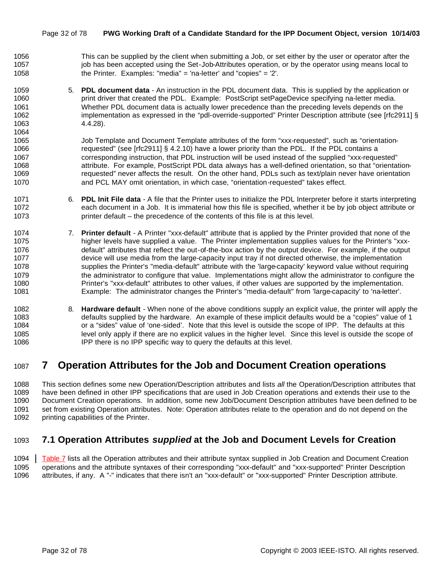#### Page 32 of 78 **PWG Working Draft of a Candidate Standard for the IPP Document Object, version 10/14/03**

- This can be supplied by the client when submitting a Job, or set either by the user or operator after the 1057 iob has been accepted using the Set-Job-Attributes operation, or by the operator using means local to the Printer. Examples: "media" = 'na-letter' and "copies" = '2'.
- 5. **PDL document data**  An instruction in the PDL document data. This is supplied by the application or print driver that created the PDL. Example: PostScript setPageDevice specifying na-letter media. Whether PDL document data is actually lower precedence than the preceding levels depends on the 1062 implementation as expressed in the "pdl-override-supported" Printer Description attribute (see [rfc2911] § 4.4.28).

 Job Template and Document Template attributes of the form "xxx-requested", such as "orientation- requested" (see [rfc2911] § 4.2.10) have a lower priority than the PDL. If the PDL contains a corresponding instruction, that PDL instruction will be used instead of the supplied "xxx-requested" attribute. For example, PostScript PDL data always has a well-defined orientation, so that "orientation- requested" never affects the result. On the other hand, PDLs such as text/plain never have orientation and PCL MAY omit orientation, in which case, "orientation-requested" takes effect.

- 6. **PDL Init File data**  A file that the Printer uses to initialize the PDL Interpreter before it starts interpreting each document in a Job. It is immaterial how this file is specified, whether it be by job object attribute or printer default – the precedence of the contents of this file is at this level.
- 7. **Printer default**  A Printer "xxx-default" attribute that is applied by the Printer provided that none of the higher levels have supplied a value. The Printer implementation supplies values for the Printer's "xxx- default" attributes that reflect the out-of-the-box action by the output device. For example, if the output device will use media from the large-capacity input tray if not directed otherwise, the implementation supplies the Printer's "media-default" attribute with the 'large-capacity' keyword value without requiring 1079 the administrator to configure that value. Implementations might allow the administrator to configure the Printer's "xxx-default" attributes to other values, if other values are supported by the implementation. Example: The administrator changes the Printer's "media-default" from 'large-capacity' to 'na-letter'.
- 8. **Hardware default**  When none of the above conditions supply an explicit value, the printer will apply the defaults supplied by the hardware. An example of these implicit defaults would be a "copies" value of 1 or a "sides" value of 'one-sided'. Note that this level is outside the scope of IPP. The defaults at this level only apply if there are no explicit values in the higher level. Since this level is outside the scope of IPP there is no IPP specific way to query the defaults at this level.

# **7 Operation Attributes for the Job and Document Creation operations**

 This section defines some new Operation/Description attributes and lists *all* the Operation/Description attributes that have been defined in other IPP specifications that are used in Job Creation operations and extends their use to the Document Creation operations. In addition, some new Job/Document Description attributes have been defined to be set from existing Operation attributes. Note: Operation attributes relate to the operation and do not depend on the printing capabilities of the Printer.

# **7.1 Operation Attributes** *supplied* **at the Job and Document Levels for Creation**

 Table 7 lists all the Operation attributes and their attribute syntax supplied in Job Creation and Document Creation operations and the attribute syntaxes of their corresponding "xxx-default" and "xxx-supported" Printer Description attributes, if any. A "-" indicates that there isn't an "xxx-default" or "xxx-supported" Printer Description attribute.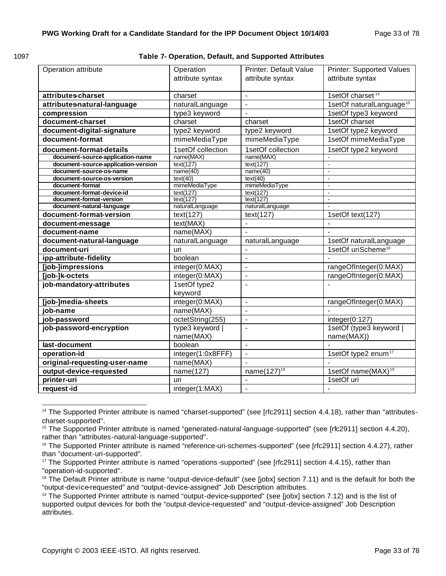| ۰.<br>۰.<br>٠<br>× |  |
|--------------------|--|
|--------------------|--|

**Table 7- Operation, Default, and Supported Attributes** 

| Operation attribute                                                     | Operation<br>attribute syntax | <b>Printer: Default Value</b><br>attribute syntax | <b>Printer: Supported Values</b><br>attribute syntax |
|-------------------------------------------------------------------------|-------------------------------|---------------------------------------------------|------------------------------------------------------|
| attributes-charset                                                      | charset                       | $\overline{a}$                                    | 1setOf charset <sup>14</sup>                         |
| attributes-natural-language                                             | naturalLanguage               | $\overline{a}$                                    | 1setOf naturalLanguage <sup>15</sup>                 |
| compression                                                             | type3 keyword                 | $\overline{a}$                                    | 1setOf type3 keyword                                 |
| document-charset                                                        | charset                       | charset                                           | 1setOf charset                                       |
| document-digital-signature                                              | type2 keyword                 | type2 keyword                                     | 1setOf type2 keyword                                 |
| document-format                                                         | mimeMediaType                 | mimeMediaType                                     | 1setOf mimeMediaType                                 |
|                                                                         |                               |                                                   |                                                      |
| document-format-details                                                 | 1setOf collection             | 1setOf collection                                 | 1setOf type2 keyword                                 |
| document-source-application-name<br>document-source-application-version | name(MAX)<br>text(127)        | name(MAX)<br>text(127)                            |                                                      |
| document-source-os-name                                                 | name(40)                      | name(40)                                          | $\overline{a}$                                       |
| document-source-os-version                                              | text(40)                      | text(40)                                          | $\overline{a}$                                       |
| document-format                                                         | mimeMediaType                 | mimeMediaType                                     | ÷,                                                   |
| document-format-device-id                                               | text(127)                     | text(127)                                         | $\blacksquare$                                       |
| document-format-version                                                 | text(127)                     | text(127)                                         | $\overline{\phantom{a}}$                             |
| document-natural-language                                               | naturalLanguage               | naturalLanguage                                   | $\overline{a}$                                       |
| document-format-version                                                 | text(127)                     | text(127)                                         | 1setOf text(127)                                     |
| document-message                                                        | text(MAX)                     | $\overline{a}$                                    |                                                      |
| document-name                                                           | name(MAX)                     |                                                   |                                                      |
| document-natural-language                                               | naturalLanguage               | naturalLanguage                                   | 1setOf naturalLanguage                               |
| document-uri                                                            | uri                           |                                                   | 1setOf uriScheme <sup>16</sup>                       |
| ipp-attribute-fidelity                                                  | boolean                       | $\overline{a}$                                    |                                                      |
| [job-]impressions                                                       | integer(0:MAX)                | $\overline{a}$                                    | rangeOfInteger(0:MAX)                                |
| [job-]k-octets                                                          | integer(0:MAX)                | $\blacksquare$                                    | rangeOfInteger(0:MAX)                                |
| job-mandatory-attributes                                                | 1setOf type2<br>keyword       |                                                   | L.                                                   |
| [job-]media-sheets                                                      | $\overline{integer(0:MAX)}$   | $\blacksquare$                                    | rangeOfInteger(0:MAX)                                |
| iob-name                                                                | name(MAX)                     | $\overline{a}$                                    |                                                      |
| job-password                                                            | octetString(255)              | $\blacksquare$                                    | integer(0:127)                                       |
| job-password-encryption                                                 | type3 keyword                 | $\overline{a}$                                    | 1setOf (type3 keyword                                |
|                                                                         | name(MAX)                     |                                                   | name(MAX))                                           |
| last-document                                                           | boolean                       | $\overline{a}$                                    |                                                      |
| operation-id                                                            | integer(1:0x8FFF)             | $\overline{a}$                                    | 1setOf type2 enum <sup>17</sup>                      |
| original-requesting-user-name                                           | name(MAX)                     |                                                   |                                                      |
| output-device-requested                                                 | name(127)                     | name $(127)^{18}$                                 | 1setOf name(MAX) <sup>19</sup>                       |
| printer-uri                                                             | uri                           | $\overline{a}$                                    | 1setOf uri                                           |
| request-id                                                              | integer(1:MAX)                | $\blacksquare$                                    | L,                                                   |

 <sup>14</sup> The Supported Printer attribute is named "charset-supported" (see [rfc2911] section 4.4.18), rather than "attributescharset-supported".

<sup>15</sup> The Supported Printer attribute is named "generated-natural-language-supported" (see [rfc2911] section 4.4.20), rather than "attributes-natural-language-supported".

<sup>&</sup>lt;sup>16</sup> The Supported Printer attribute is named "reference-uri-schemes-supported" (see [rfc2911] section 4.4.27), rather than "document-uri-supported".

<sup>&</sup>lt;sup>17</sup> The Supported Printer attribute is named "operations-supported" (see [rfc2911] section 4.4.15), rather than "operation-id-supported".

<sup>&</sup>lt;sup>18</sup> The Default Printer attribute is name "output-device-default" (see [jobx] section 7.11) and is the default for both the "output-device-requested" and "output-device-assigned" Job Description attributes.

<sup>&</sup>lt;sup>19</sup> The Supported Printer attribute is named "output-device-supported" (see [jobx] section 7.12) and is the list of supported output devices for both the "output-device-requested" and "output-device-assigned" Job Description attributes.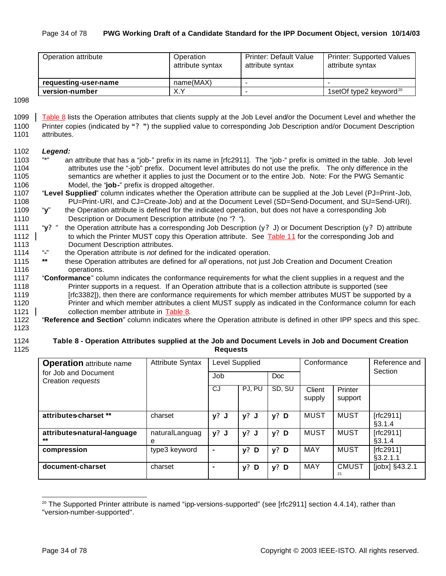#### Page 34 of 78 **PWG Working Draft of a Candidate Standard for the IPP Document Object, version 10/14/03**

| Operation attribute  | Operation<br>attribute syntax | <b>Printer: Default Value</b><br>attribute syntax | <b>Printer: Supported Values</b><br>attribute syntax |
|----------------------|-------------------------------|---------------------------------------------------|------------------------------------------------------|
| requesting-user-name | name(MAX)                     | -                                                 |                                                      |
| version-number       | X.Y                           | -                                                 | 1setOf type2 keyword <sup>20</sup>                   |

1098

1099 Table 8 lists the Operation attributes that clients supply at the Job Level and/or the Document Level and whether the 1100 Printer copies (indicated by **"? "**) the supplied value to corresponding Job Description and/or Document Description 1101 attributes.

#### 1102 *Legend:*

- 1103 "\*" an attribute that has a "job-" prefix in its name in [rfc2911]. The "job-" prefix is omitted in the table. Job level 1104 attributes use the "-job" prefix. Document level attributes do not use the prefix. The only difference in the 1105 semantics are whether it applies to just the Document or to the entire Job. Note: For the PWG Semantic 1106 Model, the "**job-**" prefix is dropped altogether.
- 1107 "**Level Supplied**" column indicates whether the Operation attribute can be supplied at the Job Level (PJ=Print-Job, 1108 PU=Print-URI, and CJ=Create-Job) and at the Document Level (SD=Send-Document, and SU=Send-URI).
- 1109 "**y**" the Operation attribute is defined for the indicated operation, but does not have a corresponding Job 1110 Description or Document Description attribute (no "**?** ").
- 1111 "**y?** " the Operation attribute has a corresponding Job Description (y**?** J) or Document Description (y**?** D) attribute 1112 to which the Printer MUST copy this Operation attribute. See Table 11 for the corresponding Job and 1113 Document Description attributes.<br>1114 "-" the Operation attribute is not define
- 1114 "**-**" the Operation attribute is *not* defined for the indicated operation.
- 1115 **\*\*** these Operation attributes are defined for *all* operations, not just Job Creation and Document Creation 1116 operations.
- 1117 "**Conformance**" column indicates the conformance requirements for what the client supplies in a request and the 1118 Printer supports in a request. If an Operation attribute that is a collection attribute is supported (see 1119 [rfc3382]), then there are conformance requirements for which member attributes MUST be supported by a 1120 Printer and which member attributes a client MUST supply as indicated in the Conformance column for each 1121 collection member attribute in Table 8.
- 1122 "**Reference and Section**" column indicates where the Operation attribute is defined in other IPP specs and this spec.
- 1123

#### 1124 **Table 8 - Operation Attributes supplied at the Job and Document Levels in Job and Document Creation**  1125 **Requests**

| <b>Operation</b> attribute name           | <b>Attribute Syntax</b> | Level Supplied |            |            | Conformance      |                    | Reference and<br>Section |
|-------------------------------------------|-------------------------|----------------|------------|------------|------------------|--------------------|--------------------------|
| for Job and Document<br>Creation requests |                         | Job            |            | <b>Doc</b> |                  |                    |                          |
|                                           |                         | CJ             | PJ. PU     | SD, SU     | Client<br>supply | Printer<br>support |                          |
| attributes-charset **                     | charset                 | $y?$ J         | $y?$ J     | $y?$ D     | <b>MUST</b>      | <b>MUST</b>        | [rfc2911]<br>§3.1.4      |
| attributes-natural-language<br>$***$      | naturalLanguag<br>е     | $y?$ J         | $y?$ J     | $y?$ D     | MUST             | <b>MUST</b>        | [rfc2911]<br>§3.1.4      |
| compression                               | type3 keyword           |                | $y$ ?<br>D | $y?$ D     | MAY              | <b>MUST</b>        | [rfc2911]<br>§3.2.1.1    |
| document-charset                          | charset                 |                | $y?$ D     | $y?$ D     | MAY              | <b>CMUST</b><br>21 | $[jobx]$ §43.2.1         |

 $20$  The Supported Printer attribute is named "ipp-versions-supported" (see [rfc2911] section 4.4.14), rather than "version-number-supported".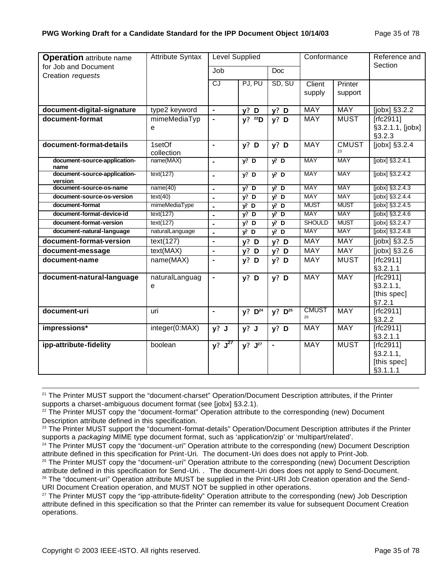| <b>Operation</b> attribute name         | <b>Attribute Syntax</b> | Level Supplied       |                      |                | Conformance        |              | Reference and                                       |
|-----------------------------------------|-------------------------|----------------------|----------------------|----------------|--------------------|--------------|-----------------------------------------------------|
| for Job and Document                    |                         | Job                  |                      | <b>Doc</b>     |                    |              | Section                                             |
| Creation requests                       |                         | <b>CJ</b>            | PJ, PU               | SD, SU         | Client             | Printer      |                                                     |
|                                         |                         |                      |                      |                | supply             | support      |                                                     |
| document-digital-signature              | type2 keyword           | $\blacksquare$       | $y?$ D               | $y?$ D         | <b>MAY</b>         | <b>MAY</b>   | [ $jobs$ ] $§3.2.2$                                 |
| document-format                         | mimeMediaTyp<br>e       | $\blacksquare$       | y? <sup>22</sup> D   | $y?$ D         | MAY                | <b>MUST</b>  | [rfc2911]<br>§3.2.1.1, [jobx]<br>§3.2.3             |
| document-format-details                 | 1setOf<br>collection    | $\blacksquare$       | $y?$ D               | $y?$ D         | <b>MAY</b>         | <b>CMUST</b> | [jobx] $§3.\overline{2.4}$                          |
| document-source-application-<br>name    | name(MAX)               | $\blacksquare$       | $y$ ? D              | $yi$ D         | <b>MAY</b>         | <b>MAY</b>   | [jobx] §3.2.4.1                                     |
| document-source-application-<br>version | text(127)               | $\blacksquare$       | $y$ ? D              | $y^p$ D        | <b>MAY</b>         | <b>MAY</b>   | [jobx] §3.2.4.2                                     |
| document-source-os-name                 | name(40)                | $\blacksquare$       | $y$ ? D              | $yi$ D         | <b>MAY</b>         | <b>MAY</b>   | [jobx] §3.2.4.3                                     |
| document-source-os-version              | text(40)                | $\blacksquare$       | $y$ ? D              | $y^p$ D        | <b>MAY</b>         | <b>MAY</b>   | $[jobx]$ §3.2.4.4                                   |
| document-format                         | mimeMediaType           | $\mathbf{r}$         | $y$ <sup>2</sup> , D | $y^p$ D        | <b>MUST</b>        | <b>MUST</b>  | $[jobx]$ §3.2.4.5                                   |
| document-format-device-id               | text(127)               | $\blacksquare$       | $y$ ? D              | $y^p$ D        | <b>MAY</b>         | <b>MAY</b>   | [jobx] §3.2.4.6                                     |
| document-format-version                 | text(127)               | $\blacksquare$       | $y$ ? D              | $y^p$ D        | <b>SHOULD</b>      | <b>MUST</b>  | [jobx] §3.2.4.7                                     |
| document-natural-language               | naturalLanguage         | $\blacksquare$       | $\sqrt{2}$ D         | $y^p$ D        | <b>MAY</b>         | <b>MAY</b>   | [jobx] §3.2.4.8                                     |
| document-format-version                 | text(127)               | $\blacksquare$       | $y?$ D               | $y?$ D         | <b>MAY</b>         | <b>MAY</b>   | [jobx] §3.2.5                                       |
| document-message                        | text(MAX)               | ä,                   | $y?$ D               | $y?$ D         | <b>MAY</b>         | <b>MAY</b>   | $[jobx]$ §3.2.6                                     |
| document-name                           | name(MAX)               |                      | $y?$ D               | $y?$ D         | <b>MAY</b>         | <b>MUST</b>  | $[rfc2911]$<br>§3.2.1.1                             |
| document-natural-language               | naturalLanguag<br>е     |                      | $y?$ D               | $y?$ D         | <b>MAY</b>         | <b>MAY</b>   | $[rfc2911]$<br>§3.2.1.1,<br>[this spec]<br>§7.2.1   |
| document-uri                            | uri                     | $\blacksquare$       | $y? \quad D^{24}$    | $y?$ $D^{25}$  | <b>CMUST</b><br>26 | <b>MAY</b>   | [ $rfc2911$ ]<br>§3.2.2                             |
| impressions*                            | integer(0:MAX)          | $y?$ J               | $y?$ J               | $y?$ D         | <b>MAY</b>         | <b>MAY</b>   | [rfc2911]<br>§3.2.1.1                               |
| ipp-attribute-fidelity                  | boolean                 | $y?$ J <sup>27</sup> | y? J <sup>27</sup>   | $\blacksquare$ | <b>MAY</b>         | <b>MUST</b>  | $[rfc2911]$<br>§3.2.1.1,<br>[this spec]<br>§3.1.1.1 |

<sup>&</sup>lt;sup>21</sup> The Printer MUST support the "document-charset" Operation/Document Description attributes, if the Printer supports a charset-ambiguous document format (see [jobx] §3.2.1).

<sup>&</sup>lt;sup>22</sup> The Printer MUST copy the "document-format" Operation attribute to the corresponding (new) Document Description attribute defined in this specification.

<sup>&</sup>lt;sup>23</sup> The Printer MUST support the "document-format-details" Operation/Document Description attributes if the Printer supports a *packaging* MIME type document format, such as 'application/zip' or 'multipart/related'.

<sup>&</sup>lt;sup>24</sup> The Printer MUST copy the "document-uri" Operation attribute to the corresponding (new) Document Description attribute defined in this specification for Print-Uri. The document-Uri does does not apply to Print-Job.

<sup>&</sup>lt;sup>25</sup> The Printer MUST copy the "document-uri" Operation attribute to the corresponding (new) Document Description attribute defined in this specification for Send-Uri. . The document-Uri does does not apply to Send-Document.

<sup>&</sup>lt;sup>26</sup> The "document-uri" Operation attribute MUST be supplied in the Print-URI Job Creation operation and the Send-URI Document Creation operation, and MUST NOT be supplied in other operations.

<sup>&</sup>lt;sup>27</sup> The Printer MUST copy the "ipp-attribute-fidelity" Operation attribute to the corresponding (new) Job Description attribute defined in this specification so that the Printer can remember its value for subsequent Document Creation operations.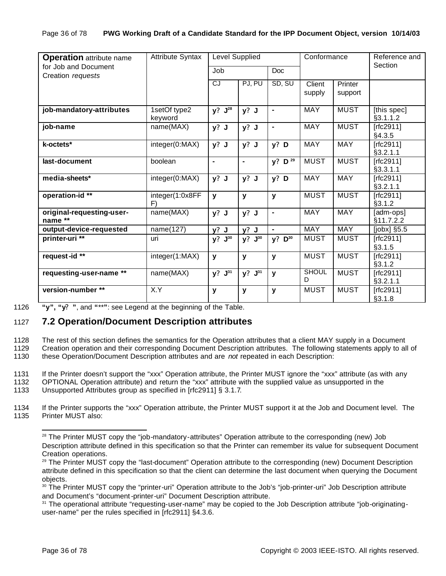| <b>Operation</b> attribute name           | <b>Attribute Syntax</b> | Level Supplied |                      |                    | Conformance       |                    | Reference and<br>Section |
|-------------------------------------------|-------------------------|----------------|----------------------|--------------------|-------------------|--------------------|--------------------------|
| for Job and Document<br>Creation requests |                         | Job            |                      | <b>Doc</b>         |                   |                    |                          |
|                                           |                         | CJ             | PJ, PU               | SD, SU             | Client<br>supply  | Printer<br>support |                          |
| job-mandatory-attributes                  | 1setOf type2<br>keyword | $y? J^{28}$    | $y?$ J               | $\blacksquare$     | <b>MAY</b>        | <b>MUST</b>        | [this spec]<br>§3.1.1.2  |
| job-name                                  | name(MAX)               | $y?$ J         | $y?$ J               | $\blacksquare$     | <b>MAY</b>        | <b>MUST</b>        | [rfc2911]<br>§4.3.5      |
| k-octets*                                 | integer(0:MAX)          | $y?$ J         | y? J                 | $y?$ D             | <b>MAY</b>        | MAY                | $[rfc2911]$<br>§3.2.1.1  |
| last-document                             | boolean                 | ۰              | $\blacksquare$       | y? D <sup>29</sup> | <b>MUST</b>       | <b>MUST</b>        | $[rfc2911]$<br>§3.3.1.1  |
| media-sheets*                             | integer(0:MAX)          | $y?$ J         | $y?$ J               | $y?$ D             | <b>MAY</b>        | <b>MAY</b>         | $[rfc2911]$<br>§3.2.1.1  |
| operation-id **                           | integer(1:0x8FF<br>F)   | y              | y                    | $\mathbf{y}$       | <b>MUST</b>       | <b>MUST</b>        | $[rfc2911]$<br>§3.1.2    |
| original-requesting-user-<br>name **      | name(MAX)               | $y?$ J         | $y?$ J               | $\blacksquare$     | <b>MAY</b>        | MAY                | [adm-ops]<br>§11.7.2.2   |
| output-device-requested                   | name(127)               | $y?$ J         | $y?$ J               | $\blacksquare$     | <b>MAY</b>        | <b>MAY</b>         | [jobx] §5.5              |
| printer-uri <sup>**</sup>                 | uri                     | y? J30         | y?<br>${\bf J}^{30}$ | y?<br>$D^{30}$     | <b>MUST</b>       | <b>MUST</b>        | $[rfc2911]$<br>§3.1.5    |
| request-id **                             | integer(1:MAX)          | у              | у                    | y                  | <b>MUST</b>       | <b>MUST</b>        | [rfc2911]<br>§3.1.2      |
| requesting-user-name **                   | name(MAX)               | y? J31         | $y? J^{31}$          | $\mathbf{y}$       | <b>SHOUL</b><br>D | <b>MUST</b>        | [rfc2911]<br>§3.2.1.1    |
| version-number**                          | X.Y                     | У              | у                    | y                  | <b>MUST</b>       | <b>MUST</b>        | $[rfc2911]$<br>§3.1.8    |

1126 **"y", "y? "**, and **"**\*\***"**: see Legend at the beginning of the Table.

# 1127 **7.2 Operation/Document Description attributes**

1128 The rest of this section defines the semantics for the Operation attributes that a client MAY supply in a Document

1129 Creation operation and their corresponding Document Description attributes. The following statements apply to all of 1130 these Operation/Document Description attributes and are *not* repeated in each Description:

1131 If the Printer doesn't support the "xxx" Operation attribute, the Printer MUST ignore the "xxx" attribute (as with any

1132 OPTIONAL Operation attribute) and return the "xxx" attribute with the supplied value as unsupported in the

1133 Unsupported Attributes group as specified in [rfc2911] § 3.1.7.

1134 If the Printer supports the "xxx" Operation attribute, the Printer MUST support it at the Job and Document level. The 1135 Printer MUST also:

<sup>&</sup>lt;sup>28</sup> The Printer MUST copy the "job-mandatory-attributes" Operation attribute to the corresponding (new) Job Description attribute defined in this specification so that the Printer can remember its value for subsequent Document Creation operations.

<sup>&</sup>lt;sup>29</sup> The Printer MUST copy the "last-document" Operation attribute to the corresponding (new) Document Description attribute defined in this specification so that the client can determine the last document when querying the Document objects.

<sup>30</sup> The Printer MUST copy the "printer-uri" Operation attribute to the Job's "job-printer-uri" Job Description attribute and Document's "document-printer-uri" Document Description attribute.

<sup>&</sup>lt;sup>31</sup> The operational attribute "requesting-user-name" may be copied to the Job Description attribute "job-originatinguser-name" per the rules specified in [rfc2911] §4.3.6.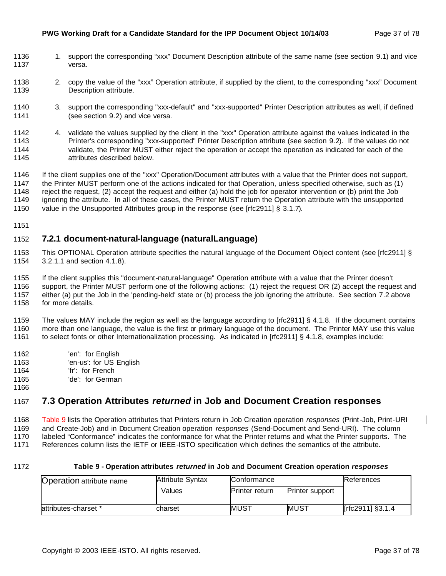#### **PWG Working Draft for a Candidate Standard for the IPP Document Object 10/14/03** Page 37 of 78

- 1136 1. support the corresponding "xxx" Document Description attribute of the same name (see section 9.1) and vice versa.
- 1138 2. copy the value of the "xxx" Operation attribute, if supplied by the client, to the corresponding "xxx" Document Description attribute.
- 3. support the corresponding "xxx-default" and "xxx-supported" Printer Description attributes as well, if defined (see section 9.2) and vice versa.
- 4. validate the values supplied by the client in the "xxx" Operation attribute against the values indicated in the Printer's corresponding "xxx-supported" Printer Description attribute (see section 9.2). If the values do not validate, the Printer MUST either reject the operation or accept the operation as indicated for each of the attributes described below.
- If the client supplies one of the "xxx" Operation/Document attributes with a value that the Printer does not support, the Printer MUST perform one of the actions indicated for that Operation, unless specified otherwise, such as (1) reject the request, (2) accept the request and either (a) hold the job for operator intervention or (b) print the Job ignoring the attribute. In all of these cases, the Printer MUST return the Operation attribute with the unsupported
- 1150 value in the Unsupported Attributes group in the response (see [rfc2911] § 3.1.7).
- 

## **7.2.1 document-natural-language (naturalLanguage)**

 This OPTIONAL Operation attribute specifies the natural language of the Document Object content (see [rfc2911] § 3.2.1.1 and section 4.1.8).

If the client supplies this "document-natural-language" Operation attribute with a value that the Printer doesn't

- support, the Printer MUST perform one of the following actions: (1) reject the request OR (2) accept the request and either (a) put the Job in the 'pending-held' state or (b) process the job ignoring the attribute. See section 7.2 above
- for more details.

 The values MAY include the region as well as the language according to [rfc2911] § 4.1.8. If the document contains more than one language, the value is the first or primary language of the document. The Printer MAY use this value to select fonts or other Internationalization processing. As indicated in [rfc2911] § 4.1.8, examples include:

- 'en': for English
- 'en-us': for US English
- 'fr': for French
- 'de': for German
- 

## **7.3 Operation Attributes** *returned* **in Job and Document Creation responses**

Table 9 lists the Operation attributes that Printers return in Job Creation operation *responses* (Print-Job, Print-URI

- and Create-Job) and in Document Creation operation *responses* (Send-Document and Send-URI). The column
- labeled "Conformance" indicates the conformance for what the Printer returns and what the Printer supports. The

References column lists the IETF or IEEE-ISTO specification which defines the semantics of the attribute.

#### **Table 9 - Operation attributes** *returned* **in Job and Document Creation operation** *responses*

| <b>Operation attribute name</b> | <b>Attribute Syntax</b> | Conformance           |                        | References       |
|---------------------------------|-------------------------|-----------------------|------------------------|------------------|
|                                 | <b>Values</b>           | <b>Printer return</b> | <b>Printer support</b> |                  |
| attributes-charset *            | charset                 | MUST                  | IMUST                  | [rfc2911] §3.1.4 |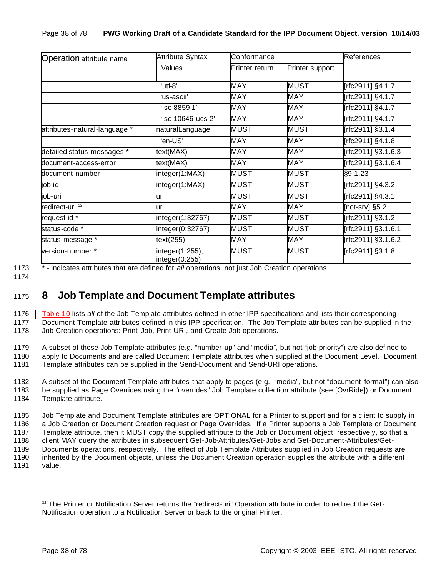| <b>Operation</b> attribute name | <b>Attribute Syntax</b>           | Conformance    |                 | References         |
|---------------------------------|-----------------------------------|----------------|-----------------|--------------------|
|                                 | Values                            | Printer return | Printer support |                    |
|                                 | 'utf-8"                           | <b>MAY</b>     | MUST            | [rfc2911] §4.1.7   |
|                                 | 'us-ascii'                        | <b>MAY</b>     | <b>MAY</b>      | [rfc2911] §4.1.7   |
|                                 | 'iso-8859-1'                      | <b>MAY</b>     | <b>MAY</b>      | [rfc2911] §4.1.7   |
|                                 | $'$ iso-10646-ucs-2'              | <b>MAY</b>     | <b>MAY</b>      | [rfc2911] §4.1.7   |
| attributes-natural-language *   | naturalLanguage                   | <b>MUST</b>    | <b>MUST</b>     | [rfc2911] §3.1.4   |
|                                 | 'en-US'                           | <b>MAY</b>     |                 | [rfc2911] §4.1.8   |
| detailed-status-messages *      | text(MAX)                         | <b>MAY</b>     | <b>MAY</b>      | [rfc2911] §3.1.6.3 |
| document-access-error           | text(MAX)                         | <b>MAY</b>     | MAY             | [rfc2911] §3.1.6.4 |
| document-number                 | integer(1:MAX)                    | <b>MUST</b>    | <b>MUST</b>     | §9.1.23            |
| job-id                          | integer(1:MAX)                    | <b>MUST</b>    | <b>MUST</b>     | [rfc2911] §4.3.2   |
| job-uri                         | luri                              | <b>MUST</b>    | <b>MUST</b>     | [rfc2911] §4.3.1   |
| redirect-uri <sup>32</sup>      | luri                              | <b>MAY</b>     | <b>MAY</b>      | [not-srv] §5.2     |
| request-id *                    | integer(1:32767)                  | <b>MUST</b>    | <b>MUST</b>     | [rfc2911] §3.1.2   |
| status-code *                   | integer(0:32767)                  | <b>MUST</b>    | <b>MUST</b>     | [rfc2911] §3.1.6.1 |
| status-message *                | text(255)                         | <b>MAY</b>     | MAY             | [rfc2911] §3.1.6.2 |
| version-number *                | integer(1:255),<br>integer(0:255) | <b>MUST</b>    | MUST            | [rfc2911] §3.1.8   |

1173 \* - indicates attributes that are defined for *all* operations, not just Job Creation operations

# <sup>1175</sup> **8 Job Template and Document Template attributes**

1176 Table 10 lists *all* of the Job Template attributes defined in other IPP specifications and lists their corresponding 1177 Document Template attributes defined in this IPP specification. The Job Template attributes can be supplied in the 1178 Job Creation operations: Print-Job, Print-URI, and Create-Job operations.

1179 A subset of these Job Template attributes (e.g. "number-up" and "media", but not "job-priority") are also defined to 1180 apply to Documents and are called Document Template attributes when supplied at the Document Level. Document 1181 Template attributes can be supplied in the Send-Document and Send-URI operations.

1182 A subset of the Document Template attributes that apply to pages (e.g., "media", but not "document-format") can also 1183 be supplied as Page Overrides using the "overrides" Job Template collection attribute (see [OvrRide]) or Document 1184 Template attribute.

 Job Template and Document Template attributes are OPTIONAL for a Printer to support and for a client to supply in a Job Creation or Document Creation request or Page Overrides. If a Printer supports a Job Template or Document Template attribute, then it MUST copy the supplied attribute to the Job or Document object, respectively, so that a client MAY query the attributes in subsequent Get-Job-Attributes/Get-Jobs and Get-Document-Attributes/Get- Documents operations, respectively. The effect of Job Template Attributes supplied in Job Creation requests are inherited by the Document objects, unless the Document Creation operation supplies the attribute with a different

1191 value.

<sup>&</sup>lt;sup>32</sup> The Printer or Notification Server returns the "redirect-uri" Operation attribute in order to redirect the Get-Notification operation to a Notification Server or back to the original Printer.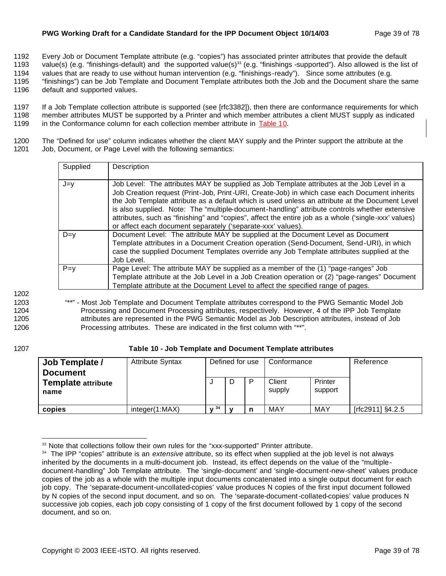## **PWG Working Draft for a Candidate Standard for the IPP Document Object 10/14/03** Page 39 of 78

1192 Every Job or Document Template attribute (e.g. "copies") has associated printer attributes that provide the default

1193 value(s) (e.g. "finishings-default) and the supported value(s)<sup>33</sup> (e.g. "finishings -supported"). Also allowed is the list of

1194 values that are ready to use without human intervention (e.g. "finishings-ready"). Since some attributes (e.g. 1195 "finishings") can be Job Template and Document Template attributes both the Job and the Document share the same

1196 default and supported values.

1197 If a Job Template collection attribute is supported (see [rfc3382]), then there are conformance requirements for which 1198 member attributes MUST be supported by a Printer and which member attributes a client MUST supply as indicated 1199 in the Conformance column for each collection member attribute in Table 10.

1200 The "Defined for use" column indicates whether the client MAY supply and the Printer support the attribute at the 1201 Job, Document, or Page Level with the following semantics:

| Supplied | Description                                                                                                                                                                                                                                                                                                                                                                                                                                                                                                                                                           |
|----------|-----------------------------------------------------------------------------------------------------------------------------------------------------------------------------------------------------------------------------------------------------------------------------------------------------------------------------------------------------------------------------------------------------------------------------------------------------------------------------------------------------------------------------------------------------------------------|
| $J=y$    | Job Level: The attributes MAY be supplied as Job Template attributes at the Job Level in a<br>Job Creation request (Print-Job, Print-URI, Create-Job) in which case each Document inherits<br>the Job Template attribute as a default which is used unless an attribute at the Document Level<br>is also supplied. Note: The "multiple-document-handling" attribute controls whether extensive<br>attributes, such as "finishing" and "copies", affect the entire job as a whole ('single-xxx' values)<br>or affect each document separately ('separate-xxx' values). |
| $D=v$    | Document Level: The attribute MAY be supplied at the Document Level as Document<br>Template attributes in a Document Creation operation (Send-Document, Send-URI), in which<br>case the supplied Document Templates override any Job Template attributes supplied at the<br>Job Level.                                                                                                                                                                                                                                                                                |
| $P = v$  | Page Level: The attribute MAY be supplied as a member of the (1) "page-ranges" Job<br>Template attribute at the Job Level in a Job Creation operation or (2) "page-ranges" Document<br>Template attribute at the Document Level to affect the specified range of pages.                                                                                                                                                                                                                                                                                               |

1202

 "\*\*" - Most Job Template and Document Template attributes correspond to the PWG Semantic Model Job Processing and Document Processing attributes, respectively. However, 4 of the IPP Job Template attributes are represented in the PWG Semantic Model as Job Description attributes, instead of Job Processing attributes. These are indicated in the first column with "\*\*".

## 1207 **Table 10 - Job Template and Document Template attributes**

| Job Template /<br><b>Document</b><br><b>Template attribute</b><br>name | <b>Attribute Syntax</b> |      | Defined for use<br>D | Conformance<br>Client<br>supply | Printer<br>support | Reference        |
|------------------------------------------------------------------------|-------------------------|------|----------------------|---------------------------------|--------------------|------------------|
| copies                                                                 | integer(1:MAX)          | 1.34 |                      | MAY                             | <b>MAY</b>         | [rfc2911] §4.2.5 |

<sup>&</sup>lt;sup>33</sup> Note that collections follow their own rules for the "xxx-supported" Printer attribute.

<sup>34</sup> The IPP "copies" attribute is an *extensive* attribute, so its effect when supplied at the job level is not always inherited by the documents in a multi-document job. Instead, its effect depends on the value of the "multipledocument-handling" Job Template attribute. The 'single-document' and 'single-document-new-sheet' values produce copies of the job as a whole with the multiple input documents concatenated into a single output document for each job copy. The 'separate-document-uncollated-copies' value produces N copies of the first input document followed by N copies of the second input document, and so on. The 'separate-document-collated-copies' value produces N successive job copies, each job copy consisting of 1 copy of the first document followed by 1 copy of the second document, and so on.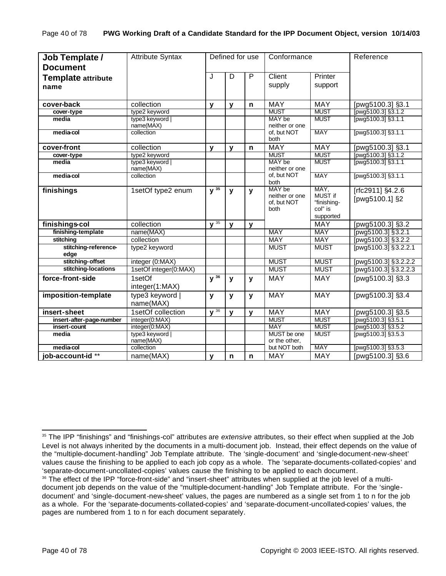| Job Template /               | <b>Attribute Syntax</b>      |                     |              | Defined for use | Conformance                                     |                                                        | Reference                          |
|------------------------------|------------------------------|---------------------|--------------|-----------------|-------------------------------------------------|--------------------------------------------------------|------------------------------------|
| <b>Document</b>              |                              |                     |              |                 |                                                 |                                                        |                                    |
| <b>Template attribute</b>    |                              | J                   | D            | P               | Client                                          | Printer                                                |                                    |
| name                         |                              |                     |              |                 | supply                                          | support                                                |                                    |
|                              |                              |                     |              |                 |                                                 |                                                        |                                    |
| cover-back                   | collection                   | $\mathbf{v}$        | $\mathbf{v}$ | $\mathbf n$     | <b>MAY</b>                                      | <b>MAY</b>                                             | [pwg5100.3] §3.1                   |
| cover-type                   | type2 keyword                |                     |              |                 | <b>MUST</b>                                     | <b>MUST</b>                                            | [pwg5100.3] §3.1.2                 |
| media                        | type3 keyword  <br>name(MAX) |                     |              |                 | MAY be<br>neither or one                        | <b>MUST</b>                                            | [pwg5100.3] §3.1.1                 |
| media-col                    | collection                   |                     |              |                 | of, but NOT<br>both                             | <b>MAY</b>                                             | [pwg5100.3] §3.1.1                 |
| cover-front                  | collection                   | $\mathbf{v}$        | $\mathbf{y}$ | n               | <b>MAY</b>                                      | <b>MAY</b>                                             | [pwg5100.3] §3.1                   |
| cover-type                   | type2 keyword                |                     |              |                 | <b>MUST</b>                                     | <b>MUST</b>                                            | [pwg5100.3] §3.1.2                 |
| media                        | type3 keyword  <br>name(MAX) |                     |              |                 | MAY be<br>neither or one                        | <b>MUST</b>                                            | [pwg5100.3] §3.1.1                 |
| media-col                    | collection                   |                     |              |                 | of, but NOT<br>both                             | <b>MAY</b>                                             | [pwg5100.3] §3.1.1                 |
| finishings                   | 1setOf type2 enum            | $y^{35}$            | $\mathbf{y}$ | y               | MAY be<br>neither or one<br>of, but NOT<br>both | MAY,<br>MUST if<br>"finishing-<br>col" is<br>supported | [rfc2911] §4.2.6<br>[pwg5100.1] §2 |
| finishings-col               | collection                   | $\sqrt{35}$         | $\mathbf v$  | v               |                                                 | <b>MAY</b>                                             | [pwg5100.3] §3.2                   |
| finishing-template           | name(MAX)                    |                     |              |                 | <b>MAY</b>                                      | <b>MAY</b>                                             | [pwg5100.3] §3.2.1                 |
| stitching                    | collection                   |                     |              |                 | <b>MAY</b>                                      | <b>MAY</b>                                             | [pwg5100.3] §3.2.2                 |
| stitching-reference-<br>edge | type2 keyword                |                     |              |                 | <b>MUST</b>                                     | <b>MUST</b>                                            | [pwg5100.3] §3.2.2.1               |
| stitching-offset             | integer (0:MAX)              |                     |              |                 | <b>MUST</b>                                     | <b>MUST</b>                                            | [pwg5100.3] §3.2.2.2               |
| stitching-locations          | 1setOf integer(0:MAX)        |                     |              |                 | <b>MUST</b>                                     | <b>MUST</b>                                            | [pwg5100.3] §3.2.2.3               |
| force-front-side             | 1setOf                       | $y^{\overline{36}}$ | y            | y               | <b>MAY</b>                                      | MAY                                                    | [pwg5100.3] §3.3                   |
|                              | integer(1:MAX)               |                     |              |                 |                                                 |                                                        |                                    |
| imposition-template          | type3 keyword  <br>name(MAX) | y                   | $\mathbf{y}$ | y               | <b>MAY</b>                                      | <b>MAY</b>                                             | [pwg5100.3] §3.4                   |
| insert-sheet                 | 1setOf collection            | $\sqrt{36}$         | $\mathbf{y}$ | $\mathbf v$     | <b>MAY</b>                                      | <b>MAY</b>                                             | [pwg5100.3] §3.5                   |
| insert-after-page-number     | integer(0:MAX)               |                     |              |                 | <b>MUST</b>                                     | <b>MUST</b>                                            | [pwg5100.3] §3.5.1                 |
| insert-count                 | integer(0:MAX)               |                     |              |                 | <b>MAY</b>                                      | <b>MUST</b>                                            | [pwg5100.3] §3.5.2                 |
| media                        | type3 keyword  <br>name(MAX) |                     |              |                 | MUST be one<br>or the other,                    | <b>MUST</b>                                            | [pwg5100.3] §3.5.3                 |
| media-col                    | collection                   |                     |              |                 | but NOT both                                    | <b>MAY</b>                                             | [pwg5100.3] §3.5.3                 |
| job-account-id**             | name(MAX)                    | y                   | n            | n               | <b>MAY</b>                                      | MAY                                                    | [pwg5100.3] §3.6                   |

<sup>35</sup> The IPP "finishings" and "finishings-col" attributes are *extensive* attributes, so their effect when supplied at the Job Level is not always inherited by the documents in a multi-document job. Instead, their effect depends on the value of the "multiple-document-handling" Job Template attribute. The 'single-document' and 'single-document-new-sheet' values cause the finishing to be applied to each job copy as a whole. The 'separate-documents-collated-copies' and 'separate-document-uncollated-copies' values cause the finishing to be applied to each document.

<sup>&</sup>lt;sup>36</sup> The effect of the IPP "force-front-side" and "insert-sheet" attributes when supplied at the job level of a multidocument job depends on the value of the "multiple-document-handling" Job Template attribute. For the 'singledocument' and 'single-document-new-sheet' values, the pages are numbered as a single set from 1 to n for the job as a whole. For the 'separate-documents-collated-copies' and 'separate-document-uncollated-copies' values, the pages are numbered from 1 to n for each document separately.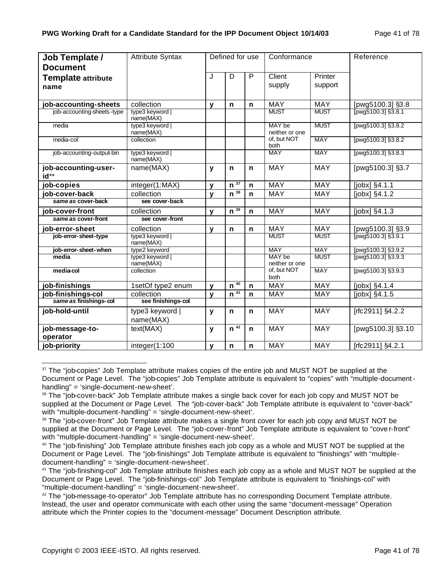| Job Template /<br><b>Document</b> | <b>Attribute Syntax</b>      | Defined for use |                     | Conformance  |                          | Reference          |                                |
|-----------------------------------|------------------------------|-----------------|---------------------|--------------|--------------------------|--------------------|--------------------------------|
| <b>Template attribute</b><br>name |                              | J               | D                   | $\mathsf{P}$ | Client<br>supply         | Printer<br>support |                                |
|                                   |                              |                 |                     |              |                          |                    |                                |
| job-accounting-sheets             | collection                   | v               | n                   | $\mathbf n$  | <b>MAY</b>               | <b>MAY</b>         | [pwg5100.3] §3.8               |
| job-accounting-sheets-type        | type3 keyword<br>name(MAX)   |                 |                     |              | <b>MUST</b>              | <b>MUST</b>        | $T_{\text{pwg5100.31}$ \$3.8.1 |
| media                             | type3 keyword  <br>name(MAX) |                 |                     |              | MAY be<br>neither or one | <b>MUST</b>        | [pwg5100.3] §3.8.2             |
| media-col                         | collection                   |                 |                     |              | of, but NOT<br>both      | <b>MAY</b>         | [pwg5100.3] §3.8.2             |
| job-accounting-output-bin         | type3 keyword  <br>name(MAX) |                 |                     |              | <b>MAY</b>               | <b>MAY</b>         | [pwg5100.3] §3.8.3             |
| job-accounting-user-<br>$id^{**}$ | name(MAX)                    | y               | $\mathsf{n}$        | $\mathbf n$  | <b>MAY</b>               | <b>MAY</b>         | [pwg5100.3] §3.7               |
| job-copies                        | integer(1:MAX)               | v               | $n^{\overline{37}}$ | $\mathbf n$  | <b>MAY</b>               | <b>MAY</b>         | [jobx] §4.1.1                  |
| job-cover-back                    | collection                   | V               | $n^{\overline{38}}$ | $\mathsf{n}$ | <b>MAY</b>               | <b>MAY</b>         | [jobx] §4.1.2                  |
| same as cover-back                | see cover-back               |                 |                     |              |                          |                    |                                |
| job-cover-front                   | collection                   | v               | $n^{\overline{39}}$ | $\mathbf n$  | <b>MAY</b>               | <b>MAY</b>         | [jobx] §4.1.3                  |
| same as cover-front               | see cover-front              |                 |                     |              |                          |                    |                                |
| job-error-sheet                   | collection                   | v               | $\mathbf n$         | $\mathbf n$  | <b>MAY</b>               | <b>MAY</b>         | [pwg5100.3] §3.9               |
| job-error-sheet-type              | type3 keyword  <br>name(MAX) |                 |                     |              | <b>MUST</b>              | <b>MUST</b>        | $T_{\text{pwg5100.31}$ \$3.9.1 |
| job-error-sheet-when              | type2 keyword                |                 |                     |              | <b>MAY</b>               | <b>MAY</b>         | [pwg5100.3] §3.9.2             |
| media                             | type3 keyword  <br>name(MAX) |                 |                     |              | MAY be<br>neither or one | <b>MUST</b>        | [pwg5100.3] §3.9.3             |
| media-col                         | collection                   |                 |                     |              | of, but NOT<br>both      | <b>MAY</b>         | [pwg5100.3] §3.9.3             |
| job-finishings                    | 1setOf type2 enum            | v               | 40<br>$\mathbf n$   | $\mathbf n$  | <b>MAY</b>               | <b>MAY</b>         | $[jobx]$ §4.1.4                |
| job-finishings-col                | collection                   | v               | $n^{41}$            | $\mathsf{n}$ | <b>MAY</b>               | <b>MAY</b>         | [jobx] §4.1.5                  |
| same as finishings-col            | see finishings-col           |                 |                     |              |                          |                    |                                |
| job-hold-until                    | type3 keyword  <br>name(MAX) | y               | $\mathsf{n}$        | $\mathbf n$  | <b>MAY</b>               | <b>MAY</b>         | [rfc2911] §4.2.2               |
| job-message-to-<br>operator       | text(MAX)                    | V               | $n^{\overline{42}}$ | $\mathbf n$  | <b>MAY</b>               | <b>MAY</b>         | [pwg5100.3] §3.10              |
| job-priority                      | integer(1:100                | v               | $\mathbf n$         | $\mathsf{n}$ | MAY                      | <b>MAY</b>         | [rfc2911] §4.2.1               |

<sup>&</sup>lt;sup>37</sup> The "job-copies" Job Template attribute makes copies of the entire job and MUST NOT be supplied at the Document or Page Level. The "job-copies" Job Template attribute is equivalent to "copies" with "multiple-documenthandling" = 'single-document-new-sheet'.

<sup>&</sup>lt;sup>38</sup> The "job-cover-back" Job Template attribute makes a single back cover for each job copy and MUST NOT be supplied at the Document or Page Level. The "job-cover-back" Job Template attribute is equivalent to "cover-back" with "multiple-document-handling" = 'single-document-new-sheet'.

<sup>&</sup>lt;sup>39</sup> The "job-cover-front" Job Template attribute makes a single front cover for each job copy and MUST NOT be supplied at the Document or Page Level. The "job-cover-front" Job Template attribute is equivalent to "cove r-front" with "multiple-document-handling" = 'single-document-new-sheet'.

 $40$  The "job-finishing" Job Template attribute finishes each job copy as a whole and MUST NOT be supplied at the Document or Page Level. The "job-finishings" Job Template attribute is equivalent to "finishings" with "multipledocument-handling" = 'single-document-new-sheet'.

<sup>&</sup>lt;sup>41</sup> The "job-finishing-col" Job Template attribute finishes each job copy as a whole and MUST NOT be supplied at the Document or Page Level. The "job-finishings-col" Job Template attribute is equivalent to "finishings-col" with "multiple-document-handling" = 'single-document-new-sheet'.

 $42$  The "job-message-to-operator" Job Template attribute has no corresponding Document Template attribute. Instead, the user and operator communicate with each other using the same "document-message" Operation attribute which the Printer copies to the "document-message" Document Description attribute.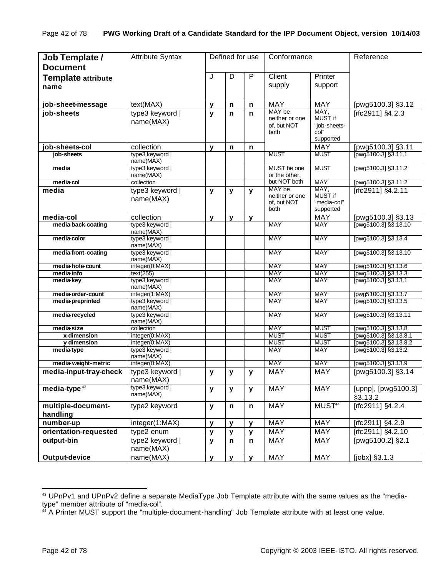| Job Template /<br><b>Document</b> | <b>Attribute Syntax</b>          |              | Defined for use |              | Conformance                                     |                                                      | Reference                                      |
|-----------------------------------|----------------------------------|--------------|-----------------|--------------|-------------------------------------------------|------------------------------------------------------|------------------------------------------------|
| <b>Template attribute</b><br>name |                                  | J            | D               | P            | Client<br>supply                                | Printer<br>support                                   |                                                |
| job-sheet-message                 | text(MAX)                        | y            | n               | n            | <b>MAY</b>                                      | <b>MAY</b>                                           | [pwg5100.3] §3.12                              |
| job-sheets                        | type3 keyword  <br>name(MAX)     | y            | $\mathsf{n}$    | n            | MAY be<br>neither or one<br>of, but NOT<br>both | MAY,<br>MUST if<br>"job-sheets-<br>col"<br>supported | [rfc2911] §4.2.3                               |
| job-sheets-col                    | collection                       | $\mathbf{v}$ | n               | n            |                                                 | <b>MAY</b>                                           | [pwg5100.3] §3.11                              |
| job-sheets                        | type3 keyword  <br>name(MAX)     |              |                 |              | <b>MUST</b>                                     | <b>MUST</b>                                          | Tpwg5100.3] §3.11.1                            |
| media                             | type3 keyword  <br>name(MAX)     |              |                 |              | MUST be one<br>or the other.                    | <b>MUST</b>                                          | [pwg5100.3] §3.11.2                            |
| media-col                         | collection                       |              |                 |              | but NOT both                                    | <b>MAY</b>                                           | [pwg5100.3] §3.11.2                            |
| media                             | type3 keyword<br>name(MAX)       | y            | $\mathbf{y}$    | y            | MAY be<br>neither or one<br>of, but NOT<br>both | MAY,<br>MUST if<br>"media-col"<br>supported          | [rfc2911] §4.2.11                              |
| media-col                         | collection                       | y            | $\mathbf{v}$    | v            |                                                 | <b>MAY</b>                                           | [pwg5100.3] §3.13                              |
| media-back-coating                | type3 keyword  <br>name(MAX)     |              |                 |              | <b>MAY</b>                                      | <b>MAY</b>                                           | [pwg5100.3] §3.13.10                           |
| media-color                       | type3 keyword  <br>name(MAX)     |              |                 |              | <b>MAY</b>                                      | <b>MAY</b>                                           | [pwg5100.3] §3.13.4                            |
| media-front-coating               | type3 keyword  <br>name(MAX)     |              |                 |              | <b>MAY</b>                                      | <b>MAY</b>                                           | [pwg5100.3] §3.13.10                           |
| media-hole-count                  | integer(0:MAX)                   |              |                 |              | <b>MAY</b>                                      | <b>MAY</b>                                           | [pwg5100.3] §3.13.6                            |
| media-info<br>media-key           | text(255)<br>type3 keyword       |              |                 |              | <b>MAY</b><br><b>MAY</b>                        | <b>MAY</b><br><b>MAY</b>                             | [pwg5100.3] §3.13.3<br>Tpwg5100.3] §3.13.1     |
| media-order-count                 | name(MAX)<br>integer(1:MAX)      |              |                 |              | <b>MAY</b>                                      | <b>MAY</b>                                           | [pwg5100.3] §3.13.7                            |
| media-preprinted                  | type3 keyword                    |              |                 |              | <b>MAY</b>                                      | <b>MAY</b>                                           | $T_{\text{pwq}}$ 5100.3 $\frac{1}{3}$ \$3.13.5 |
|                                   | name(MAX)                        |              |                 |              |                                                 |                                                      |                                                |
| media-recycled                    | type3 keyword  <br>name(MAX)     |              |                 |              | <b>MAY</b>                                      | <b>MAY</b>                                           | [pwg5100.3] §3.13.11                           |
| media-size                        | collection                       |              |                 |              | <b>MAY</b>                                      | <b>MUST</b><br><b>MUST</b>                           | [pwg5100.3] §3.13.8                            |
| x-dimension<br>y-dimension        | integer(0:MAX)<br>integer(0:MAX) |              |                 |              | <b>MUST</b><br><b>MUST</b>                      | <b>MUST</b>                                          | [pwg5100.3] §3.13.8.1<br>pwg5100.3] §3.13.8.2  |
| media-type                        | type3 keyword  <br>name(MAX)     |              |                 |              | <b>MAY</b>                                      | <b>MAY</b>                                           | [pwg5100.3] §3.13.2                            |
| media-weight-metric               | integer(0:MAX)                   |              |                 |              | <b>MAY</b>                                      | <b>MAY</b>                                           | [pwg5100.3] §3.13.9                            |
| media-input-tray-check            | type3 keyword<br>name(MAX)       | y            | y               | y            | <b>MAY</b>                                      | <b>MAY</b>                                           | [pwg5100.3] §3.14                              |
| media-type <sup>43</sup>          | type3 keyword  <br>name(MAX)     | y            | y               | У            | MAY                                             | <b>MAY</b>                                           | [upnp], [pwg5100.3]<br>§3.13.2                 |
| multiple-document-<br>handling    | type2 keyword                    | y            | $\mathsf{n}$    | n            | MAY                                             | MUST <sup>44</sup>                                   | [ $rfc2911$ ] $§4.2.4$                         |
| number-up                         | integer(1:MAX)                   | y            | $\mathbf{y}$    | y            | MAY                                             | MAY                                                  | [rfc2911] §4.2.9                               |
| orientation-requested             | type2 enum                       | y            | $\mathbf{y}$    | y            | MAY                                             | MAY                                                  | [rfc2911] §4.2.10                              |
| output-bin                        | type2 keyword  <br>name(MAX)     | y            | $\mathsf{n}$    | n            | <b>MAY</b>                                      | MAY                                                  | [pwg5100.2] §2.1                               |
| Output-device                     | name(MAX)                        | $\mathbf{y}$ | $\mathbf{y}$    | $\mathbf{y}$ | <b>MAY</b>                                      | MAY                                                  | [jobx] §3.1.3                                  |

<sup>43</sup> UPnPv1 and UPnPv2 define a separate MediaType Job Template attribute with the same values as the "mediatype" member attribute of "media-col".

<sup>&</sup>lt;sup>44</sup> A Printer MUST support the "multiple-document-handling" Job Template attribute with at least one value.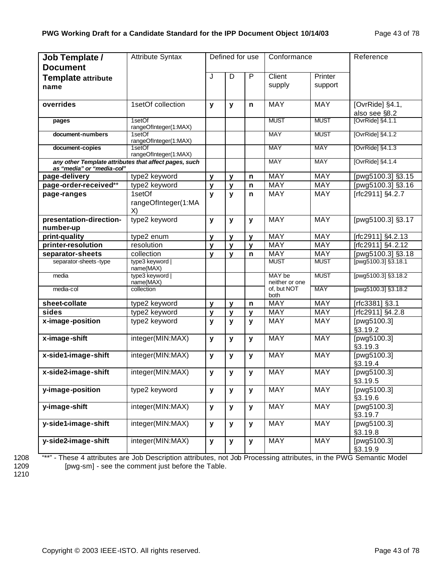| Job Template /<br><b>Document</b>          | <b>Attribute Syntax</b>                               |              | Defined for use |                   | Conformance              |             | Reference                              |
|--------------------------------------------|-------------------------------------------------------|--------------|-----------------|-------------------|--------------------------|-------------|----------------------------------------|
| <b>Template attribute</b>                  |                                                       | J            | D               | P                 | Client                   | Printer     |                                        |
| name                                       |                                                       |              |                 |                   | supply                   | support     |                                        |
|                                            |                                                       |              |                 |                   |                          |             |                                        |
| overrides                                  | 1setOf collection                                     | y            | y               | n                 | <b>MAY</b>               | <b>MAY</b>  | [OvrRide] §4.1,                        |
|                                            |                                                       |              |                 |                   |                          |             | also see §8.2                          |
| pages                                      | 1setOf<br>rangeOfInteger(1:MAX)                       |              |                 |                   | <b>MUST</b>              | <b>MUST</b> | $\overline{\text{OvrRidel } }$ \$4.1.1 |
| document-numbers                           | 1setOf                                                |              |                 |                   | <b>MAY</b>               | <b>MUST</b> | [OvrRide] §4.1.2                       |
|                                            | rangeOfInteger(1:MAX)<br>1setOf                       |              |                 |                   | <b>MAY</b>               | <b>MAY</b>  |                                        |
| document-copies                            | rangeOfInteger(1:MAX)                                 |              |                 |                   |                          |             | [OvrRide] §4.1.3                       |
|                                            | any other Template attributes that affect pages, such |              |                 |                   | <b>MAY</b>               | <b>MAY</b>  | [OvrRide] §4.1.4                       |
| as "media" or "media-col"<br>page-delivery | type2 keyword                                         |              |                 |                   | <b>MAY</b>               | <b>MAY</b>  | [pwg5100.3] §3.15                      |
| page-order-received**                      | type2 keyword                                         | y<br>y       | y<br>y          | n<br>$\mathsf{n}$ | MAY                      | <b>MAY</b>  | [pwg5100.3] §3.16                      |
| page-ranges                                | 1setOf                                                | y            | $\mathbf{y}$    | n                 | MAY                      | <b>MAY</b>  | [rfc2911] §4.2.7                       |
|                                            | rangeOfInteger(1:MA                                   |              |                 |                   |                          |             |                                        |
|                                            | X)                                                    |              |                 |                   |                          |             |                                        |
| presentation-direction-                    | type2 keyword                                         | y            | y               | y                 | <b>MAY</b>               | <b>MAY</b>  | [pwg5100.3] §3.17                      |
| number-up                                  |                                                       |              |                 |                   |                          |             |                                        |
| print-quality                              | type2 enum                                            | $\mathbf{v}$ | $\mathbf{V}$    | $\mathbf{v}$      | MAY                      | <b>MAY</b>  | [rfc2911] §4.2.13                      |
| printer-resolution                         | resolution                                            | $\mathbf{V}$ | $\mathbf{v}$    | $\mathbf{v}$      | <b>MAY</b>               | <b>MAY</b>  | [rfc2911] §4.2.12                      |
| separator-sheets                           | collection                                            | $\mathbf{v}$ | $\mathbf{v}$    | $\mathsf{n}$      | MAY                      | <b>MAY</b>  | [pwg5100.3] §3.18                      |
| separator-sheets-type                      | type3 keyword  <br>name(MAX)                          |              |                 |                   | <b>MUST</b>              | <b>MUST</b> | [pwg5100.3] §3.18.1                    |
| media                                      | type3 keyword  <br>name(MAX)                          |              |                 |                   | MAY be<br>neither or one | <b>MUST</b> | [pwg5100.3] §3.18.2                    |
| media-col                                  | collection                                            |              |                 |                   | of, but NOT<br>both      | <b>MAY</b>  | [pwg5100.3] §3.18.2                    |
| sheet-collate                              | type2 keyword                                         | y            | v               | n                 | <b>MAY</b>               | <b>MAY</b>  | [rfc3381] §3.1                         |
| sides                                      | type2 keyword                                         | y            | v               | $\mathbf{v}$      | MAY                      | <b>MAY</b>  | [rfc2911] §4.2.8                       |
| x-image-position                           | type2 keyword                                         | y            | y               | y                 | MAY                      | <b>MAY</b>  | [pwg5100.3]                            |
|                                            |                                                       |              |                 |                   |                          |             | §3.19.2                                |
| x-image-shift                              | integer(MIN:MAX)                                      | У            | У               | $\mathbf{y}$      | <b>MAY</b>               | <b>MAY</b>  | [pwg5100.3]<br>§3.19.3                 |
| x-side1-image-shift                        | integer(MIN:MAX)                                      | $\mathbf{y}$ | y               | y                 | <b>MAY</b>               | <b>MAY</b>  | [pwg5100.3]                            |
|                                            |                                                       |              |                 |                   |                          |             | §3.19.4                                |
| x-side2-image-shift                        | integer(MIN:MAX)                                      | y            | y               | y                 | <b>MAY</b>               | <b>MAY</b>  | [pwg5100.3]                            |
|                                            |                                                       |              |                 |                   |                          |             | §3.19.5                                |
| y-image-position                           | type2 keyword                                         | y            | y               | $\mathbf{y}$      | <b>MAY</b>               | <b>MAY</b>  | [pwg5100.3]<br>§3.19.6                 |
| y-image-shift                              | integer(MIN:MAX)                                      | y            | У               | y                 | <b>MAY</b>               | <b>MAY</b>  | [pwg5100.3]<br>§3.19.7                 |
| y-side1-image-shift                        | integer(MIN:MAX)                                      | y            | y               | y                 | <b>MAY</b>               | <b>MAY</b>  | [pwg5100.3]                            |
|                                            |                                                       |              |                 |                   |                          |             | §3.19.8                                |
| y-side2-image-shift                        | integer(MIN:MAX)                                      | y            | y               | $\mathbf{y}$      | <b>MAY</b>               | <b>MAY</b>  | [pwg5100.3]                            |
|                                            |                                                       |              |                 |                   |                          |             | §3.19.9                                |

1208 <sup>"\*\*"</sup> - These 4 attributes are Job Description attributes, not Job Processing attributes, in the PWG Semantic Model<br>1209 [pwg-sm] - see the comment just before the Table. [pwg-sm] - see the comment just before the Table.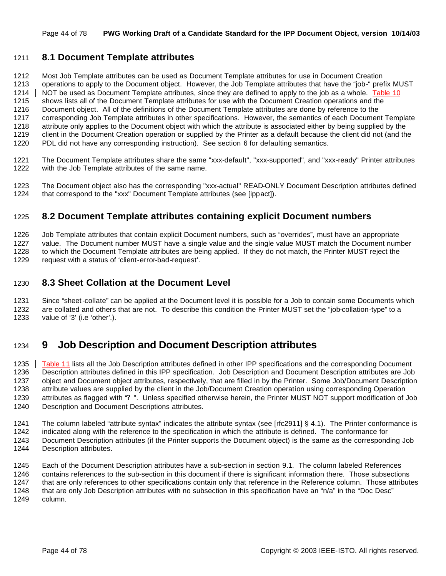## **8.1 Document Template attributes**

 Most Job Template attributes can be used as Document Template attributes for use in Document Creation operations to apply to the Document object. However, the Job Template attributes that have the "job-" prefix MUST 1214 NOT be used as Document Template attributes, since they are defined to apply to the job as a whole. Table 10 shows lists all of the Document Template attributes for use with the Document Creation operations and the Document object. All of the definitions of the Document Template attributes are done by reference to the corresponding Job Template attributes in other specifications. However, the semantics of each Document Template attribute only applies to the Document object with which the attribute is associated either by being supplied by the client in the Document Creation operation or supplied by the Printer as a default because the client did not (and the PDL did not have any corresponding instruction). See section 6 for defaulting semantics.

- The Document Template attributes share the same "xxx-default", "xxx-supported", and "xxx-ready" Printer attributes with the Job Template attributes of the same name.
- The Document object also has the corresponding "xxx-actual" READ-ONLY Document Description attributes defined that correspond to the "xxx" Document Template attributes (see [ippact]).

## **8.2 Document Template attributes containing explicit Document numbers**

 Job Template attributes that contain explicit Document numbers, such as "overrides", must have an appropriate value. The Document number MUST have a single value and the single value MUST match the Document number to which the Document Template attributes are being applied. If they do not match, the Printer MUST reject the request with a status of 'client-error-bad-request'.

## **8.3 Sheet Collation at the Document Level**

 Since "sheet-collate" can be applied at the Document level it is possible for a Job to contain some Documents which are collated and others that are not. To describe this condition the Printer MUST set the "job-collation-type" to a value of '3' (i.e 'other'.).

# **9 Job Description and Document Description attributes**

1235 Table 11 lists all the Job Description attributes defined in other IPP specifications and the corresponding Document Description attributes defined in this IPP specification. Job Description and Document Description attributes are Job object and Document object attributes, respectively, that are filled in by the Printer. Some Job/Document Description attribute values are supplied by the client in the Job/Document Creation operation using corresponding Operation attributes as flagged with "? ". Unless specified otherwise herein, the Printer MUST NOT support modification of Job Description and Document Descriptions attributes.

The column labeled "attribute syntax" indicates the attribute syntax (see [rfc2911] § 4.1). The Printer conformance is

- indicated along with the reference to the specification in which the attribute is defined. The conformance for
- Document Description attributes (if the Printer supports the Document object) is the same as the corresponding Job Description attributes.

 Each of the Document Description attributes have a sub-section in section 9.1. The column labeled References contains references to the sub-section in this document if there is significant information there. Those subsections that are only references to other specifications contain only that reference in the Reference column. Those attributes 1248 that are only Job Description attributes with no subsection in this specification have an "n/a" in the "Doc Desc" column.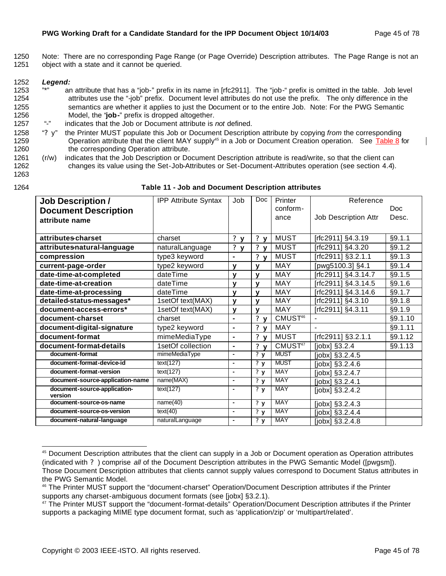$\overline{\phantom{a}}$ 

1250 Note: There are no corresponding Page Range (or Page Override) Description attributes. The Page Range is not an 1251 object with a state and it cannot be queried.

## 1252 *Legend:*

- 1253 "\*" an attribute that has a "job-" prefix in its name in [rfc2911]. The "job-" prefix is omitted in the table. Job level 1254 attributes use the "-job" prefix. Document level attributes do not use the prefix. The only difference in the 1255 semantics are whether it applies to just the Document or to the entire Job. Note: For the PWG Semantic 1256 Model, the "**job-**" prefix is dropped altogether.<br>1257 "-" indicates that the Job or Document attribute is
- 1257 "-" indicates that the Job or Document attribute is *not* defined.
- 1258 "? y" the Printer MUST populate this Job or Document Description attribute by copying *from* the corresponding 1259 **Operation attribute that the client MAY supply**<sup>45</sup> in a Job or Document Creation operation. See Table 8 for 1260 the corresponding Operation attribute.
- 1261 (r/w) indicates that the Job Description or Document Description attribute is read/write, so that the client can 1262 changes its value using the Set-Job-Attributes or Set-Document-Attributes operation (see section 4.4).
- 1263

#### 1264 **Table 11 - Job and Document Description attributes**

| <b>Job Description /</b>                | <b>IPP Attribute Syntax</b> | Job            | Doc                                  | Printer             | Reference            |         |
|-----------------------------------------|-----------------------------|----------------|--------------------------------------|---------------------|----------------------|---------|
| <b>Document Description</b>             |                             |                |                                      | conform-            |                      | Doc.    |
| attribute name                          |                             |                |                                      | ance                | Job Description Attr | Desc.   |
|                                         |                             |                |                                      |                     |                      |         |
| attributes-charset                      | charset                     | ? <sub>y</sub> | ? <sub>y</sub>                       | <b>MUST</b>         | [rfc2911] §4.3.19    | §9.1.1  |
| attributes-natural-language             | naturalLanguage             | ? <sub>y</sub> | ?y                                   | <b>MUST</b>         | [rfc2911] §4.3.20    | §9.1.2  |
| compression                             | type3 keyword               | $\blacksquare$ | ? <sub>y</sub>                       | <b>MUST</b>         | [rfc2911] §3.2.1.1   | §9.1.3  |
| current-page-order                      | type2 keyword               | $\mathbf v$    | $\mathbf{v}$                         | <b>MAY</b>          | [pwg5100.3] §4.1     | §9.1.4  |
| date-time-at-completed                  | dateTime                    | $\mathbf v$    | $\mathbf{v}$                         | MAY                 | [rfc2911] §4.3.14.7  | §9.1.5  |
| date-time-at-creation                   | dateTime                    | $\mathbf{V}$   | $\mathbf{V}$                         | <b>MAY</b>          | [rfc2911] §4.3.14.5  | §9.1.6  |
| date-time-at-processing                 | dateTime                    | $\mathbf v$    | $\mathbf v$                          | <b>MAY</b>          | [rfc2911] §4.3.14.6  | §9.1.7  |
| detailed-status-messages*               | 1setOf text(MAX)            | $\mathbf{v}$   | $\mathbf v$                          | <b>MAY</b>          | [rfc2911] §4.3.10    | §9.1.8  |
| document-access-errors*                 | 1setOf text(MAX)            | $\mathbf{v}$   | $\mathbf{v}$                         | <b>MAY</b>          | [rfc2911] §4.3.11    | §9.1.9  |
| document-charset                        | charset                     | $\blacksquare$ | ? <sub>y</sub>                       | CMUST <sup>46</sup> |                      | §9.1.10 |
| document-digital-signature              | type2 keyword               | $\blacksquare$ | ? <sub>y</sub>                       | MAY                 | $\overline{a}$       | §9.1.11 |
| document-format                         | mimeMediaType               | $\blacksquare$ | ? <sub>y</sub>                       | <b>MUST</b>         | [rfc2911] §3.2.1.1   | §9.1.12 |
| document-format-details                 | 1setOf collection           | $\blacksquare$ | ? $y$                                | CMUST <sup>47</sup> | $[jobx]$ §3.2.4      | §9.1.13 |
| document-format                         | mimeMediaType               | $\blacksquare$ | $\overline{\mathbf{?} \ \mathbf{y}}$ | <b>MUST</b>         | [jobx] §3.2.4.5      |         |
| document-format-device-id               | text(127)                   | $\blacksquare$ | ?y                                   | <b>MUST</b>         | $[jobx]$ §3.2.4.6    |         |
| document-format-version                 | text(127)                   | $\blacksquare$ | ?y                                   | <b>MAY</b>          | [jobx] §3.2.4.7      |         |
| document-source-application-name        | name(MAX)                   | $\blacksquare$ | $\overline{\mathbf{?} \ \mathbf{y}}$ | <b>MAY</b>          | [jobx] §3.2.4.1      |         |
| document-source-application-<br>version | text(127)                   | $\blacksquare$ | ?y                                   | <b>MAY</b>          | [jobx] §3.2.4.2      |         |
| document-source-os-name                 | name(40)                    | $\blacksquare$ | $\overline{\mathbf{?} \ \mathbf{y}}$ | <b>MAY</b>          | [ $jobx$ ] §3.2.4.3  |         |
| document-source-os-version              | text(40)                    | $\blacksquare$ | $\overline{\mathbf{?} \mathbf{y}}$   | <b>MAY</b>          | [jobx] §3.2.4.4      |         |
| document-natural-language               | naturalLanguage             | $\blacksquare$ | $\overline{\mathbf{?} \ \mathbf{y}}$ | <b>MAY</b>          | $[jobx]$ §3.2.4.8    |         |

<sup>&</sup>lt;sup>45</sup> Document Description attributes that the client can supply in a Job or Document operation as Operation attributes (indicated with ? ) comprise *all* of the Document Description attributes in the PWG Semantic Model ([pwgsm]). Those Document Description attributes that clients cannot supply values correspond to Document Status attributes in the PWG Semantic Model.

<sup>46</sup> The Printer MUST support the "document-charset" Operation/Document Description attributes if the Printer supports any charset-ambiguous document formats (see [jobx] §3.2.1).

<sup>&</sup>lt;sup>47</sup> The Printer MUST support the "document-format-details" Operation/Document Description attributes if the Printer supports a packaging MIME type document format, such as 'application/zip' or 'multipart/related'.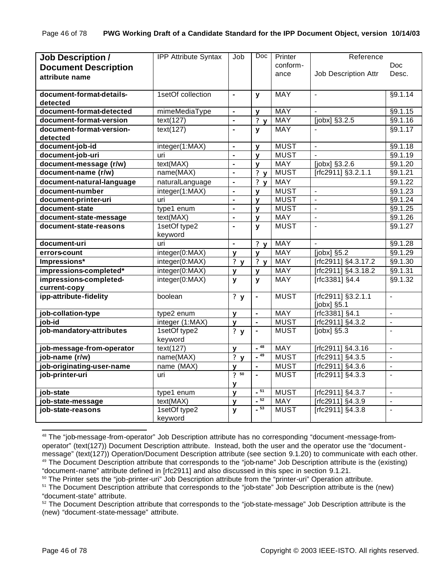| <b>Job Description /</b>    | <b>IPP Attribute Syntax</b> | Job                              | Doc            | Printer                    | Reference                            |                                  |
|-----------------------------|-----------------------------|----------------------------------|----------------|----------------------------|--------------------------------------|----------------------------------|
| <b>Document Description</b> |                             |                                  |                | conform-                   |                                      | Doc.                             |
| attribute name              |                             |                                  |                | ance                       | Job Description Attr                 | Desc.                            |
|                             |                             |                                  |                |                            |                                      |                                  |
| document-format-details-    | 1setOf collection           | $\blacksquare$                   | $\mathbf{y}$   | <b>MAY</b>                 | $\blacksquare$                       | §9.1.14                          |
| detected                    |                             |                                  |                |                            |                                      |                                  |
| document-format-detected    | mimeMediaType               | $\blacksquare$                   | y              | <b>MAY</b>                 |                                      | §9.1.15                          |
| document-format-version     | text(127)                   | $\blacksquare$                   | ?y             | <b>MAY</b>                 | [jobx] §3.2.5                        | §9.1.16                          |
| document-format-version-    | text(127)                   | $\blacksquare$                   | $\mathbf{y}$   | <b>MAY</b>                 |                                      | §9.1.17                          |
| detected                    |                             |                                  |                |                            |                                      |                                  |
| document-job-id             | integer(1:MAX)              | $\blacksquare$                   | $\mathbf{v}$   | <b>MUST</b>                | $\blacksquare$                       | §9.1.18                          |
| document-job-uri            | uri                         | $\blacksquare$                   | $\mathbf{v}$   | <b>MUST</b>                | $\blacksquare$                       | §9.1.19                          |
| document-message (r/w)      | text(MAX)                   | $\blacksquare$                   | $\mathbf{v}$   | <b>MAY</b>                 | [jobx] §3.2.6                        | §9.1.20                          |
| document-name (r/w)         | name(MAX)                   | $\blacksquare$                   | ? $y$          | <b>MUST</b>                | [rfc2911] §3.2.1.1                   | §9.1.21                          |
| document-natural-language   | naturalLanguage             | $\blacksquare$                   | ?y             | <b>MAY</b>                 |                                      | §9.1.22                          |
| document-number             | integer(1:MAX)              | $\blacksquare$                   | $\mathbf{v}$   | <b>MUST</b>                | $\frac{1}{2}$                        | §9.1.23                          |
| document-printer-uri        | uri                         | $\blacksquare$                   | $\mathbf{V}$   | <b>MUST</b>                | $\blacksquare$                       | §9.1.24                          |
| document-state              | type1 enum                  | $\blacksquare$                   | $\mathbf{v}$   | <b>MUST</b>                | $\blacksquare$                       | §9.1.25                          |
| document-state-message      | text(MAX)                   | $\blacksquare$                   | $\mathbf{V}$   | <b>MAY</b>                 | $\blacksquare$                       | §9.1.26                          |
| document-state-reasons      | 1setOf type2                | $\blacksquare$                   | $\mathbf{y}$   | <b>MUST</b>                | $\frac{1}{2}$                        | §9.1.27                          |
|                             | keyword                     |                                  |                |                            |                                      |                                  |
| document-uri                | uri                         | $\blacksquare$                   | ? <sub>y</sub> | <b>MAY</b>                 |                                      | §9.1.28                          |
| errors-count                | integer(0:MAX)              | y                                | $\mathbf{v}$   | <b>MAY</b>                 | $[jobx]$ §5.2                        | §9.1.29                          |
| Impressions*                | integer(0:MAX)              | ?y                               | ?y             | <b>MAY</b>                 | [rfc2911] §4.3.17.2                  | §9.1.30                          |
| impressions-completed*      | integer(0:MAX)              | у                                | y              | MAY                        | [rfc2911] §4.3.18.2                  | §9.1.31                          |
| impressions-completed-      | integer(0:MAX)              | $\mathbf{y}$                     | $\mathbf{y}$   | <b>MAY</b>                 | [rfc3381] §4.4                       | §9.1.32                          |
| current-copy                |                             |                                  |                |                            |                                      |                                  |
| ipp-attribute-fidelity      | boolean                     | $\overline{\mathbf{?}}$ y        | ä,             | <b>MUST</b>                | [rfc2911] §3.2.1.1                   | $\overline{a}$                   |
|                             |                             |                                  |                |                            | [jobx] §5.1                          |                                  |
| job-collation-type          | type2 enum                  | y                                | ä,             | <b>MAY</b>                 | [rfc3381] §4.1                       | $\overline{a}$                   |
| job-id                      | integer (1:MAX)             | y                                | $\blacksquare$ | <b>MUST</b>                | [rfc2911] §4.3.2                     | $\mathbf{r}$                     |
| job-mandatory-attributes    | 1setOf type2                | ?y                               | $\blacksquare$ | <b>MUST</b>                | $[jobx]$ §5.3                        | $\blacksquare$                   |
|                             | keyword                     |                                  | $-48$          | <b>MAY</b>                 |                                      |                                  |
| job-message-from-operator   | $text(\overline{127})$      | y                                | $-49$          | <b>MUST</b>                | [rfc2911] §4.3.16                    | $\overline{a}$<br>$\overline{a}$ |
| job-name (r/w)              | name(MAX)                   | ? $y$                            |                |                            | $[rfc2911]$ §4.3.5                   |                                  |
| job-originating-user-name   | name (MAX)                  | $\mathbf v$<br>$\overline{?}$ 50 | $\blacksquare$ | <b>MUST</b><br><b>MUST</b> | [rfc2911] §4.3.6                     | $\blacksquare$                   |
| job-printer-uri             | uri                         |                                  | $\blacksquare$ |                            | [rfc2911] §4.3.3                     | $\blacksquare$                   |
| job-state                   |                             | ۷                                | $-51$          | <b>MUST</b>                |                                      | $\overline{a}$                   |
|                             | type1 enum<br>text(MAX)     | y                                | $-52$          | <b>MAY</b>                 | [rfc2911] §4.3.7<br>[rfc2911] §4.3.9 | $\overline{a}$                   |
| job-state-message           | 1setOf type2                | y                                | $-53$          | <b>MUST</b>                | [rfc2911] §4.3.8                     | $\blacksquare$                   |
| job-state-reasons           | keyword                     | y                                |                |                            |                                      |                                  |

<sup>48</sup> The "job-message-from-operator" Job Description attribute has no corresponding "document-message-fromoperator" (text(127)) Document Description attribute. Instead, both the user and the operator use the "documentmessage" (text(127)) Operation/Document Description attribute (see section 9.1.20) to communicate with each other. <sup>49</sup> The Document Description attribute that corresponds to the "job-name" Job Description attribute is the (existing) "document-name" attribute defined in [rfc2911] and also discussed in this spec in section 9.1.21.

<sup>&</sup>lt;sup>50</sup> The Printer sets the "job-printer-uri" Job Description attribute from the "printer-uri" Operation attribute.

<sup>&</sup>lt;sup>51</sup> The Document Description attribute that corresponds to the "job-state" Job Description attribute is the (new) "document-state" attribute.

<sup>&</sup>lt;sup>52</sup> The Document Description attribute that corresponds to the "job-state-message" Job Description attribute is the (new) "document-state-message" attribute.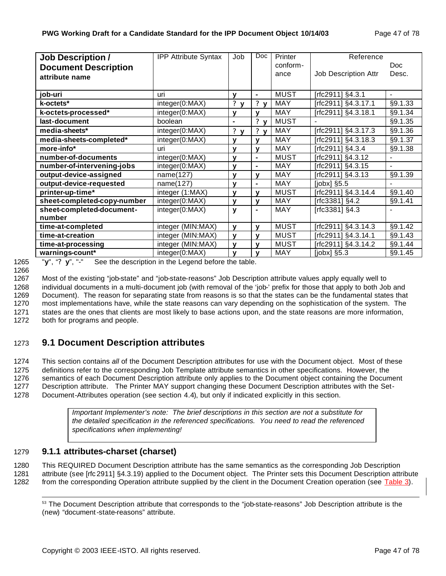| <b>Job Description /</b>    | <b>IPP Attribute Syntax</b> | Job              | Doc                         | Printer     | Reference            |                          |
|-----------------------------|-----------------------------|------------------|-----------------------------|-------------|----------------------|--------------------------|
| <b>Document Description</b> |                             |                  |                             | conform-    |                      | Doc.                     |
| attribute name              |                             |                  |                             | ance        | Job Description Attr | Desc.                    |
|                             |                             |                  |                             |             |                      |                          |
| job-uri                     | uri                         | v                | $\blacksquare$              | <b>MUST</b> | [rfc2911] §4.3.1     | $\blacksquare$           |
| k-octets*                   | integer(0:MAX)              | ?<br>$\mathbf v$ | ? <sub>y</sub>              | MAY         | [rfc2911] §4.3.17.1  | §9.1.33                  |
| k-octets-processed*         | integer(0:MAX)              | У                | v                           | <b>MAY</b>  | [rfc2911] §4.3.18.1  | §9.1.34                  |
| last-document               | boolean                     | $\blacksquare$   | $\mathbf{?}$<br>$\mathbf v$ | <b>MUST</b> |                      | §9.1.35                  |
| media-sheets*               | integer(0:MAX)              | ?<br>$\mathbf v$ | $\mathbf{?}$<br>$\mathbf v$ | <b>MAY</b>  | [rfc2911] §4.3.17.3  | §9.1.36                  |
| media-sheets-completed*     | integer(0:MAX)              | v                | $\mathbf v$                 | <b>MAY</b>  | [rfc2911] §4.3.18.3  | §9.1.37                  |
| more-info*                  | uri                         | ۷                | $\mathbf v$                 | <b>MAY</b>  | [rfc2911] §4.3.4     | §9.1.38                  |
| number-of-documents         | integer(0:MAX)              | v                | $\blacksquare$              | <b>MUST</b> | [rfc2911] §4.3.12    | $\overline{\phantom{0}}$ |
| number-of-intervening-jobs  | integer(0:MAX)              | v                | $\blacksquare$              | <b>MAY</b>  | [rfc2911] §4.3.15    |                          |
| output-device-assigned      | name(127)                   | ۷                | $\mathbf v$                 | <b>MAY</b>  | [rfc2911] §4.3.13    | §9.1.39                  |
| output-device-requested     | name(127)                   | ۷                | $\blacksquare$              | <b>MAY</b>  | $[jobx]$ §5.5        |                          |
| printer-up-time*            | integer (1:MAX)             | v                | v                           | <b>MUST</b> | [rfc2911] §4.3.14.4  | §9.1.40                  |
| sheet-completed-copy-number | integer(0:MAX)              | v                | v                           | <b>MAY</b>  | $[rfc3381]$ §4.2     | §9.1.41                  |
| sheet-completed-document-   | integer(0:MAX)              | y                | $\blacksquare$              | MAY         | [rfc3381] §4.3       |                          |
| number                      |                             |                  |                             |             |                      |                          |
| time-at-completed           | integer (MIN:MAX)           | y                | v                           | <b>MUST</b> | [rfc2911] §4.3.14.3  | §9.1.42                  |
| time-at-creation            | integer (MIN:MAX)           | y                | $\mathbf v$                 | <b>MUST</b> | [rfc2911] §4.3.14.1  | §9.1.43                  |
| time-at-processing          | integer (MIN:MAX)           | У                | $\mathbf v$                 | <b>MUST</b> | [rfc2911] §4.3.14.2  | §9.1.44                  |
| warnings-count*             | integer(0:MAX)              | $\mathbf v$      | v                           | MAY         | $[jobx]$ §5.3        | §9.1.45                  |

1265 "**y**", "**? y**", "-" See the description in the Legend before the table.

1266

1267 Most of the existing "job-state" and "job-state-reasons" Job Description attribute values apply equally well to

 individual documents in a multi-document job (with removal of the 'job-' prefix for those that apply to both Job and Document). The reason for separating state from reasons is so that the states can be the fundamental states that most implementations have, while the state reasons can vary depending on the sophistication of the system. The states are the ones that clients are most likely to base actions upon, and the state reasons are more information, both for programs and people.

# 1273 **9.1 Document Description attributes**

 This section contains *all* of the Document Description attributes for use with the Document object. Most of these definitions refer to the corresponding Job Template attribute semantics in other specifications. However, the semantics of each Document Description attribute only applies to the Document object containing the Document Description attribute. The Printer MAY support changing these Document Description attributes with the Set-Document-Attributes operation (see section 4.4), but only if indicated explicitly in this section.

> *Important Implementer's note: The brief descriptions in this section are not a substitute for the detailed specification in the referenced specifications. You need to read the referenced specifications when implementing!*

## 1279 **9.1.1 attributes-charset (charset)**

1280 This REQUIRED Document Description attribute has the same semantics as the corresponding Job Description 1281 attribute (see [rfc 2911] §4.3.19) applied to the Document object. The Printer sets this Document Description attribute 1282 from the corresponding Operation attribute supplied by the client in the Document Creation operation (see Table 3).

 <sup>53</sup> The Document Description attribute that corresponds to the "job-state-reasons" Job Description attribute is the (new) "document-state-reasons" attribute.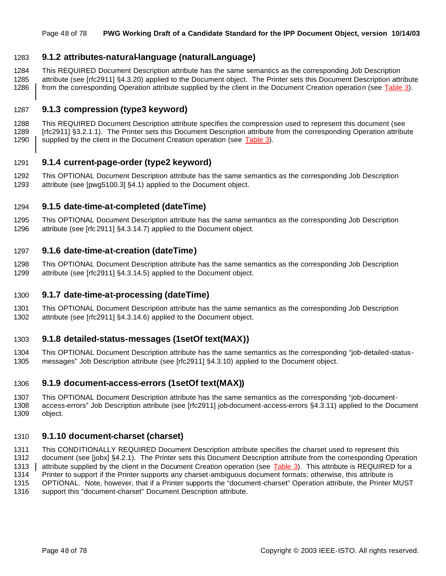#### Page 48 of 78 **PWG Working Draft of a Candidate Standard for the IPP Document Object, version 10/14/03**

## **9.1.2 attributes-natural-language (naturalLanguage)**

 This REQUIRED Document Description attribute has the same semantics as the corresponding Job Description attribute (see [rfc2911] §4.3.20) applied to the Document object. The Printer sets this Document Description attribute 1286 from the corresponding Operation attribute supplied by the client in the Document Creation operation (see Table 3).

## **9.1.3 compression (type3 keyword)**

 This REQUIRED Document Description attribute specifies the compression used to represent this document (see [rfc2911] §3.2.1.1). The Printer sets this Document Description attribute from the corresponding Operation attribute 1290 | supplied by the client in the Document Creation operation (see Table 3).

## **9.1.4 current-page-order (type2 keyword)**

 This OPTIONAL Document Description attribute has the same semantics as the corresponding Job Description attribute (see [pwg5100.3] §4.1) applied to the Document object.

## **9.1.5 date-time-at-completed (dateTime)**

 This OPTIONAL Document Description attribute has the same semantics as the corresponding Job Description attribute (see [rfc 2911] §4.3.14.7) applied to the Document object.

## **9.1.6 date-time-at-creation (dateTime)**

 This OPTIONAL Document Description attribute has the same semantics as the corresponding Job Description attribute (see [rfc2911] §4.3.14.5) applied to the Document object.

#### **9.1.7 date-time-at-processing (dateTime)**

 This OPTIONAL Document Description attribute has the same semantics as the corresponding Job Description attribute (see [rfc2911] §4.3.14.6) applied to the Document object.

## **9.1.8 detailed-status-messages (1setOf text(MAX))**

 This OPTIONAL Document Description attribute has the same semantics as the corresponding "job-detailed-status-messages" Job Description attribute (see [rfc2911] §4.3.10) applied to the Document object.

#### **9.1.9 document-access-errors (1setOf text(MAX))**

 This OPTIONAL Document Description attribute has the same semantics as the corresponding "job-document- access-errors" Job Description attribute (see [rfc2911] job-document-access-errors §4.3.11) applied to the Document object.

#### **9.1.10 document-charset (charset)**

 This CONDITIONALLY REQUIRED Document Description attribute specifies the charset used to represent this document (see [jobx] §4.2.1). The Printer sets this Document Description attribute from the corresponding Operation 1313 attribute supplied by the client in the Document Creation operation (see Table 3). This attribute is REQUIRED for a Printer to support if the Printer supports any charset-ambiguous document formats; otherwise, this attribute is OPTIONAL. Note, however, that if a Printer supports the "document-charset" Operation attribute, the Printer MUST

support this "document-charset" Document Description attribute.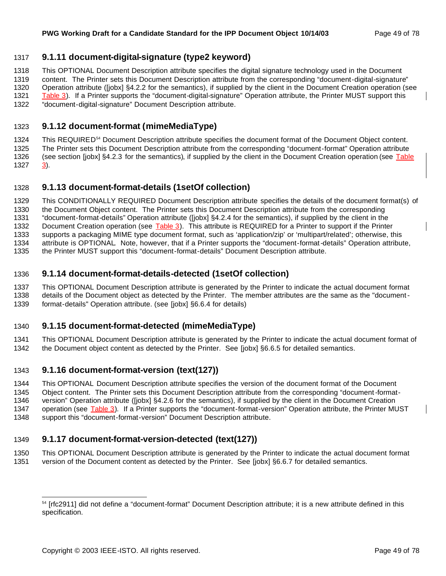## **9.1.11 document-digital-signature (type2 keyword)**

This OPTIONAL Document Description attribute specifies the digital signature technology used in the Document

 content. The Printer sets this Document Description attribute from the corresponding "document-digital-signature" Operation attribute ([jobx] §4.2.2 for the semantics), if supplied by the client in the Document Creation operation (see

1321 Table 3). If a Printer supports the "document-digital-signature" Operation attribute, the Printer MUST support this "document-digital-signature" Document Description attribute.

## **9.1.12 document-format (mimeMediaType)**

1324 This REQUIRE D<sup>54</sup> Document Description attribute specifies the document format of the Document Object content. The Printer sets this Document Description attribute from the corresponding "document-format" Operation attribute (see section [jobx] §4.2.3 for the semantics), if supplied by the client in the Document Creation operation (see Table 3).

## **9.1.13 document-format-details (1setOf collection)**

 This CONDITIONALLY REQUIRED Document Description attribute specifies the details of the document format(s) of the Document Object content. The Printer sets this Document Description attribute from the corresponding "document-format-details" Operation attribute ([jobx] §4.2.4 for the semantics), if supplied by the client in the 1332 Document Creation operation (see Table 3). This attribute is REQUIRED for a Printer to support if the Printer supports a packaging MIME type document format, such as 'application/zip' or 'multipart/related'; otherwise, this attribute is OPTIONAL. Note, however, that if a Printer supports the "document-format-details" Operation attribute, the Printer MUST support this "document-format-details" Document Description attribute.

## **9.1.14 document-format-details-detected (1setOf collection)**

 This OPTIONAL Document Description attribute is generated by the Printer to indicate the actual document format details of the Document object as detected by the Printer. The member attributes are the same as the "document-

format-details" Operation attribute. (see [jobx] §6.6.4 for details)

## **9.1.15 document-format-detected (mimeMediaType)**

 This OPTIONAL Document Description attribute is generated by the Printer to indicate the actual document format of the Document object content as detected by the Printer. See [jobx] §6.6.5 for detailed semantics.

## **9.1.16 document-format-version (text(127))**

This OPTIONAL Document Description attribute specifies the version of the document format of the Document

 Object content. The Printer sets this Document Description attribute from the corresponding "document-format-version" Operation attribute ([jobx] §4.2.6 for the semantics), if supplied by the client in the Document Creation

1347 operation (see Table 3). If a Printer supports the "document-format-version" Operation attribute, the Printer MUST support this "document-format-version" Document Description attribute.

# **9.1.17 document-format-version-detected (text(127))**

 This OPTIONAL Document Description attribute is generated by the Printer to indicate the actual document format version of the Document content as detected by the Printer. See [jobx] §6.6.7 for detailed semantics.

<sup>&</sup>lt;sup>54</sup> [rfc2911] did not define a "document-format" Document Description attribute; it is a new attribute defined in this specification.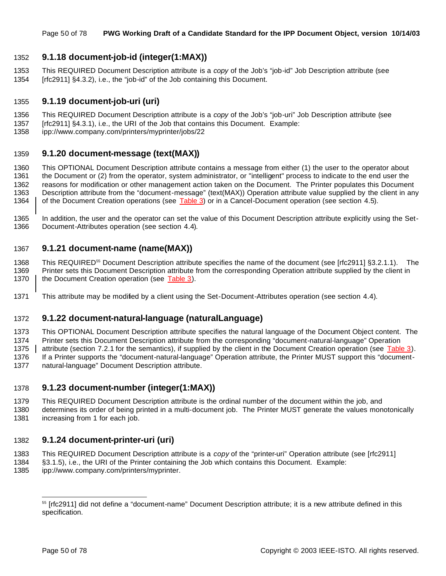## **9.1.18 document-job-id (integer(1:MAX))**

 This REQUIRED Document Description attribute is a *copy* of the Job's "job-id" Job Description attribute (see [rfc2911] §4.3.2), i.e., the "job-id" of the Job containing this Document.

## **9.1.19 document-job-uri (uri)**

- This REQUIRED Document Description attribute is a *copy* of the Job's "job-uri" Job Description attribute (see
- [rfc2911] §4.3.1), i.e., the URI of the Job that contains this Document. Example:
- ipp://www.company.com/printers/myprinter/jobs/22

## **9.1.20 document-message (text(MAX))**

 This OPTIONAL Document Description attribute contains a message from either (1) the user to the operator about the Document or (2) from the operator, system administrator, or "intelligent" process to indicate to the end user the reasons for modification or other management action taken on the Document. The Printer populates this Document Description attribute from the "document-message" (text(MAX)) Operation attribute value supplied by the client in any 1364 of the Document Creation operations (see Table 3) or in a Cancel-Document operation (see section 4.5).

 In addition, the user and the operator can set the value of this Document Description attribute explicitly using the Set-Document-Attributes operation (see section 4.4).

## **9.1.21 document-name (name(MAX))**

1368 This REQUIRED<sup>55</sup> Document Description attribute specifies the name of the document (see [rfc2911] §3.2.1.1). The Printer sets this Document Description attribute from the corresponding Operation attribute supplied by the client in 1370 | the Document Creation operation (see Table 3).

This attribute may be modified by a client using the Set-Document-Attributes operation (see section 4.4).

#### **9.1.22 document-natural-language (naturalLanguage)**

 This OPTIONAL Document Description attribute specifies the natural language of the Document Object content. The Printer sets this Document Description attribute from the corresponding "document-natural-language" Operation 1375 attribute (section 7.2.1 for the semantics), if supplied by the client in the Document Creation operation (see Table 3). If a Printer supports the "document-natural-language" Operation attribute, the Printer MUST support this "document-natural-language" Document Description attribute.

## **9.1.23 document-number (integer(1:MAX))**

- This REQUIRED Document Description attribute is the ordinal number of the document within the job, and
- determines its order of being printed in a multi-document job. The Printer MUST generate the values monotonically 1381 increasing from 1 for each job.

## **9.1.24 document-printer-uri (uri)**

- This REQUIRED Document Description attribute is a *copy* of the "printer-uri" Operation attribute (see [rfc2911]
- §3.1.5), i.e., the URI of the Printer containing the Job which contains this Document. Example:
- ipp://www.company.com/printers/myprinter.

<sup>&</sup>lt;sup>55</sup> [rfc2911] did not define a "document-name" Document Description attribute; it is a new attribute defined in this specification.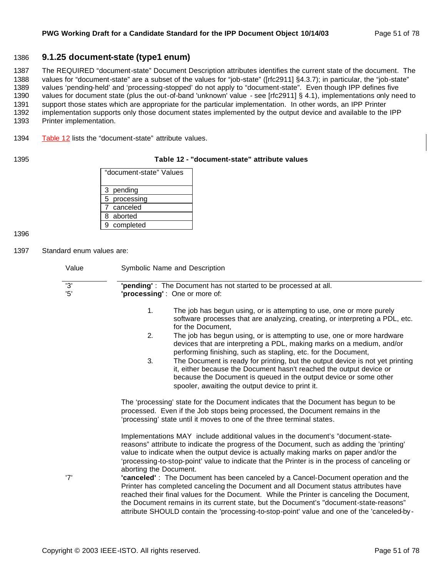## 1386 **9.1.25 document-state (type1 enum)**

 The REQUIRED "document-state" Document Description attributes identifies the current state of the document. The values for "document-state" are a subset of the values for "job-state" ([rfc2911] §4.3.7); in particular, the "job-state" values 'pending-held' and 'processing-stopped' do not apply to "document-state". Even though IPP defines five values for document state (plus the out-of-band 'unknown' value - see [rfc2911] § 4.1), implementations only need to support those states which are appropriate for the particular implementation. In other words, an IPP Printer implementation supports only those document states implemented by the output device and available to the IPP Printer implementation.

1394 Table 12 lists the "document-state" attribute values.

#### 1395 **Table 12 - "document-state" attribute values**

| "document-state" Values |
|-------------------------|
| 3 pending               |
| 5 processing            |
| 7 canceled              |
| 8 aborted               |
| 9 completed             |

1396

1397 Standard enum values are:

| Value      | Symbolic Name and Description                                                                                                                                                                                                                                                                                                                                                                                                                                  |
|------------|----------------------------------------------------------------------------------------------------------------------------------------------------------------------------------------------------------------------------------------------------------------------------------------------------------------------------------------------------------------------------------------------------------------------------------------------------------------|
| '3'<br>'5' | "pending": The Document has not started to be processed at all.<br>'processing': One or more of:                                                                                                                                                                                                                                                                                                                                                               |
|            | 1.<br>The job has begun using, or is attempting to use, one or more purely<br>software processes that are analyzing, creating, or interpreting a PDL, etc.<br>for the Document,                                                                                                                                                                                                                                                                                |
|            | 2.<br>The job has begun using, or is attempting to use, one or more hardware<br>devices that are interpreting a PDL, making marks on a medium, and/or<br>performing finishing, such as stapling, etc. for the Document,                                                                                                                                                                                                                                        |
|            | 3.<br>The Document is ready for printing, but the output device is not yet printing<br>it, either because the Document hasn't reached the output device or<br>because the Document is queued in the output device or some other<br>spooler, awaiting the output device to print it.                                                                                                                                                                            |
|            | The 'processing' state for the Document indicates that the Document has begun to be<br>processed. Even if the Job stops being processed, the Document remains in the<br>'processing' state until it moves to one of the three terminal states.                                                                                                                                                                                                                 |
|            | Implementations MAY include additional values in the document's "document-state-<br>reasons" attribute to indicate the progress of the Document, such as adding the 'printing'<br>value to indicate when the output device is actually making marks on paper and/or the<br>'processing-to-stop-point' value to indicate that the Printer is in the process of canceling or<br>aborting the Document.                                                           |
| '7'        | "canceled": The Document has been canceled by a Cancel-Document operation and the<br>Printer has completed canceling the Document and all Document status attributes have<br>reached their final values for the Document. While the Printer is canceling the Document,<br>the Document remains in its current state, but the Document's "document-state-reasons"<br>attribute SHOULD contain the 'processing-to-stop-point' value and one of the 'canceled-by- |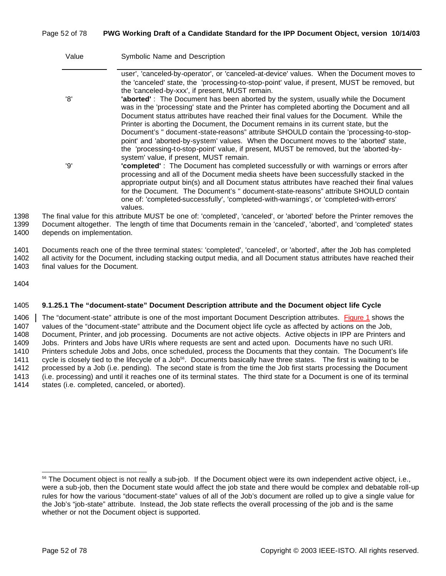## Page 52 of 78 **PWG Working Draft of a Candidate Standard for the IPP Document Object, version 10/14/03**

| Value | Symbolic Name and Description                                                                                                                                                                                                                                                                                                                                                                                                                                               |
|-------|-----------------------------------------------------------------------------------------------------------------------------------------------------------------------------------------------------------------------------------------------------------------------------------------------------------------------------------------------------------------------------------------------------------------------------------------------------------------------------|
|       | user', 'canceled-by-operator', or 'canceled-at-device' values. When the Document moves to<br>the 'canceled' state, the 'processing-to-stop-point' value, if present, MUST be removed, but<br>the 'canceled-by-xxx', if present, MUST remain.                                                                                                                                                                                                                                |
| '8'   | 'aborted': The Document has been aborted by the system, usually while the Document<br>was in the 'processing' state and the Printer has completed aborting the Document and all<br>Document status attributes have reached their final values for the Document. While the<br>Printer is aborting the Document, the Document remains in its current state, but the                                                                                                           |
|       | Document's " document-state-reasons" attribute SHOULD contain the 'processing-to-stop-<br>point' and 'aborted-by-system' values. When the Document moves to the 'aborted' state,<br>the 'processing-to-stop-point' value, if present, MUST be removed, but the 'aborted-by-<br>system' value, if present, MUST remain.                                                                                                                                                      |
| 'Q'   | "completed": The Document has completed successfully or with warnings or errors after<br>processing and all of the Document media sheets have been successfully stacked in the<br>appropriate output bin(s) and all Document status attributes have reached their final values<br>for the Document. The Document's " document-state-reasons" attribute SHOULD contain<br>one of: 'completed-successfully', 'completed-with-warnings', or 'completed-with-errors'<br>values. |
|       | nal value for this attribute MUST be one of: 'completed', 'canceled', or 'aborted' before the Printer removes the                                                                                                                                                                                                                                                                                                                                                           |

1398 The final value for this attribute MUST be one of: 'completed', 'canceled', or 'aborted' before the Printer removes the 1399 Document altogether. The length of time that Documents remain in the 'canceled', 'aborted', and 'completed' states 1400 depends on implementation.

1401 Documents reach one of the three terminal states: 'completed', 'canceled', or 'aborted', after the Job has completed 1402 all activity for the Document, including stacking output media, and all Document status attributes have reached their 1403 final values for the Document.

1404

#### 1405 **9.1.25.1 The "document-state" Document Description attribute and the Document object life Cycle**

1406 The "document-state" attribute is one of the most important Document Description attributes. Figure 1 shows the values of the "document-state" attribute and the Document object life cycle as affected by actions on the Job, Document, Printer, and job processing. Documents are not active objects. Active objects in IPP are Printers and Jobs. Printers and Jobs have URIs where requests are sent and acted upon. Documents have no such URI. Printers schedule Jobs and Jobs, once scheduled, process the Documents that they contain. The Document's life 1411 cycle is closely tied to the lifecycle of a Job<sup>56</sup>. Documents basically have three states. The first is waiting to be processed by a Job (i.e. pending). The second state is from the time the Job first starts processing the Document (i.e. processing) and until it reaches one of its terminal states. The third state for a Document is one of its terminal states (i.e. completed, canceled, or aborted).

<sup>56</sup> The Document object is not really a sub-job. If the Document object were its own independent active object, i.e., were a sub-job, then the Document state would affect the job state and there would be complex and debatable roll-up rules for how the various "document-state" values of all of the Job's document are rolled up to give a single value for the Job's "job-state" attribute. Instead, the Job state reflects the overall processing of the job and is the same whether or not the Document object is supported.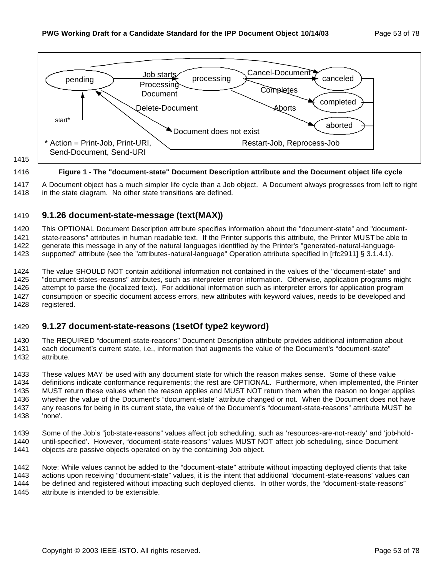

#### **Figure 1 - The "document-state" Document Description attribute and the Document object life cycle**

 A Document object has a much simpler life cycle than a Job object. A Document always progresses from left to right 1418 in the state diagram. No other state transitions are defined.

## **9.1.26 document-state-message (text(MAX))**

 This OPTIONAL Document Description attribute specifies information about the "document-state" and "document- state-reasons" attributes in human readable text. If the Printer supports this attribute, the Printer MUST be able to 1422 generate this message in any of the natural languages identified by the Printer's "generated-natural-language-supported" attribute (see the "attributes-natural-language" Operation attribute specified in [rfc2911] § 3.1.4.1).

 The value SHOULD NOT contain additional information not contained in the values of the "document-state" and "document-states-reasons" attributes, such as interpreter error information. Otherwise, application programs might attempt to parse the (localized text). For additional information such as interpreter errors for application program consumption or specific document access errors, new attributes with keyword values, needs to be developed and registered.

## **9.1.27 document-state-reasons (1setOf type2 keyword)**

 The REQUIRED "document-state-reasons" Document Description attribute provides additional information about each document's current state, i.e., information that augments the value of the Document's "document-state" attribute.

 These values MAY be used with any document state for which the reason makes sense. Some of these value definitions indicate conformance requirements; the rest are OPTIONAL. Furthermore, when implemented, the Printer MUST return these values when the reason applies and MUST NOT return them when the reason no longer applies whether the value of the Document's "document-state" attribute changed or not. When the Document does not have any reasons for being in its current state, the value of the Document's "document-state-reasons" attribute MUST be 'none'.

 Some of the Job's "job-state-reasons" values affect job scheduling, such as 'resources-are-not-ready' and 'job-hold- until-specified'. However, "document-state-reasons" values MUST NOT affect job scheduling, since Document objects are passive objects operated on by the containing Job object.

 Note: While values cannot be added to the "document-state" attribute without impacting deployed clients that take actions upon receiving "document-state" values, it is the intent that additional "document-state-reasons' values can be defined and registered without impacting such deployed clients. In other words, the "document-state-reasons" attribute is intended to be extensible.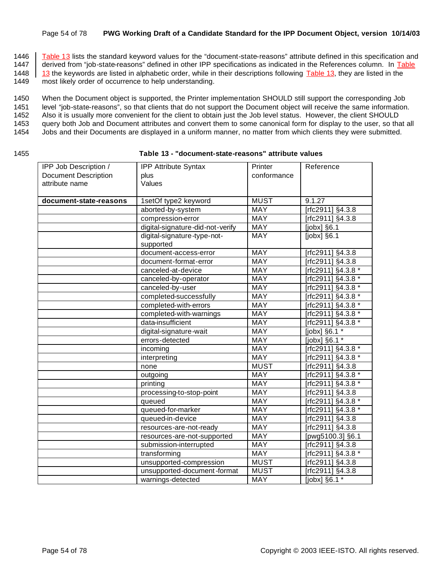#### Page 54 of 78 **PWG Working Draft of a Candidate Standard for the IPP Document Object, version 10/14/03**

1446 Table 13 lists the standard keyword values for the "document-state-reasons" attribute defined in this specification and 1447 derived from "job-state-reasons" defined in other IPP specifications as indicated in the Ref derived from "job-state-reasons" defined in other IPP specifications as indicated in the References column. In Table

1448  $\parallel$  13 the keywords are listed in alphabetic order, while in their descriptions following Table 13, they are listed in the

1449 most likely order of occurrence to help understanding.

1450 When the Document object is supported, the Printer implementation SHOULD still support the corresponding Job

1451 level "job-state-reasons", so that clients that do not support the Document object will receive the same information.

1452 Also it is usually more convenient for the client to obtain just the Job level status. However, the client SHOULD

1453 query both Job and Document attributes and convert them to some canonical form for display to the user, so that all

- 1454 Jobs and their Documents are displayed in a uniform manner, no matter from which clients they were submitted.
- 

#### 1455 **Table 13 - "document-state-reasons" attribute values**

| IPP Job Description /       | <b>IPP Attribute Syntax</b>      | Printer     | Reference          |
|-----------------------------|----------------------------------|-------------|--------------------|
| <b>Document Description</b> | plus                             | conformance |                    |
| attribute name              | Values                           |             |                    |
|                             |                                  |             |                    |
| document-state-reasons      | 1setOf type2 keyword             | <b>MUST</b> | 9.1.27             |
|                             | aborted-by-system                | MAY         | [rfc2911] §4.3.8   |
|                             | compression-error                | <b>MAY</b>  | [rfc2911] §4.3.8   |
|                             | digital-signature-did-not-verify | <b>MAY</b>  | [jobx] §6.1        |
|                             | digital-signature-type-not-      | MAY         | $[jobx]$ §6.1      |
|                             | supported                        |             |                    |
|                             | document-access-error            | MAY         | [rfc2911] §4.3.8   |
|                             | document-format-error            | MAY         | [rfc2911] §4.3.8   |
|                             | canceled-at-device               | <b>MAY</b>  | [rfc2911] §4.3.8 * |
|                             | canceled-by-operator             | MAY         | [rfc2911] §4.3.8 * |
|                             | canceled-by-user                 | MAY         | [rfc2911] §4.3.8 * |
|                             | completed-successfully           | MAY         | [rfc2911] §4.3.8 * |
|                             | completed-with-errors            | <b>MAY</b>  | [rfc2911] §4.3.8 * |
|                             | completed-with-warnings          | <b>MAY</b>  | [rfc2911] §4.3.8 * |
|                             | data-insufficient                | <b>MAY</b>  | [rfc2911] §4.3.8 * |
|                             | digital-signature-wait           | <b>MAY</b>  | [jobx] §6.1 *      |
|                             | errors-detected                  | <b>MAY</b>  | [jobx] §6.1 *      |
|                             | incoming                         | <b>MAY</b>  | [rfc2911] §4.3.8 * |
|                             | interpreting                     | <b>MAY</b>  | [rfc2911] §4.3.8 * |
|                             | none                             | <b>MUST</b> | [rfc2911] §4.3.8   |
|                             | outgoing                         | <b>MAY</b>  | [rfc2911] §4.3.8 * |
|                             | printing                         | <b>MAY</b>  | [rfc2911] §4.3.8 * |
|                             | processing-to-stop-point         | <b>MAY</b>  | [rfc2911] §4.3.8   |
|                             | queued                           | <b>MAY</b>  | [rfc2911] §4.3.8 * |
|                             | queued-for-marker                | <b>MAY</b>  | [rfc2911] §4.3.8 * |
|                             | queued-in-device                 | <b>MAY</b>  | [rfc2911] §4.3.8   |
|                             | resources-are-not-ready          | MAY         | [rfc2911] §4.3.8   |
|                             | resources-are-not-supported      | <b>MAY</b>  | [pwg5100.3] §6.1   |
|                             | submission-interrupted           | <b>MAY</b>  | [rfc2911] §4.3.8   |
|                             | transforming                     | <b>MAY</b>  | [rfc2911] §4.3.8 * |
|                             | unsupported-compression          | <b>MUST</b> | [rfc2911] §4.3.8   |
|                             | unsupported-document-format      | <b>MUST</b> | [rfc2911] §4.3.8   |
|                             | warnings-detected                | MAY         | [jobx] §6.1 *      |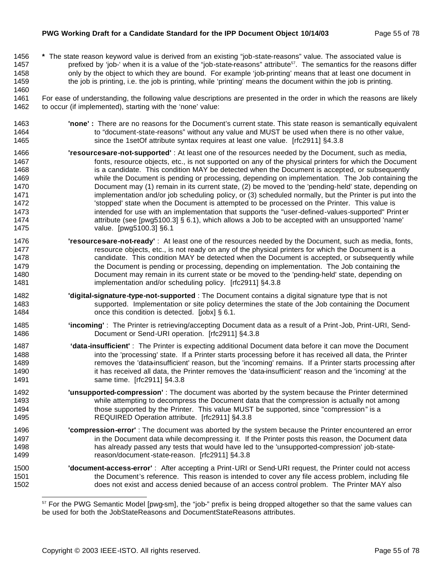#### **PWG Working Draft for a Candidate Standard for the IPP Document Object 10/14/03** Page 55 of 78

 **\*** The state reason keyword value is derived from an existing "job-state-reasons" value. The associated value is 1457 prefixed by 'job-' when it is a value of the "job-state-reasons" attribute<sup>57</sup>. The semantics for the reasons differ 1458 only by the object to which they are bound. For example 'job-printing' means that at least one document in the job is printing, i.e. the job is printing, while 'printing' means the document within the job is printing. 

 For ease of understanding, the following value descriptions are presented in the order in which the reasons are likely to occur (if implemented), starting with the 'none' value:

- **'none' :** There are no reasons for the Document's current state. This state reason is semantically equivalent 1464 to "document-state-reasons" without any value and MUST be used when there is no other value, since the 1setOf attribute syntax requires at least one value. [rfc2911] §4.3.8
- **'resources-are-not-supported'** : At least one of the resources needed by the Document, such as media, 1467 fonts, resource objects, etc., is not supported on any of the physical printers for which the Document 1468 is a candidate. This condition MAY be detected when the Document is accepted, or subsequently while the Document is pending or processing, depending on implementation. The Job containing the Document may (1) remain in its current state, (2) be moved to the 'pending-held' state, depending on 1471 implementation and/or job scheduling policy, or (3) scheduled normally, but the Printer is put into the 1472 <sup>'stopped'</sup> state when the Document is attempted to be processed on the Printer. This value is 1473 intended for use with an implementation that supports the "user-defined-values-supported" Print er attribute (see [pwg5100.3] § 6.1), which allows a Job to be accepted with an unsupported 'name' value. [pwg5100.3] §6.1
- **'resourcesare-not-ready'**: At least one of the resources needed by the Document, such as media, fonts, 1477 resource objects, etc., is not ready on any of the physical printers for which the Document is a candidate. This condition MAY be detected when the Document is accepted, or subsequently while the Document is pending or processing, depending on implementation. The Job containing the Document may remain in its current state or be moved to the 'pending-held' state, depending on implementation and/or scheduling policy. [rfc2911] §4.3.8
- **'digital-signature-type-not-supported** : The Document contains a digital signature type that is not supported. Implementation or site policy determines the state of the Job containing the Document **condition is detected.** [jobx] § 6.1.
- **'incoming'** : The Printer is retrieving/accepting Document data as a result of a Print-Job, Print-URI, Send-Document or Send-URI operation. [rfc2911] §4.3.8
- **'data-insufficient'** : The Printer is expecting additional Document data before it can move the Document into the 'processing' state. If a Printer starts processing before it has received all data, the Printer **removes the 'data-insufficient' reason**, but the 'incoming' remains. If a Printer starts processing after 1490 it has received all data, the Printer removes the 'data-insufficient' reason and the 'incoming' at the same time. [rfc2911] §4.3.8
- **'unsupported-compression'** : The document was aborted by the system because the Printer determined while attempting to decompress the Document data that the compression is actually not among those supported by the Printer. This value MUST be supported, since "compression" is a REQUIRED Operation attribute. [rfc2911] §4.3.8
- **'compression-error'** : The document was aborted by the system because the Printer encountered an error 1497 in the Document data while decompressing it. If the Printer posts this reason, the Document data has already passed any tests that would have led to the 'unsupported-compression' job-state-reason/document-state-reason. [rfc2911] §4.3.8
- **'document-access-error'** : After accepting a Print-URI or Send-URI request, the Printer could not access the Document's reference. This reason is intended to cover any file access problem, including file does not exist and access denied because of an access control problem. The Printer MAY also

<sup>57</sup> For the PWG Semantic Model [pwg-sm], the "job-" prefix is being dropped altogether so that the same values can be used for both the JobStateReasons and DocumentStateReasons attributes.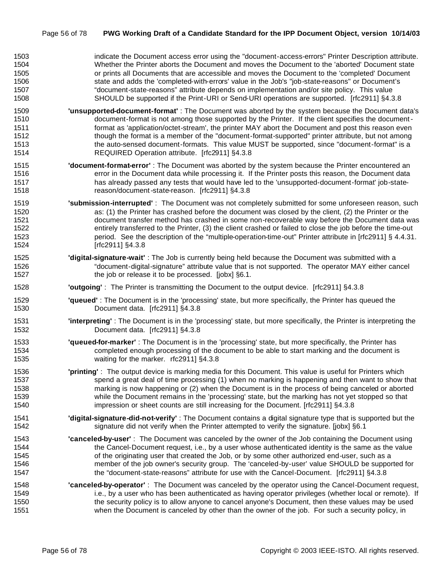| 1503 | indicate the Document access error using the "document-access-errors" Printer Description attribute. |
|------|------------------------------------------------------------------------------------------------------|
| 1504 | Whether the Printer aborts the Document and moves the Document to the 'aborted' Document state       |
| 1505 | or prints all Documents that are accessible and moves the Document to the 'completed' Document       |
| 1506 | state and adds the 'completed-with-errors' value in the Job's "job-state-reasons" or Document's      |
| 1507 | "document-state-reasons" attribute depends on implementation and/or site policy. This value          |
| 1508 | SHOULD be supported if the Print-URI or Send-URI operations are supported. [rfc2911] §4.3.8          |

- **'unsupported-document-format'** : The Document was aborted by the system because the Document data's document-format is not among those supported by the Printer. If the client specifies the document- format as 'application/octet-stream', the printer MAY abort the Document and post this reason even though the format is a member of the "document-format-supported" printer attribute, but not among 1513 the auto-sensed document-formats. This value MUST be supported, since "document-format" is a REQUIRED Operation attribute. [rfc2911] §4.3.8
- **'document-format-error'** : The Document was aborted by the system because the Printer encountered an error in the Document data while processing it. If the Printer posts this reason, the Document data has already passed any tests that would have led to the 'unsupported-document-format' job-state-reason/document-state-reason. [rfc2911] §4.3.8
- **'submission-interrupted'** : The Document was not completely submitted for some unforeseen reason, such as: (1) the Printer has crashed before the document was closed by the client, (2) the Printer or the document transfer method has crashed in some non-recoverable way before the Document data was entirely transferred to the Printer, (3) the client crashed or failed to close the job before the time-out period. See the description of the "multiple-operation-time-out" Printer attribute in [rfc2911] § 4.4.31. [rfc2911] §4.3.8
- **'digital-signature-wait'** : The Job is currently being held because the Document was submitted with a "document-digital-signature" attribute value that is not supported. The operator MAY either cancel 1527 the job or release it to be processed. [jobx] §6.1.
- **'outgoing'** : The Printer is transmitting the Document to the output device. [rfc2911] §4.3.8
- **'queued'** : The Document is in the 'processing' state, but more specifically, the Printer has queued the Document data. [rfc2911] §4.3.8
- **'interpreting'** : The Document is in the 'processing' state, but more specifically, the Printer is interpreting the Document data. [rfc2911] §4.3.8
- **'queued-for-marker'** : The Document is in the 'processing' state, but more specifically, the Printer has completed enough processing of the document to be able to start marking and the document is waiting for the marker. rfc2911] §4.3.8
- **'printing'** : The output device is marking media for this Document. This value is useful for Printers which 1537 spend a great deal of time processing (1) when no marking is happening and then want to show that marking is now happening or (2) when the Document is in the process of being canceled or aborted while the Document remains in the 'processing' state, but the marking has not yet stopped so that impression or sheet counts are still increasing for the Document. [rfc2911] §4.3.8
- **'digital-signature-did-not-verify'** : The Document contains a digital signature type that is supported but the 1542 signature did not verify when the Printer attempted to verify the signature. [jobx] §6.1
- **'canceled-by-user'** : The Document was canceled by the owner of the Job containing the Document using the Cancel-Document request, i.e., by a user whose authenticated identity is the same as the value of the originating user that created the Job, or by some other authorized end-user, such as a member of the job owner's security group. The 'canceled-by-user' value SHOULD be supported for the "document-state-reasons" attribute for use with the Cancel-Document. [rfc2911] §4.3.8
- **'canceled-by-operator'** : The Document was canceled by the operator using the Cancel-Document request, i.e., by a user who has been authenticated as having operator privileges (whether local or remote). If the security policy is to allow anyone to cancel anyone's Document, then these values may be used when the Document is canceled by other than the owner of the job. For such a security policy, in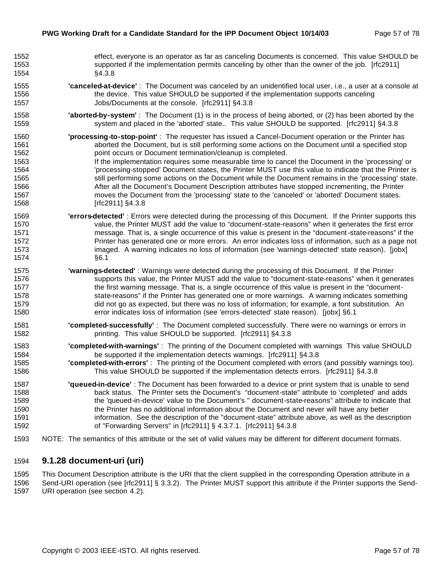| 1552 | effect, everyone is an operator as far as canceling Documents is concerned. This value SHOULD be                  |
|------|-------------------------------------------------------------------------------------------------------------------|
| 1553 | supported if the implementation permits canceling by other than the owner of the job. [rfc2911]                   |
| 1554 | §4.3.8                                                                                                            |
| 1555 | 'canceled-at-device': The Document was canceled by an unidentified local user, i.e., a user at a console at       |
| 1556 | the device. This value SHOULD be supported if the implementation supports canceling                               |
| 1557 | Jobs/Documents at the console. [rfc2911] §4.3.8                                                                   |
| 1558 | "aborted-by-system": The Document (1) is in the process of being aborted, or (2) has been aborted by the          |
| 1559 | system and placed in the 'aborted' state This value SHOULD be supported. [rfc2911] §4.3.8                         |
| 1560 | 'processing-to-stop-point': The requester has issued a Cancel-Document operation or the Printer has               |
| 1561 | aborted the Document, but is still performing some actions on the Document until a specified stop                 |
| 1562 | point occurs or Document termination/cleanup is completed.                                                        |
| 1563 | If the implementation requires some measurable time to cancel the Document in the 'processing' or                 |
| 1564 | 'processing-stopped' Document states, the Printer MUST use this value to indicate that the Printer is             |
| 1565 | still performing some actions on the Document while the Document remains in the 'processing' state.               |
| 1566 | After all the Document's Document Description attributes have stopped incrementing, the Printer                   |
| 1567 | moves the Document from the 'processing' state to the 'canceled' or 'aborted' Document states.                    |
| 1568 | [rfc2911] §4.3.8                                                                                                  |
| 1569 | "errors-detected": Errors were detected during the processing of this Document. If the Printer supports this      |
| 1570 | value, the Printer MUST add the value to "document-state-reasons" when it generates the first error               |
| 1571 | message. That is, a single occurrence of this value is present in the "document-state-reasons" if the             |
| 1572 | Printer has generated one or more errors. An error indicates loss of information, such as a page not              |
| 1573 | imaged. A warning indicates no loss of information (see 'warnings-detected' state reason). [jobx]                 |
| 1574 | §6.1                                                                                                              |
| 1575 | 'warnings-detected': Warnings were detected during the processing of this Document. If the Printer                |
| 1576 | supports this value, the Printer MUST add the value to "document-state-reasons" when it generates                 |
| 1577 | the first warning message. That is, a single occurrence of this value is present in the "document-                |
| 1578 | state-reasons" if the Printer has generated one or more warnings. A warning indicates something                   |
| 1579 | did not go as expected, but there was no loss of information; for example, a font substitution. An                |
| 1580 | error indicates loss of information (see 'errors-detected' state reason). [jobx] §6.1                             |
| 1581 | "completed-successfully": The Document completed successfully. There were no warnings or errors in                |
| 1582 | printing. This value SHOULD be supported. [rfc2911] §4.3.8                                                        |
| 1583 | 'completed-with-warnings': The printing of the Document completed with warnings This value SHOULD                 |
| 1584 | be supported if the implementation detects warnings. [rfc2911] §4.3.8                                             |
| 1585 | 'completed-with-errors': The printing of the Document completed with errors (and possibly warnings too).          |
| 1586 | This value SHOULD be supported if the implementation detects errors. [rfc2911] §4.3.8                             |
| 1587 | "queued-in-device": The Document has been forwarded to a device or print system that is unable to send            |
| 1588 | back status. The Printer sets the Document's "document-state" attribute to 'completed' and adds                   |
| 1589 | the 'queued-in-device' value to the Document's " document-state-reasons" attribute to indicate that               |
| 1590 | the Printer has no additional information about the Document and never will have any better                       |
| 1591 | information. See the description of the "document-state" attribute above, as well as the description              |
| 1592 | of "Forwarding Servers" in [rfc2911] § 4.3.7.1. [rfc2911] §4.3.8                                                  |
| 1593 | NOTE: The semantics of this attribute or the set of valid values may be different for different document formats. |

## **9.1.28 document-uri (uri)**

 This Document Description attribute is the URI that the client supplied in the corresponding Operation attribute in a Send-URI operation (see [rfc2911] § 3.3.2). The Printer MUST support this attribute if the Printer supports the Send-URI operation (see section 4.2).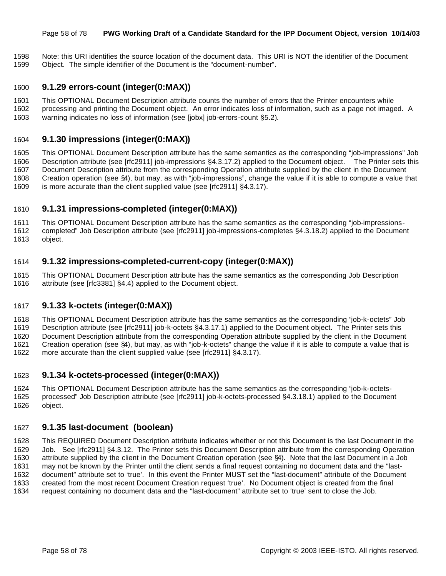#### Page 58 of 78 **PWG Working Draft of a Candidate Standard for the IPP Document Object, version 10/14/03**

 Note: this URI identifies the source location of the document data. This URI is NOT the identifier of the Document Object. The simple identifier of the Document is the "document-number".

## **9.1.29 errors-count (integer(0:MAX))**

- This OPTIONAL Document Description attribute counts the number of errors that the Printer encounters while
- processing and printing the Document object. An error indicates loss of information, such as a page not imaged. A warning indicates no loss of information (see [jobx] job-errors-count §5.2).

## **9.1.30 impressions (integer(0:MAX))**

 This OPTIONAL Document Description attribute has the same semantics as the corresponding "job-impressions" Job Description attribute (see [rfc2911] job-impressions §4.3.17.2) applied to the Document object. The Printer sets this Document Description attribute from the corresponding Operation attribute supplied by the client in the Document Creation operation (see §4), but may, as with "job-impressions", change the value if it is able to compute a value that is more accurate than the client supplied value (see [rfc2911] §4.3.17).

## **9.1.31 impressions-completed (integer(0:MAX))**

This OPTIONAL Document Description attribute has the same semantics as the corresponding "job-impressions-

 completed" Job Description attribute (see [rfc2911] job-impressions-completes §4.3.18.2) applied to the Document object.

## **9.1.32 impressions-completed-current-copy (integer(0:MAX))**

 This OPTIONAL Document Description attribute has the same semantics as the corresponding Job Description attribute (see [rfc3381] §4.4) applied to the Document object.

## **9.1.33 k-octets (integer(0:MAX))**

This OPTIONAL Document Description attribute has the same semantics as the corresponding "job-k-octets" Job

Description attribute (see [rfc2911] job-k-octets §4.3.17.1) applied to the Document object. The Printer sets this

 Document Description attribute from the corresponding Operation attribute supplied by the client in the Document Creation operation (see §4), but may, as with "job-k-octets" change the value if it is able to compute a value that is

more accurate than the client supplied value (see [rfc2911] §4.3.17).

## **9.1.34 k-octets-processed (integer(0:MAX))**

 This OPTIONAL Document Description attribute has the same semantics as the corresponding "job-k-octets- processed" Job Description attribute (see [rfc2911] job-k-octets-processed §4.3.18.1) applied to the Document object.

## **9.1.35 last-document (boolean)**

 This REQUIRED Document Description attribute indicates whether or not this Document is the last Document in the Job. See [rfc2911] §4.3.12. The Printer sets this Document Description attribute from the corresponding Operation attribute supplied by the client in the Document Creation operation (see §4). Note that the last Document in a Job may not be known by the Printer until the client sends a final request containing no document data and the "last- document" attribute set to 'true'. In this event the Printer MUST set the "last-document" attribute of the Document created from the most recent Document Creation request 'true'. No Document object is created from the final request containing no document data and the "last-document" attribute set to 'true' sent to close the Job.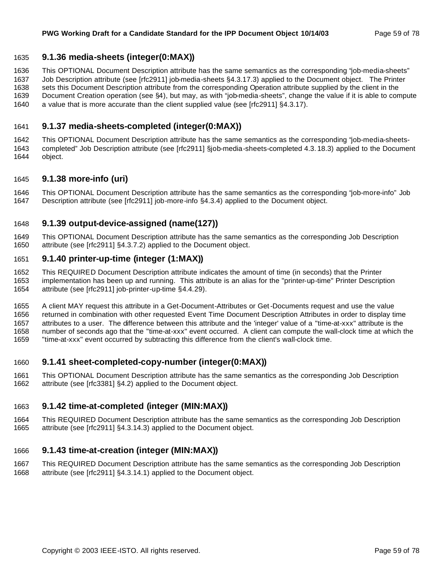## **9.1.36 media-sheets (integer(0:MAX))**

 This OPTIONAL Document Description attribute has the same semantics as the corresponding "job-media-sheets" Job Description attribute (see [rfc2911] job-media-sheets §4.3.17.3) applied to the Document object. The Printer sets this Document Description attribute from the corresponding Operation attribute supplied by the client in the Document Creation operation (see §4), but may, as with "job-media-sheets", change the value if it is able to compute a value that is more accurate than the client supplied value (see [rfc2911] §4.3.17).

## **9.1.37 media-sheets-completed (integer(0:MAX))**

 This OPTIONAL Document Description attribute has the same semantics as the corresponding "job-media-sheets- completed" Job Description attribute (see [rfc2911] §job-media-sheets-completed 4.3. 18.3) applied to the Document object.

#### **9.1.38 more-info (uri)**

 This OPTIONAL Document Description attribute has the same semantics as the corresponding "job-more-info" Job Description attribute (see [rfc2911] job-more-info §4.3.4) applied to the Document object.

## **9.1.39 output-device-assigned (name(127))**

 This OPTIONAL Document Description attribute has the same semantics as the corresponding Job Description attribute (see [rfc2911] §4.3.7.2) applied to the Document object.

#### **9.1.40 printer-up-time (integer (1:MAX))**

 This REQUIRED Document Description attribute indicates the amount of time (in seconds) that the Printer implementation has been up and running. This attribute is an alias for the "printer-up-time" Printer Description attribute (see [rfc2911] job-printer-up-time §4.4.29).

 A client MAY request this attribute in a Get-Document-Attributes or Get-Documents request and use the value returned in combination with other requested Event Time Document Description Attributes in order to display time attributes to a user. The difference between this attribute and the 'integer' value of a "time-at-xxx" attribute is the number of seconds ago that the "time-at-xxx" event occurred. A client can compute the wall-clock time at which the "time-at-xxx" event occurred by subtracting this difference from the client's wall-clock time.

#### **9.1.41 sheet-completed-copy-number (integer(0:MAX))**

 This OPTIONAL Document Description attribute has the same semantics as the corresponding Job Description attribute (see [rfc3381] §4.2) applied to the Document object.

## **9.1.42 time-at-completed (integer (MIN:MAX))**

 This REQUIRED Document Description attribute has the same semantics as the corresponding Job Description attribute (see [rfc2911] §4.3.14.3) applied to the Document object.

## **9.1.43 time-at-creation (integer (MIN:MAX))**

 This REQUIRED Document Description attribute has the same semantics as the corresponding Job Description attribute (see [rfc2911] §4.3.14.1) applied to the Document object.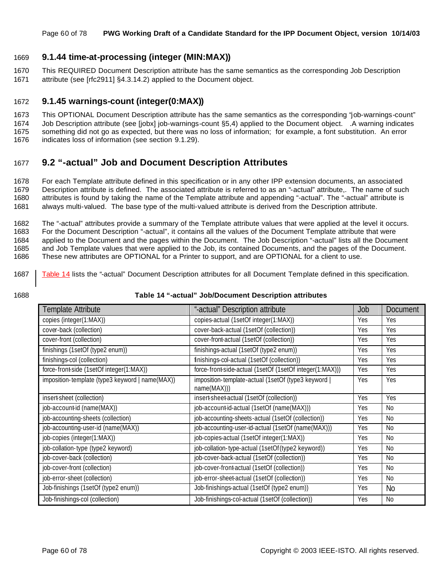#### Page 60 of 78 **PWG Working Draft of a Candidate Standard for the IPP Document Object, version 10/14/03**

## 1669 **9.1.44 time-at-processing (integer (MIN:MAX))**

1670 This REQUIRED Document Description attribute has the same semantics as the corresponding Job Description 1671 attribute (see [rfc2911] §4.3.14.2) applied to the Document object.

## 1672 **9.1.45 warnings-count (integer(0:MAX))**

1673 This OPTIONAL Document Description attribute has the same semantics as the corresponding "job-warnings-count" 1674 Job Description attribute (see [jobx] job-warnings-count §5,4) applied to the Document object. .A warning indicates 1675 something did not go as expected, but there was no loss of information; for example, a font substitution. An error

1676 indicates loss of information (see section 9.1.29).

## 1677 **9.2 "-actual" Job and Document Description Attributes**

 For each Template attribute defined in this specification or in any other IPP extension documents, an associated Description attribute is defined. The associated attribute is referred to as an "-actual" attribute,. The name of such attributes is found by taking the name of the Template attribute and appending "-actual". The "-actual" attribute is always multi-valued. The base type of the multi-valued attribute is derived from the Description attribute.

 The "-actual" attributes provide a summary of the Template attribute values that were applied at the level it occurs. For the Document Description "-actual", it contains all the values of the Document Template attribute that were applied to the Document and the pages within the Document. The Job Description "-actual" lists all the Document and Job Template values that were applied to the Job, its contained Documents, and the pages of the Document. These new attributes are OPTIONAL for a Printer to support, and are OPTIONAL for a client to use.

- 1687 Table 14 lists the "-actual" Document Description attributes for all Document Template defined in this specification.
- 

#### 1688 **Table 14 "-actual" Job/Document Description attributes**

| Template Attribute                              | "-actual" Description attribute                                    | Job | Document   |
|-------------------------------------------------|--------------------------------------------------------------------|-----|------------|
| copies (integer(1:MAX))                         | copies-actual (1setOf integer(1:MAX))                              | Yes | Yes        |
| cover-back (collection)                         | cover-back-actual (1setOf (collection))                            | Yes | <b>Yes</b> |
| cover-front (collection)                        | cover-front-actual (1setOf (collection))                           | Yes | Yes        |
| finishings (1setOf (type2 enum))                | finishings-actual (1setOf (type2 enum))                            | Yes | Yes        |
| finishings-col (collection)                     | finishings-col-actual (1setOf (collection))                        | Yes | Yes        |
| force-front-side (1setOf integer(1:MAX))        | force-front-side-actual (1setOf (1setOf integer(1:MAX)))           | Yes | Yes        |
| imposition-template (type3 keyword   name(MAX)) | imposition-template-actual (1setOf (type3 keyword  <br>name(MAX))) | Yes | Yes        |
| insert-sheet (collection)                       | insert-sheet-actual (1setOf (collection))                          | Yes | Yes        |
| job-account-id (name(MAX))                      | job-account-id-actual (1setOf (name(MAX)))                         | Yes | No         |
| job-accounting-sheets (collection)              | job-accounting-sheets-actual (1setOf (collection))                 | Yes | No         |
| job-accounting-user-id (name(MAX))              | job-accounting-user-id-actual (1setOf (name(MAX)))                 | Yes | No         |
| job-copies (integer(1:MAX))                     | job-copies-actual (1setOf integer(1:MAX))                          | Yes | No         |
| job-collation-type (type2 keyword)              | job-collation-type-actual (1setOf(type2 keyword))                  | Yes | No         |
| job-cover-back (collection)                     | job-cover-back-actual (1setOf (collection))                        | Yes | No         |
| job-cover-front (collection)                    | job-cover-front-actual (1setOf (collection))                       | Yes | No         |
| job-error-sheet (collection)                    | job-error-sheet-actual (1setOf (collection))                       | Yes | No         |
| Job-finishings (1setOf (type2 enum))            | Job-finishings-actual (1setOf (type2 enum))                        | Yes | <b>No</b>  |
| Job-finishings-col (collection)                 | Job-finishings-col-actual (1setOf (collection))                    | Yes | No         |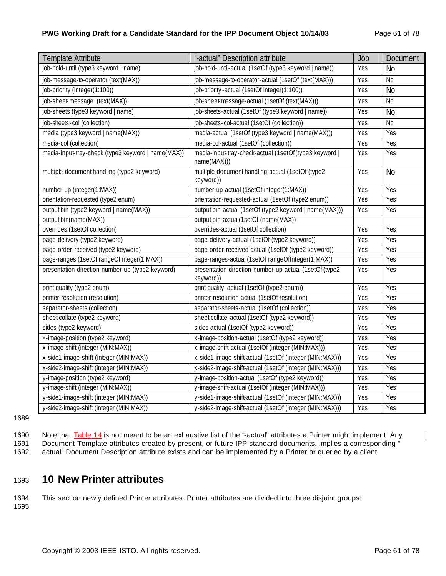## **PWG Working Draft for a Candidate Standard for the IPP Document Object 10/14/03** Page 61 of 78

| <b>Template Attribute</b>                          | "-actual" Description attribute                                     | Job | Document       |
|----------------------------------------------------|---------------------------------------------------------------------|-----|----------------|
| job-hold-until (type3 keyword   name)              | job-hold-until-actual (1setOf (type3 keyword   name))               | Yes | <b>No</b>      |
| job-message-to-operator (text(MAX))                | job-message-to-operator-actual (1setOf (text(MAX)))                 | Yes | <b>No</b>      |
| job-priority (integer(1:100))                      | job-priority-actual (1setOf integer(1:100))                         | Yes | N <sub>o</sub> |
| job-sheet-message (text(MAX))                      | job-sheet-message-actual (1setOf (text(MAX)))                       | Yes | <b>No</b>      |
| job-sheets (type3 keyword   name)                  | job-sheets-actual (1setOf (type3 keyword   name))                   | Yes | <b>No</b>      |
| job-sheets-col (collection)                        | job-sheets-col-actual (1setOf (collection))                         | Yes | <b>No</b>      |
| media (type3 keyword   name(MAX))                  | media-actual (1setOf (type3 keyword   name(MAX)))                   | Yes | Yes            |
| media-col (collection)                             | media-col-actual (1setOf (collection))                              | Yes | Yes            |
| media-input tray-check (type3 keyword   name(MAX)) | media-input tray-check-actual (1setOf(type3 keyword<br>name(MAX)))  | Yes | Yes            |
| multiple-document-handling (type2 keyword)         | multiple-document-handling-actual (1setOf (type2<br>keyword))       | Yes | <b>No</b>      |
| number-up (integer(1:MAX))                         | number-up-actual (1setOf integer(1:MAX))                            | Yes | Yes            |
| orientation-requested (type2 enum)                 | orientation-requested-actual (1setOf (type2 enum))                  | Yes | Yes            |
| output-bin (type2 keyword   name(MAX))             | output-bin-actual (1setOf (type2 keyword   name(MAX)))              | Yes | Yes            |
| output-bin(name(MAX))                              | output-bin-axtual(1setOf (name(MAX))                                |     |                |
| overrides (1setOf collection)                      | overrides-actual (1setOf collection)                                | Yes | Yes            |
| page-delivery (type2 keyword)                      | page-delivery-actual (1setOf (type2 keyword))                       | Yes | Yes            |
| page-order-received (type2 keyword)                | page-order-received-actual (1setOf (type2 keyword))                 | Yes | Yes            |
| page-ranges (1setOf rangeOfInteger(1:MAX))         | page-ranges-actual (1setOf rangeOfInteger(1:MAX))                   | Yes | Yes            |
| presentation-direction-number-up (type2 keyword)   | presentation-direction-number-up-actual (1setOf (type2<br>keyword)) | Yes | Yes            |
| print-quality (type2 enum)                         | print-quality-actual (1setOf (type2 enum))                          | Yes | Yes            |
| printer-resolution (resolution)                    | printer-resolution-actual (1setOf resolution)                       | Yes | Yes            |
| separator-sheets (collection)                      | separator-sheets-actual (1setOf (collection))                       | Yes | Yes            |
| sheet-collate (type2 keyword)                      | sheet collate-actual (1setOf (type2 keyword))                       | Yes | Yes            |
| sides (type2 keyword)                              | sides-actual (1setOf (type2 keyword))                               | Yes | Yes            |
| x-image-position (type2 keyword)                   | x-image-position-actual (1setOf (type2 keyword))                    | Yes | Yes            |
| x-image-shift (integer (MIN:MAX))                  | x-image-shift-actual (1setOf (integer (MIN:MAX)))                   | Yes | Yes            |
| x-side1-image-shift (integer (MIN:MAX))            | x-side1-image-shift-actual (1setOf (integer (MIN:MAX)))             | Yes | Yes            |
| x-side2-image-shift (integer (MIN:MAX))            | x-side2-image-shift-actual (1setOf (integer (MIN:MAX)))             | Yes | Yes            |
| y-image-position (type2 keyword)                   | y-image-position-actual (1setOf (type2 keyword))                    | Yes | Yes            |
| y-image-shift (integer (MIN:MAX))                  | y-image-shift-actual (1setOf (integer (MIN:MAX)))                   | Yes | Yes            |
| y-side1-image-shift (integer (MIN:MAX))            | y-side1-image-shift-actual (1setOf (integer (MIN:MAX)))             | Yes | Yes            |
| y-side2-image-shift (integer (MIN:MAX))            | y-side2-image-shift-actual (1setOf (integer (MIN:MAX)))             | Yes | Yes            |

1689

1690 Note that **Table 14** is not meant to be an exhaustive list of the "-actual" attributes a Printer might implement. Any 1691 Document Template attributes created by present, or future IPP standard documents, implies a corresponding "-<br>1692 actual" Document Description attribute exists and can be implemented by a Printer or queried by a clie

actual" Document Description attribute exists and can be implemented by a Printer or queried by a client.

# <sup>1693</sup> **10 New Printer attributes**

1694 This section newly defined Printer attributes. Printer attributes are divided into three disjoint groups: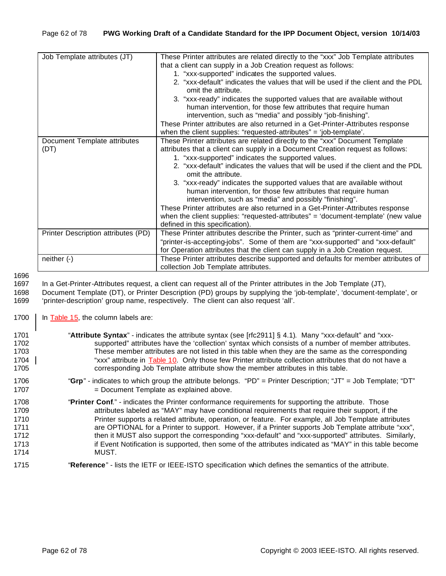| Job Template attributes (JT)        | These Printer attributes are related directly to the "xxx" Job Template attributes<br>that a client can supply in a Job Creation request as follows:  |
|-------------------------------------|-------------------------------------------------------------------------------------------------------------------------------------------------------|
|                                     |                                                                                                                                                       |
|                                     | 1. "xxx-supported" indicates the supported values.                                                                                                    |
|                                     | 2. "xxx-default" indicates the values that will be used if the client and the PDL<br>omit the attribute.                                              |
|                                     | 3. "xxx-ready" indicates the supported values that are available without                                                                              |
|                                     | human intervention, for those few attributes that require human                                                                                       |
|                                     | intervention, such as "media" and possibly "job-finishing".                                                                                           |
|                                     | These Printer attributes are also returned in a Get-Printer-Attributes response<br>when the client supplies: "requested-attributes" = 'job-template'. |
| Document Template attributes        | These Printer attributes are related directly to the "xxx" Document Template                                                                          |
| (DT)                                | attributes that a client can supply in a Document Creation request as follows:                                                                        |
|                                     | 1. "xxx-supported" indicates the supported values.                                                                                                    |
|                                     | 2. "xxx-default" indicates the values that will be used if the client and the PDL<br>omit the attribute.                                              |
|                                     | 3. "xxx-ready" indicates the supported values that are available without                                                                              |
|                                     | human intervention, for those few attributes that require human                                                                                       |
|                                     | intervention, such as "media" and possibly "finishing".                                                                                               |
|                                     | These Printer attributes are also returned in a Get-Printer-Attributes response                                                                       |
|                                     | when the client supplies: "requested-attributes" = 'document-template' (new value                                                                     |
|                                     | defined in this specification).                                                                                                                       |
| Printer Description attributes (PD) | These Printer attributes describe the Printer, such as "printer-current-time" and                                                                     |
|                                     | "printer-is-accepting-jobs". Some of them are "xxx-supported" and "xxx-default"                                                                       |
|                                     | for Operation attributes that the client can supply in a Job Creation request.                                                                        |
| neither $(-)$                       | These Printer attributes describe supported and defaults for member attributes of                                                                     |
|                                     | collection Job Template attributes.                                                                                                                   |

1697 In a Get-Printer-Attributes request, a client can request all of the Printer attributes in the Job Template (JT),

1698 Document Template (DT), or Printer Description (PD) groups by supplying the 'job-template', 'document-template', or 1699 'printer-description' group name, respectively. The client can also request 'all'.

1700 | In Table 15, the column labels are:

| 1701 | "Attribute Syntax" - indicates the attribute syntax (see [rfc2911] § 4.1). Many "xxx-default" and "xxx-       |
|------|---------------------------------------------------------------------------------------------------------------|
| 1702 | supported" attributes have the 'collection' syntax which consists of a number of member attributes.           |
| 1703 | These member attributes are not listed in this table when they are the same as the corresponding              |
| 1704 | "xxx" attribute in Table 10. Only those few Printer attribute collection attributes that do not have a        |
| 1705 | corresponding Job Template attribute show the member attributes in this table.                                |
| 1706 | "Grp" - indicates to which group the attribute belongs. "PD" = Printer Description; "JT" = Job Template; "DT" |
| 1707 | = Document Template as explained above.                                                                       |
| 1708 | "Printer Conf." - indicates the Printer conformance requirements for supporting the attribute. Those          |
| 1709 | attributes labeled as "MAY" may have conditional requirements that require their support, if the              |
| 1710 | Printer supports a related attribute, operation, or feature. For example, all Job Template attributes         |
| 1711 | are OPTIONAL for a Printer to support. However, if a Printer supports Job Template attribute "xxx",           |
| 1712 | then it MUST also support the corresponding "xxx-default" and "xxx-supported" attributes. Similarly,          |
| 1713 | if Event Notification is supported, then some of the attributes indicated as "MAY" in this table become       |
| 1714 | MUST.                                                                                                         |
| 1715 | "Reference" - lists the IETF or IEEE-ISTO specification which defines the semantics of the attribute.         |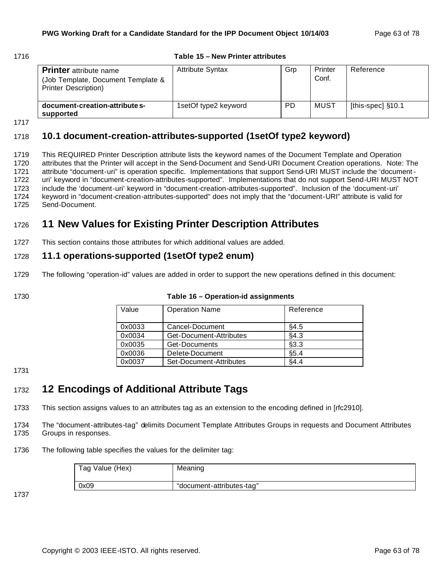## 1716 **Table 15 – New Printer attributes**

| <b>Printer</b> attribute name<br>(Job Template, Document Template &<br><b>Printer Description</b> ) | <b>Attribute Syntax</b> | Grp       | Printer<br>Conf. | Reference           |
|-----------------------------------------------------------------------------------------------------|-------------------------|-----------|------------------|---------------------|
| document-creation-attribute s-<br>supported                                                         | 1setOf type2 keyword    | <b>PD</b> | MUST             | [this-spec] $§10.1$ |

1717

## 1718 **10.1 document-creation-attributes-supported (1setOf type2 keyword)**

 This REQUIRED Printer Description attribute lists the keyword names of the Document Template and Operation attributes that the Printer will accept in the Send-Document and Send-URI Document Creation operations. Note: The attribute "document-uri" is operation specific. Implementations that support Send-URI MUST include the 'document- uri' keyword in "document-creation-attributes-supported". Implementations that do not support Send-URI MUST NOT include the 'document-uri' keyword in "document-creation-attributes-supported". Inclusion of the 'document-uri' keyword in "document-creation-attributes-supported" does not imply that the "document-URI" attribute is valid for Send-Document.

# <sup>1726</sup> **11 New Values for Existing Printer Description Attributes**

1727 This section contains those attributes for which additional values are added.

## 1728 **11.1 operations-supported (1setOf type2 enum)**

1729 The following "operation-id" values are added in order to support the new operations defined in this document:

1730 **Table 16 – Operation-id assignments**

| Value  | <b>Operation Name</b>   | Reference   |
|--------|-------------------------|-------------|
|        |                         |             |
|        |                         |             |
| 0x0033 | Cancel-Document         | §4.5        |
| 0x0034 | Get-Document-Attributes | §4.3        |
|        |                         |             |
| 0x0035 | Get-Documents           | §3.3        |
| 0x0036 | Delete-Document         | §5.4        |
|        |                         |             |
| 0x0037 | Set-Document-Attributes | <b>84.4</b> |

#### 1731

# <sup>1732</sup> **12 Encodings of Additional Attribute Tags**

1733 This section assigns values to an attributes tag as an extension to the encoding defined in [rfc2910].

1734 The "document-attributes-tag" delimits Document Template Attributes Groups in requests and Document Attributes 1735 Groups in responses.

1736 The following table specifies the values for the delimiter tag:

| Tag Value (Hex) | Meaning                   |
|-----------------|---------------------------|
| 0x09            | "document-attributes-tag" |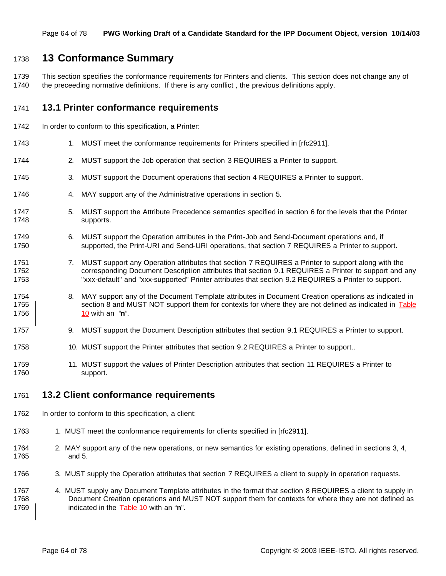## **13 Conformance Summary**

 This section specifies the conformance requirements for Printers and clients. This section does not change any of 1740 the preceeding normative definitions. If there is any conflict, the previous definitions apply.

## **13.1 Printer conformance requirements**

- In order to conform to this specification, a Printer:
- 1743 1. MUST meet the conformance requirements for Printers specified in [rfc2911].
- 2. MUST support the Job operation that section 3 REQUIRES a Printer to support.
- 3. MUST support the Document operations that section 4 REQUIRES a Printer to support.
- 4. MAY support any of the Administrative operations in section 5.
- 5. MUST support the Attribute Precedence semantics specified in section 6 for the levels that the Printer supports.
- 6. MUST support the Operation attributes in the Print-Job and Send-Document operations and, if supported, the Print-URI and Send-URI operations, that section 7 REQUIRES a Printer to support.
- 1751 7. MUST support any Operation attributes that section 7 REQUIRES a Printer to support along with the 1752 corresponding Document Description attributes that section 9.1 REQUIRES a Printer to support and any "xxx-default" and "xxx-supported" Printer attributes that section 9.2 REQUIRES a Printer to support.
- 8. MAY support any of the Document Template attributes in Document Creation operations as indicated in 1755 section 8 and MUST NOT support them for contexts for where they are not defined as indicated in Table 10 with an "**n**".
- 1757 9. MUST support the Document Description attributes that section 9.1 REQUIRES a Printer to support.
- 1758 10. MUST support the Printer attributes that section 9.2 REQUIRES a Printer to support..
- 11. MUST support the values of Printer Description attributes that section 11 REQUIRES a Printer to support.

## **13.2 Client conformance requirements**

- In order to conform to this specification, a client:
- 1763 1. MUST meet the conformance requirements for clients specified in [rfc2911].
- 2. MAY support any of the new operations, or new semantics for existing operations, defined in sections 3, 4, and 5.
- 3. MUST supply the Operation attributes that section 7 REQUIRES a client to supply in operation requests.
- 4. MUST supply any Document Template attributes in the format that section 8 REQUIRES a client to supply in Document Creation operations and MUST NOT support them for contexts for where they are not defined as indicated in the Table 10 with an "**n**".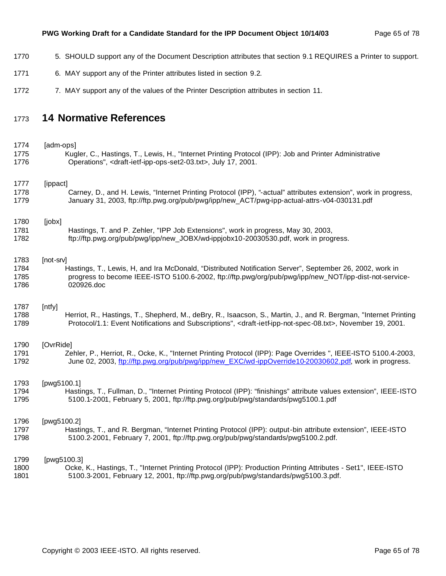- 5. SHOULD support any of the Document Description attributes that section 9.1 REQUIRES a Printer to support.
- 6. MAY support any of the Printer attributes listed in section 9.2.
- 1772 7. MAY support any of the values of the Printer Description attributes in section 11.

## **14 Normative References**

1774 [adm-ops] Kugler, C., Hastings, T., Lewis, H., "Internet Printing Protocol (IPP): Job and Printer Administrative Operations", <draft-ietf-ipp-ops-set2-03.txt>, July 17, 2001. 1777 [ippact] Carney, D., and H. Lewis, "Internet Printing Protocol (IPP), "-actual" attributes extension", work in progress, January 31, 2003, ftp://ftp.pwg.org/pub/pwg/ipp/new\_ACT/pwg-ipp-actual-attrs-v04-030131.pdf [jobx] Hastings, T. and P. Zehler, "IPP Job Extensions", work in progress, May 30, 2003, ftp://ftp.pwg.org/pub/pwg/ipp/new\_JOBX/wd-ippjobx10-20030530.pdf, work in progress. [not-srv] Hastings, T., Lewis, H, and Ira McDonald, "Distributed Notification Server", September 26, 2002, work in progress to become IEEE-ISTO 5100.6-2002, ftp://ftp.pwg/org/pub/pwg/ipp/new\_NOT/ipp-dist-not-service-020926.doc

## [ntfy]

 Herriot, R., Hastings, T., Shepherd, M., deBry, R., Isaacson, S., Martin, J., and R. Bergman, "Internet Printing Protocol/1.1: Event Notifications and Subscriptions", <draft-ietf-ipp-not-spec-08.txt>, November 19, 2001.

## [OvrRide]

 Zehler, P., Herriot, R., Ocke, K., "Internet Printing Protocol (IPP): Page Overrides ", IEEE-ISTO 5100.4-2003, 1792 June 02, 2003, ftp://ftp.pwg.org/pub/pwg/ipp/new\_EXC/wd-ippOverride10-20030602.pdf, work in progress.

#### [pwg5100.1]

 Hastings, T., Fullman, D., "Internet Printing Protocol (IPP): "finishings" attribute values extension", IEEE-ISTO 5100.1-2001, February 5, 2001, ftp://ftp.pwg.org/pub/pwg/standards/pwg5100.1.pdf

#### [pwg5100.2]

 Hastings, T., and R. Bergman, "Internet Printing Protocol (IPP): output-bin attribute extension", IEEE-ISTO 5100.2-2001, February 7, 2001, ftp://ftp.pwg.org/pub/pwg/standards/pwg5100.2.pdf.

1799 [pwg5100.3] Ocke, K., Hastings, T., "Internet Printing Protocol (IPP): Production Printing Attributes - Set1", IEEE-ISTO 5100.3-2001, February 12, 2001, ftp://ftp.pwg.org/pub/pwg/standards/pwg5100.3.pdf.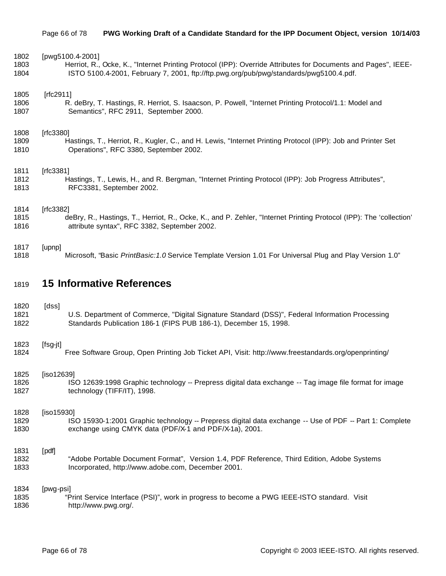| 1802 | [pwg5100.4-2001]                                                                                                   |
|------|--------------------------------------------------------------------------------------------------------------------|
| 1803 | Herriot, R., Ocke, K., "Internet Printing Protocol (IPP): Override Attributes for Documents and Pages", IEEE-      |
| 1804 | ISTO 5100.4-2001, February 7, 2001, ftp://ftp.pwg.org/pub/pwg/standards/pwg5100.4.pdf.                             |
| 1805 | [rfc2911]                                                                                                          |
| 1806 | R. deBry, T. Hastings, R. Herriot, S. Isaacson, P. Powell, "Internet Printing Protocol/1.1: Model and              |
| 1807 | Semantics", RFC 2911, September 2000.                                                                              |
| 1808 | [rfc3380]                                                                                                          |
| 1809 | Hastings, T., Herriot, R., Kugler, C., and H. Lewis, "Internet Printing Protocol (IPP): Job and Printer Set        |
| 1810 | Operations", RFC 3380, September 2002.                                                                             |
| 1811 | [rfc3381]                                                                                                          |
| 1812 | Hastings, T., Lewis, H., and R. Bergman, "Internet Printing Protocol (IPP): Job Progress Attributes",              |
| 1813 | RFC3381, September 2002.                                                                                           |
| 1814 | [rfc3382]                                                                                                          |
| 1815 | deBry, R., Hastings, T., Herriot, R., Ocke, K., and P. Zehler, "Internet Printing Protocol (IPP): The 'collection' |
| 1816 | attribute syntax", RFC 3382, September 2002.                                                                       |
| 1817 | [upnp]                                                                                                             |
| 1818 | Microsoft, "Basic PrintBasic: 1.0 Service Template Version 1.01 For Universal Plug and Play Version 1.0"           |

# **15 Informative References**

| 1820 | [dss]                                                                                                   |
|------|---------------------------------------------------------------------------------------------------------|
| 1821 | U.S. Department of Commerce, "Digital Signature Standard (DSS)", Federal Information Processing         |
| 1822 | Standards Publication 186-1 (FIPS PUB 186-1), December 15, 1998.                                        |
| 1823 | [fsg-jt]                                                                                                |
| 1824 | Free Software Group, Open Printing Job Ticket API, Visit: http://www.freestandards.org/openprinting/    |
| 1825 | [iso12639]                                                                                              |
| 1826 | ISO 12639:1998 Graphic technology -- Prepress digital data exchange -- Tag image file format for image  |
| 1827 | technology (TIFF/IT), 1998.                                                                             |
| 1828 | [iso15930]                                                                                              |
| 1829 | ISO 15930-1:2001 Graphic technology -- Prepress digital data exchange -- Use of PDF -- Part 1: Complete |
| 1830 | exchange using CMYK data (PDF/X-1 and PDF/X-1a), 2001.                                                  |
| 1831 | [pdf]                                                                                                   |
| 1832 | "Adobe Portable Document Format", Version 1.4, PDF Reference, Third Edition, Adobe Systems              |
| 1833 | Incorporated, http://www.adobe.com, December 2001.                                                      |
| 1834 | [pwg-psi]                                                                                               |
| 1835 | "Print Service Interface (PSI)", work in progress to become a PWG IEEE-ISTO standard. Visit             |
| 1836 | http://www.pwg.org/.                                                                                    |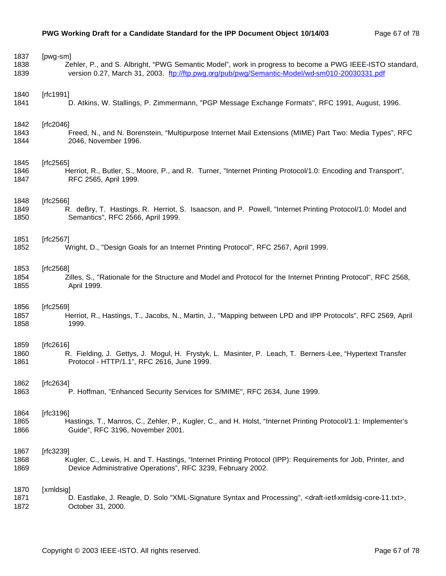| 1837 | [pwg-sm]                                                                                                                                  |
|------|-------------------------------------------------------------------------------------------------------------------------------------------|
| 1838 | Zehler, P., and S. Albright, "PWG Semantic Model", work in progress to become a PWG IEEE-ISTO standard,                                   |
| 1839 | version 0.27, March 31, 2003. ftp://ftp.pwg.org/pub/pwg/Semantic-Model/wd-sm010-20030331.pdf                                              |
| 1840 | [ $rfc1991$ ]                                                                                                                             |
| 1841 | D. Atkins, W. Stallings, P. Zimmermann, "PGP Message Exchange Formats", RFC 1991, August, 1996.                                           |
| 1842 | [ $rfc2046$ ]                                                                                                                             |
| 1843 | Freed, N., and N. Borenstein, "Multipurpose Internet Mail Extensions (MIME) Part Two: Media Types", RFC                                   |
| 1844 | 2046, November 1996.                                                                                                                      |
| 1845 | [rfc2565]                                                                                                                                 |
| 1846 | Herriot, R., Butler, S., Moore, P., and R. Turner, "Internet Printing Protocol/1.0: Encoding and Transport",                              |
| 1847 | RFC 2565, April 1999.                                                                                                                     |
| 1848 | [ $rfc2566$ ]                                                                                                                             |
| 1849 | R. deBry, T. Hastings, R. Herriot, S. Isaacson, and P. Powell, "Internet Printing Protocol/1.0: Model and                                 |
| 1850 | Semantics", RFC 2566, April 1999.                                                                                                         |
| 1851 | [ $rfc2567$ ]                                                                                                                             |
| 1852 | Wright, D., "Design Goals for an Internet Printing Protocol", RFC 2567, April 1999.                                                       |
| 1853 | [rfc2568]                                                                                                                                 |
| 1854 | Zilles, S., "Rationale for the Structure and Model and Protocol for the Internet Printing Protocol", RFC 2568,                            |
| 1855 | April 1999.                                                                                                                               |
| 1856 | [ $rfc2569$ ]                                                                                                                             |
| 1857 | Herriot, R., Hastings, T., Jacobs, N., Martin, J., "Mapping between LPD and IPP Protocols", RFC 2569, April                               |
| 1858 | 1999.                                                                                                                                     |
| 1859 | [ $rfc2616$ ]                                                                                                                             |
| 1860 | R. Fielding, J. Gettys, J. Mogul, H. Frystyk, L. Masinter, P. Leach, T. Berners-Lee, "Hypertext Transfer                                  |
| 1861 | Protocol - HTTP/1.1", RFC 2616, June 1999.                                                                                                |
| 1862 | [rfc2634]                                                                                                                                 |
| 1863 | P. Hoffman, "Enhanced Security Services for S/MIME", RFC 2634, June 1999.                                                                 |
| 1864 | [ $rfc3196$ ]                                                                                                                             |
| 1865 | Hastings, T., Manros, C., Zehler, P., Kugler, C., and H. Holst, "Internet Printing Protocol/1.1: Implementer's                            |
| 1866 | Guide", RFC 3196, November 2001.                                                                                                          |
| 1867 | [ $rfc3239$ ]                                                                                                                             |
| 1868 | Kugler, C., Lewis, H. and T. Hastings, "Internet Printing Protocol (IPP): Requirements for Job, Printer, and                              |
| 1869 | Device Administrative Operations", RFC 3239, February 2002.                                                                               |
| 1870 | [xmldsig]                                                                                                                                 |
| 1871 | D. Eastlake, J. Reagle, D. Solo "XML-Signature Syntax and Processing", <draft-ietf-xmldsig-core-11.txt>,</draft-ietf-xmldsig-core-11.txt> |
| 1872 | October 31, 2000.                                                                                                                         |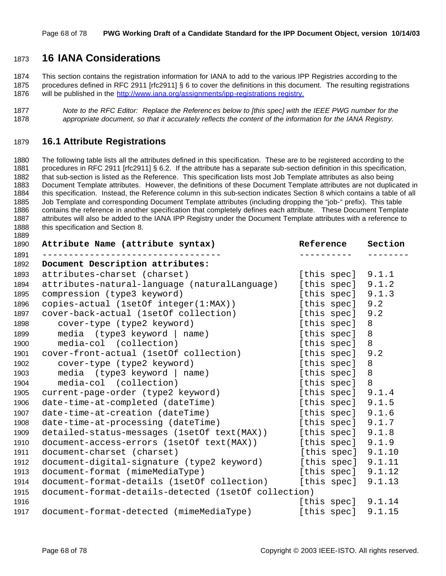# **16 IANA Considerations**

 This section contains the registration information for IANA to add to the various IPP Registries according to the procedures defined in RFC 2911 [rfc2911] § 6 to cover the definitions in this document. The resulting registrations will be published in the http://www.iana.org/assignments/ipp-registrations registry.

```
1877 Note to the RFC Editor: Replace the References below to [this spec] with the IEEE PWG number for the
1878 appropriate document, so that it accurately reflects the content of the information for the IANA Registry.
```
## **16.1 Attribute Registrations**

 The following table lists all the attributes defined in this specification. These are to be registered according to the procedures in RFC 2911 [rfc2911] § 6.2. If the attribute has a separate sub-section definition in this specification, that sub-section is listed as the Reference. This specification lists most Job Template attributes as also being Document Template attributes. However, the definitions of these Document Template attributes are not duplicated in this specification. Instead, the Reference column in this sub-section indicates Section 8 which contains a table of all Job Template and corresponding Document Template attributes (including dropping the "job-" prefix). This table contains the reference in another specification that completely defines each attribute. These Document Template attributes will also be added to the IANA IPP Registry under the Document Template attributes with a reference to 1888 this specification and Section 8.

| 1890         | Attribute Name (attribute syntax)                    | Reference            | Section |
|--------------|------------------------------------------------------|----------------------|---------|
| 1891<br>1892 | Document Description attributes:                     |                      |         |
| 1893         | attributes-charset (charset)                         | [this spec] 9.1.1    |         |
| 1894         | attributes-natural-language (naturalLanguage)        | [this spec] 9.1.2    |         |
| 1895         | compression (type3 keyword)                          | [this spec] $9.1.3$  |         |
| 1896         | copies-actual (1setOf integer(1:MAX))                | [this spec] 9.2      |         |
| 1897         | cover-back-actual (1setOf collection)                | [this spec]          | 9.2     |
| 1898         | cover-type (type2 keyword)                           | [this spec]          | 8       |
| 1899         | media (type3 keyword   name)                         | [this spec]          | 8       |
| 1900         | media-col (collection)                               | [this spec]          | 8       |
| 1901         | cover-front-actual (1setOf collection)               | [this spec] 9.2      |         |
| 1902         | cover-type (type2 keyword)                           | [this spec]          | 8       |
| 1903         | media $(type3$ keyword $ $ name)                     | [this spec]          | 8       |
| 1904         | media-col (collection)                               | [this spec]          | 8       |
| 1905         | current-page-order (type2 keyword)                   | [this spec] $9.1.4$  |         |
| 1906         | date-time-at-completed (dateTime)                    | [this spec] $9.1.5$  |         |
| 1907         | date-time-at-creation (dateTime)                     | [this spec] $9.1.6$  |         |
| 1908         | date-time-at-processing (dateTime)                   | [this spec] 9.1.7    |         |
| 1909         | detailed-status-messages (1setOf text(MAX))          | [this spec] 9.1.8    |         |
| 1910         | document-access-errors (1setOf text(MAX))            | [this spec] $9.1.9$  |         |
| 1911         | document-charset (charset)                           | [this spec] $9.1.10$ |         |
| 1912         | document-digital-signature (type2 keyword)           | [this spec] $9.1.11$ |         |
| 1913         | document-format (mimeMediaType)                      | [this spec] $9.1.12$ |         |
| 1914         | document-format-details (1setOf collection)          | [this spec]          | 9.1.13  |
| 1915         | document-format-details-detected (1setOf collection) |                      |         |
| 1916         |                                                      | [this spec] $9.1.14$ |         |
| 1917         | document-format-detected (mimeMediaType)             | [this spec] 9.1.15   |         |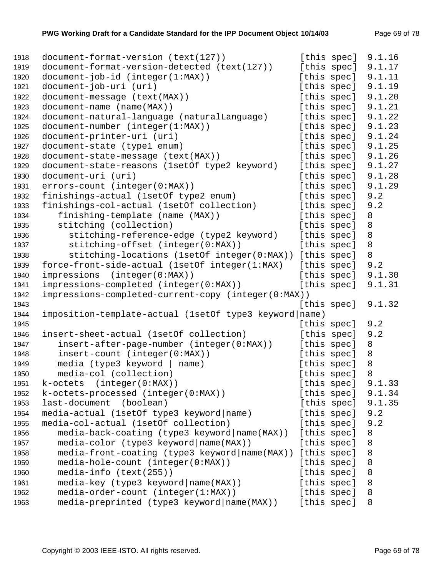| 1918 | document-format-version (text(127))                    |             | [this spec] | 9.1.16 |
|------|--------------------------------------------------------|-------------|-------------|--------|
| 1919 | document-format-version-detected (text(127))           |             | [this spec] | 9.1.17 |
| 1920 | document-job-id (integer(1:MAX))                       |             | [this spec] | 9.1.11 |
| 1921 | document-job-uri (uri)                                 |             | [this spec] | 9.1.19 |
| 1922 | document-message (text(MAX))                           |             | [this spec] | 9.1.20 |
| 1923 | document-name (name(MAX))                              |             | [this spec] | 9.1.21 |
| 1924 | document-natural-language (naturalLanguage)            |             | [this spec] | 9.1.22 |
| 1925 | document-number (integer(1:MAX))                       |             | [this spec] | 9.1.23 |
| 1926 | document-printer-uri (uri)                             |             | [this spec] | 9.1.24 |
| 1927 | document-state (type1 enum)                            |             | [this spec] | 9.1.25 |
| 1928 | document-state-message (text(MAX))                     |             | [this spec] | 9.1.26 |
| 1929 | document-state-reasons (1setOf type2 keyword)          |             | [this spec] | 9.1.27 |
| 1930 | document-uri (uri)                                     |             | [this spec] | 9.1.28 |
| 1931 | errors-count (integer(0:MAX))                          |             | [this spec] | 9.1.29 |
| 1932 | finishings-actual (1setOf type2 enum)                  |             | [this spec] | 9.2    |
| 1933 | finishings-col-actual (1setOf collection)              |             | [this spec] | 9.2    |
| 1934 | finishing-template (name (MAX))                        |             | [this spec] | 8      |
| 1935 | stitching (collection)                                 |             | [this spec] | 8      |
| 1936 | stitching-reference-edge (type2 keyword)               |             | [this spec] | 8      |
| 1937 | stitching-offset (integer(0:MAX))                      |             | [this spec] | 8      |
| 1938 | stitching-locations (1setOf integer(0:MAX))            |             | [this spec] | 8      |
| 1939 | force-front-side-actual (1setOf integer(1:MAX)         |             | [this spec] | 9.2    |
| 1940 | impressions (integer(0:MAX))                           |             | [this spec] | 9.1.30 |
| 1941 | impressions-completed (integer(0:MAX))                 |             | [this spec] | 9.1.31 |
| 1942 | impressions-completed-current-copy (integer(0:MAX))    |             |             |        |
| 1943 |                                                        |             | [this spec] | 9.1.32 |
| 1944 | imposition-template-actual (1setOf type3 keyword name) |             |             |        |
| 1945 |                                                        |             | [this spec] | 9.2    |
| 1946 | insert-sheet-actual (1setOf collection)                |             | [this spec] | 9.2    |
| 1947 | insert-after-page-number (integer(0:MAX))              |             | [this spec] | 8      |
| 1948 | insert-count (integer(0:MAX))                          |             | [this spec] | 8      |
| 1949 | media (type3 keyword   name)                           |             | [this spec] | 8      |
| 1950 | media-col (collection)                                 |             | [this spec] | 8      |
| 1951 | k-octets (integer(0:MAX))                              |             | [this spec] | 9.1.33 |
| 1952 | k-octets-processed (integer(0:MAX))                    |             | [this spec] | 9.1.34 |
| 1953 | last-document<br>(boolean)                             |             | [this spec] | 9.1.35 |
| 1954 | media-actual (1setOf type3 keyword name)               |             | [this spec] | 9.2    |
| 1955 | media-col-actual (1setOf collection)                   |             | [this spec] | 9.2    |
| 1956 | media-back-coating (type3 keyword   name (MAX))        |             | [this spec] | 8      |
| 1957 | media-color (type3 keyword   name (MAX) )              |             | [this spec] | 8      |
| 1958 | media-front-coating (type3 keyword   name(MAX))        |             | [this spec] | 8      |
| 1959 | media-hole-count (integer(0:MAX))                      |             | [this spec] | 8      |
| 1960 | $media-info (text(255))$                               | [this spec] |             | 8      |
| 1961 | media-key (type3 keyword name(MAX))                    |             | [this spec] | 8      |
| 1962 | media-order-count (integer(1:MAX))                     |             | [this spec] | 8      |
| 1963 | media-preprinted (type3 keyword   name(MAX))           | [this spec] |             | 8      |
|      |                                                        |             |             |        |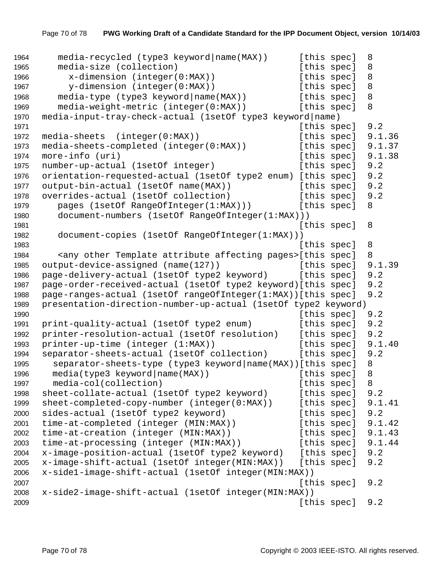```
1964 media-recycled (type3 keyword|name(MAX)) [this spec] 8
1965 media-size (collection) [this spec] 8
1966 x-dimension (integer(0:MAX)) [this spec] 8
1967 y-dimension (integer(0:MAX)) [this spec] 8
1968 media-type (type3 keyword|name(MAX)) [this spec] 8
1969 media-weight-metric (integer(0:MAX)) [this spec] 8
1970 media-input-tray-check-actual (1setOf type3 keyword|name)
1971 Interval 2012 1971 Contract Contract Contract Contract Contract Contract Contract Contract Contract Contract Contract Contract Contract Contract Contract Contract Contract Contract Contract Contract Contract Contra
1972 media-sheets (integer(0:MAX)) [this spec] 9.1.36
1973 media-sheets-completed (integer(0:MAX)) [this spec] 9.1.37
1974 more-info (uri) [this spec] 9.1.38
1975 number-up-actual (1setOf integer) [this spec] 9.2
1976 orientation-requested-actual (1setOf type2 enum) [this spec] 9.2
1977 output-bin-actual (1setOf name(MAX)) [this spec] 9.2
1978 overrides-actual (1setOf collection) [this spec] 9.2
1979 pages (1setOf RangeOfInteger(1:MAX))) [this spec] 8
1980 document-numbers (1setOf RangeOfInteger(1:MAX)))
1981 1981 1981
1982 document-copies (1setOf RangeOfInteger(1:MAX)))
1983 International Contract Contract Contract Contract Contract Contract Contract Contract Contract Contract Contract Contract Contract Contract Contract Contract Contract Contract Contract Contract Contract Contract Cont
1984 <any other Template attribute affecting pages>[this spec] 8
1985 output-device-assigned (name(127)) [this spec] 9.1.39
1986 page-delivery-actual (1setOf type2 keyword) [this spec] 9.2
1987 page-order-received-actual (1setOf type2 keyword)[this spec] 9.2
1988 page-ranges-actual (1setOf rangeOfInteger(1:MAX))[this spec] 9.2
1989 presentation-direction-number-up-actual (1setOf type2 keyword)
1990 Intervention Contract Contract Contract Contract Contract Contract Contract Contract Contract Contract Contract Contract Contract Contract Contract Contract Contract Contract Contract Contract Contract Contract Contr
1991 print-quality-actual (1setOf type2 enum) [this spec] 9.2
1992 printer-resolution-actual (1setOf resolution) [this spec] 9.2
1993 printer-up-time (integer (1:MAX)) [this spec] 9.1.40
1994 separator-sheets-actual (1setOf collection) [this spec] 9.2
1995 separator-sheets-type (type3 keyword|name(MAX))[this spec] 8
1996 media(type3 keyword|name(MAX)) [this spec] 8
1997 media-col(collection) [this spec] 8
1998 sheet-collate-actual (1setOf type2 keyword) [this spec] 9.2
1999 sheet-completed-copy-number (integer(0:MAX)) [this spec] 9.1.41
2000 sides-actual (1setOf type2 keyword) [this spec] 9.2
2001 time-at-completed (integer (MIN:MAX)) [this spec] 9.1.42
2002 time-at-creation (integer (MIN:MAX)) [this spec] 9.1.43
2003 time-at-processing (integer (MIN:MAX)) [this spec] 9.1.44
2004 x-image-position-actual (1setOf type2 keyword) [this spec] 9.2
2005 x-image-shift-actual (1setOf integer(MIN:MAX)) [this spec] 9.2
2006 x-side1-image-shift-actual (1setOf integer(MIN:MAX))
2007 [this spec] 9.2
2008 x-side2-image-shift-actual (1setOf integer(MIN:MAX))
2009 [this spec] 9.2
```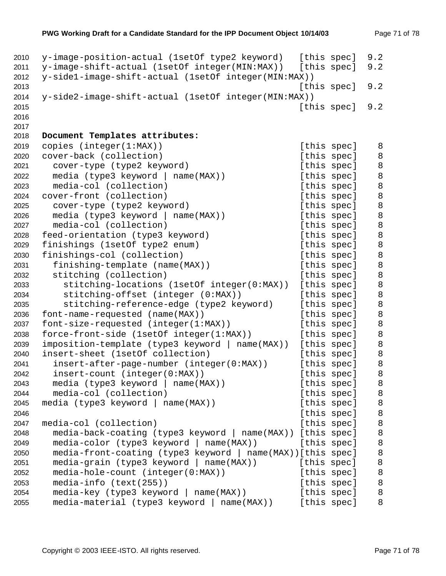```
2010 y-image-position-actual (1setOf type2 keyword) [this spec] 9.2
2011 y-image-shift-actual (1setOf integer(MIN:MAX)) [this spec] 9.2
2012 y-side1-image-shift-actual (1setOf integer(MIN:MAX))
2013 [this spec] 9.2
2014 y-side2-image-shift-actual (1setOf integer(MIN:MAX))
2015 [this spec] 9.2
2016
2017
2018 Document Templates attributes:
2019 copies (integer(1:MAX)) (this spec] 8
2020 cover-back (collection) [this spec] 8
2021 cover-type (type2 keyword) [this spec] 8
2022 media (type3 keyword | name(MAX)) [this spec] 8
2023 media-col (collection) [this spec] 8
2024 cover-front (collection) and this spec] 8
2025 cover-type (type2 keyword) [this spec] 8
2026 media (type3 keyword | name(MAX)) [this spec] 8
2027 media-col (collection) and this specles in the specific specified and [this spec] 8
2028 feed-orientation (type3 keyword) [this spec] 8
2029 finishings (1setOf type2 enum) [this spec] 8
2030 finishings-col (collection) [this spec] 8
2031 finishing-template (name(MAX)) [this spec] 8
2032 stitching (collection) [this spec] 8
2033 stitching-locations (1setOf integer(0:MAX)) [this spec] 8
2034 stitching-offset (integer (0:MAX)) [this spec] 8
2035 stitching-reference-edge (type2 keyword) [this spec] 8
2036 font-name-requested (name(MAX)) [this spec] 8
2037 font-size-requested (integer(1:MAX)) [this spec] 8
2038 force-front-side (1setOf integer(1:MAX)) [this spec] 8
2039 imposition-template (type3 keyword | name(MAX)) [this spec] 8
2040 insert-sheet (1setOf collection) [this spec] 8
2041 insert-after-page-number (integer(0:MAX)) [this spec] 8
2042 insert-count (integer(0:MAX)) [this spec] 8
2043 media (type3 keyword | name(MAX)) [this spec] 8
2044 media-col (collection) [this spec] 8
2045 media (type3 keyword | name(MAX)) [this spec] 8
2046 Example 2016 Example 2046 Example 2046 Example 2046 Example 2046
2047 media-col (collection) [this spec] 8
2048 media-back-coating (type3 keyword | name(MAX)) [this spec] 8
2049 media-color (type3 keyword | name(MAX)) [this spec] 8
2050 media-front-coating (type3 keyword | name(MAX))[this spec] 8
2051 media-grain (type3 keyword | name(MAX)) [this spec] 8
2052 media-hole-count (integer(0:MAX)) [this spec] 8
2053 media-info (text(255)) [this spec] 8
2054 media-key (type3 keyword | name(MAX)) [this spec] 8
2055 media-material (type3 keyword | name(MAX)) [this spec] 8
```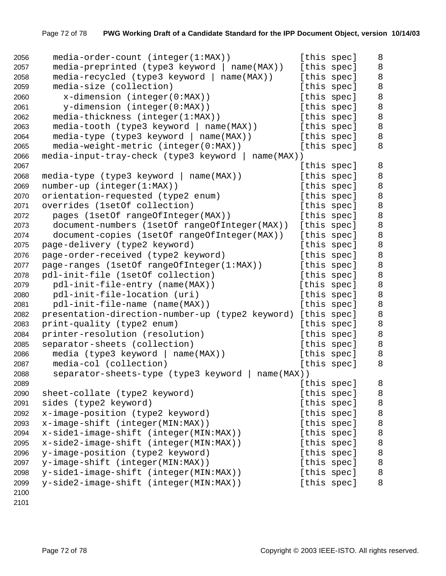| 2056 | media-order-count (integer(1:MAX))                      | [this spec] |             | 8       |
|------|---------------------------------------------------------|-------------|-------------|---------|
| 2057 | media-preprinted (type3 keyword   name(MAX))            | [this spec] |             | 8       |
| 2058 | $media-recycled$ (type3 keyword   name(MAX))            |             | [this spec] | $\,8\,$ |
| 2059 | media-size (collection)                                 | [this spec] |             | 8       |
| 2060 | $x$ -dimension (integer(0:MAX))                         | [this spec] |             | 8       |
| 2061 | y-dimension (integer(0:MAX))                            | [this spec] |             | 8       |
| 2062 | media-thickness (integer(1:MAX))                        | [this spec] |             | 8       |
| 2063 | $median-tooth$ (type3 keyword   name(MAX))              | [this spec] |             | 8       |
| 2064 | media-type (type3 keyword   name(MAX))                  |             | [this spec] | 8       |
| 2065 | media-weight-metric (integer(0:MAX))                    | [this spec] |             | 8       |
| 2066 | media-input-tray-check (type3 keyword   name(MAX))      |             |             |         |
| 2067 |                                                         | [this spec] |             | 8       |
| 2068 | $media-type (type3 keyword   name(MAX))$                | [this spec] |             | 8       |
| 2069 | number-up (integer(1:MAX))                              |             | [this spec] | 8       |
| 2070 | orientation-requested (type2 enum)                      | [this spec] |             | 8       |
| 2071 | overrides (1setOf collection)                           | [this spec] |             | $\,8\,$ |
| 2072 | pages (1setOf rangeOfInteger(MAX))                      | [this spec] |             | 8       |
| 2073 | document-numbers (1setOf rangeOfInteger(MAX))           | [this spec] |             | 8       |
| 2074 | document-copies (1setOf rangeOfInteger(MAX))            | [this spec] |             | 8       |
| 2075 | page-delivery (type2 keyword)                           | [this spec] |             | $\,8\,$ |
| 2076 | page-order-received (type2 keyword)                     |             | [this spec] | 8       |
| 2077 | page-ranges (1setOf rangeOfInteger(1:MAX))              | [this spec] |             | 8       |
| 2078 | pdl-init-file (1setOf collection)                       | [this spec] |             | 8       |
| 2079 | pdl-init-file-entry (name(MAX))                         | [this spec] |             | $\, 8$  |
| 2080 | pdl-init-file-location (uri)                            | [this spec] |             | 8       |
| 2081 | pdl-init-file-name (name(MAX))                          | [this spec] |             | 8       |
| 2082 | presentation-direction-number-up (type2 keyword)        | [this spec] |             | 8       |
| 2083 | print-quality (type2 enum)                              | [this spec] |             | $\, 8$  |
| 2084 | printer-resolution (resolution)                         |             | [this spec] | 8       |
| 2085 | separator-sheets (collection)                           |             | [this spec] | 8       |
| 2086 | media (type3 keyword   name(MAX))                       | [this spec] |             | 8       |
| 2087 | media-col (collection)                                  | [this spec] |             | 8       |
| 2088 | separator-sheets-type (type3 keyword  <br>$name(MAX)$ ) |             |             |         |
| 2089 |                                                         | [this spec] |             | 8       |
| 2090 | sheet-collate (type2 keyword)                           | [this spec] |             | 8       |
| 2091 | sides (type2 keyword)                                   | [this spec] |             | 8       |
| 2092 | x-image-position (type2 keyword)                        | [this spec] |             | 8       |
| 2093 | x-image-shift (integer(MIN:MAX))                        | [this spec] |             | 8       |
| 2094 | x-side1-image-shift (integer(MIN:MAX))                  | [this spec] |             | 8       |
| 2095 | x-side2-image-shift (integer(MIN:MAX))                  | [this spec] |             | 8       |
| 2096 | y-image-position (type2 keyword)                        | [this spec] |             | 8       |
| 2097 | y-image-shift (integer(MIN:MAX))                        | [this spec] |             | 8       |
| 2098 | y-sidel-image-shift (integer(MIN:MAX))                  | [this spec] |             | 8       |
| 2099 | y-side2-image-shift (integer(MIN:MAX))                  | [this spec] |             | 8       |
| 2100 |                                                         |             |             |         |

```
2101
```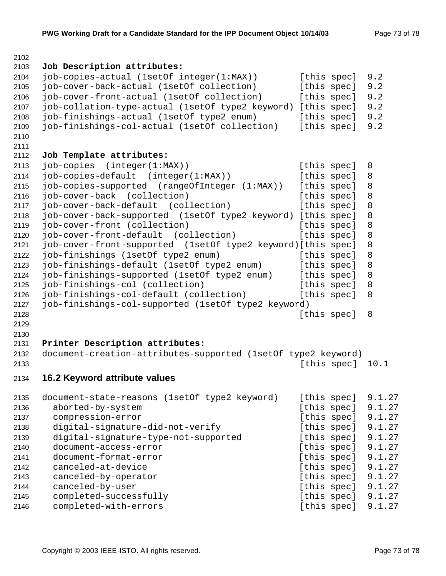```
2103 Job Description attributes:
2104 job-copies-actual (1setOf integer(1:MAX)) [this spec] 9.2
2105 job-cover-back-actual (1setOf collection) [this spec] 9.2
2106 job-cover-front-actual (1setOf collection) [this spec] 9.2
2107 job-collation-type-actual (1setOf type2 keyword) [this spec] 9.2
2108 job-finishings-actual (1setOf type2 enum) [this spec] 9.2
2109 job-finishings-col-actual (1setOf collection) [this spec] 9.2
2110
2111
2112 Job Template attributes:
2113 job-copies (integer(1:MAX)) [this spec] 8
2114 job-copies-default (integer(1:MAX)) [this spec] 8
2115 job-copies-supported (rangeOfInteger (1:MAX)) [this spec] 8
2116 job-cover-back (collection) [this spec] 8
2117 job-cover-back-default (collection) [this spec] 8
2118 job-cover-back-supported (1setOf type2 keyword) [this spec] 8
2119 job-cover-front (collection) [this spec] 8
2120 job-cover-front-default (collection) [this spec] 8
2121 job-cover-front-supported (1setOf type2 keyword)[this spec] 8
2122 job-finishings (1setOf type2 enum) [this spec] 8
2123 job-finishings-default (1setOf type2 enum) [this spec] 8
2124 job-finishings-supported (1setOf type2 enum) [this spec] 8
2125 job-finishings-col (collection) [this spec] 8
2126 job-finishings-col-default (collection) [this spec] 8
2127 job-finishings-col-supported (1setOf type2 keyword)
2128 Example 2128 Example 2128 Example 2128 Example 2128 Example 2128
2129
2130
2131 Printer Description attributes:
2132 document-creation-attributes-supported (1setOf type2 keyword)
2133 [this spec] 10.1
2134 16.2 Keyword attribute values
2135 document-state-reasons (1setOf type2 keyword) [this spec] 9.1.27
2136 aborted-by-system [this spec] 9.1.27
2137 compression-error but a compression-error compression-error compression-error
2138 digital-signature-did-not-verify [this spec] 9.1.27
2139 digital-signature-type-not-supported [this spec] 9.1.27
2140 document-access-error [this spec] 9.1.27
2141 document-format-error [this spec] 9.1.27
2142 canceled-at-device a example this spec] 9.1.27
2143 canceled-by-operator [this spec] 9.1.27
2144 canceled-by-user a constant the control control canceled-by-user
2145 completed-successfully [this spec] 9.1.27
2146 completed-with-errors [this spec] 9.1.27
```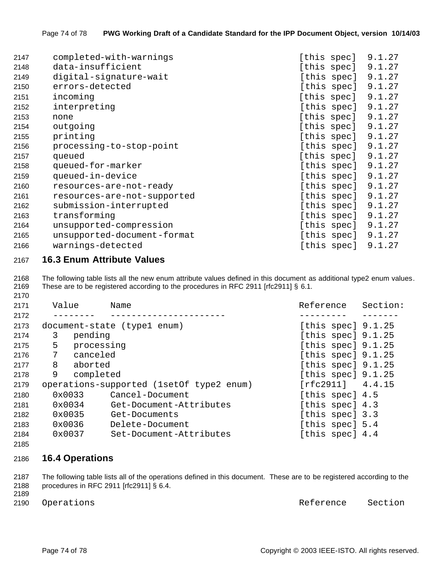| 2147 | completed-with-warnings     | [this spec] |             | 9.1.27 |
|------|-----------------------------|-------------|-------------|--------|
| 2148 | data-insufficient           |             | [this spec] | 9.1.27 |
| 2149 | digital-signature-wait      |             | [this spec] | 9.1.27 |
| 2150 | errors-detected             |             | [this spec] | 9.1.27 |
| 2151 | incoming                    |             | [this spec] | 9.1.27 |
| 2152 | interpreting                |             | [this spec] | 9.1.27 |
| 2153 | none                        |             | [this spec] | 9.1.27 |
| 2154 | outgoing                    |             | [this spec] | 9.1.27 |
| 2155 | printing                    |             | [this spec] | 9.1.27 |
| 2156 | processing-to-stop-point    |             | [this spec] | 9.1.27 |
| 2157 | queued                      |             | [this spec] | 9.1.27 |
| 2158 | queued-for-marker           |             | [this spec] | 9.1.27 |
| 2159 | queued-in-device            |             | [this spec] | 9.1.27 |
| 2160 | resources-are-not-ready     |             | [this spec] | 9.1.27 |
| 2161 | resources-are-not-supported |             | [this spec] | 9.1.27 |
| 2162 | submission-interrupted      |             | [this spec] | 9.1.27 |
| 2163 | transforming                |             | [this spec] | 9.1.27 |
| 2164 | unsupported-compression     |             | [this spec] | 9.1.27 |
| 2165 | unsupported-document-format |             | [this spec] | 9.1.27 |
| 2166 | warnings-detected           |             | [this spec] | 9.1.27 |
|      |                             |             |             |        |

## **16.3 Enum Attribute Values**

 The following table lists all the new enum attribute values defined in this document as additional type2 enum values. These are to be registered according to the procedures in RFC 2911 [rfc2911] § 6.1.

| 2171 | Value         | Name                                     | Reference            | Section: |
|------|---------------|------------------------------------------|----------------------|----------|
| 2172 |               |                                          |                      |          |
| 2173 |               | document-state (type1 enum)              | [this spec] $9.1.25$ |          |
| 2174 | pending<br>3  |                                          | [this spec] $9.1.25$ |          |
| 2175 | 5             | processing                               | [this spec] $9.1.25$ |          |
| 2176 | 7<br>canceled |                                          | [this spec] $9.1.25$ |          |
| 2177 | 8<br>aborted  |                                          | [this spec] $9.1.25$ |          |
| 2178 | 9             | completed                                | [this spec] $9.1.25$ |          |
| 2179 |               | operations-supported (1setOf type2 enum) | $[rfc2911]$ 4.4.15   |          |
| 2180 | 0x0033        | Cancel-Document                          | [this spec] 4.5      |          |
| 2181 | 0x0034        | Get-Document-Attributes                  | [this spec] 4.3      |          |
| 2182 | 0x0035        | Get-Documents                            | [this spec] 3.3      |          |
| 2183 | 0x0036        | Delete-Document                          | [this spec] 5.4      |          |
| 2184 | 0x0037        | Set-Document-Attributes                  | [this spec] 4.4      |          |

## 

# **16.4 Operations**

 The following table lists all of the operations defined in this document. These are to be registered according to the procedures in RFC 2911 [rfc2911] § 6.4.

2190 Operations and the section of the Reference Section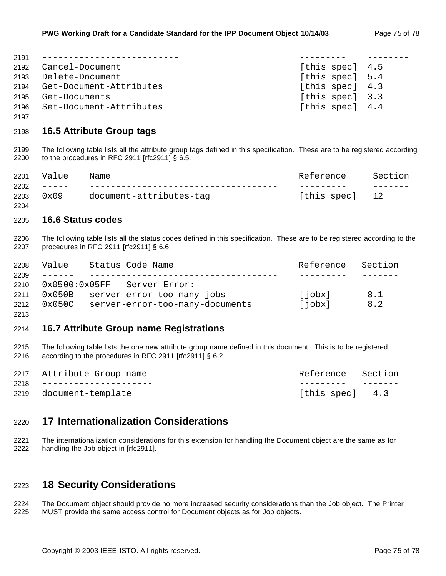| 2191 |                              |                 |  |
|------|------------------------------|-----------------|--|
| 2192 | Cancel-Document              | [this spec] 4.5 |  |
|      | 2193 Delete-Document         | [this spec] 5.4 |  |
|      | 2194 Get-Document-Attributes | [this spec] 4.3 |  |
| 2195 | Get-Documents                | [this spec] 3.3 |  |
| 2196 | Set-Document-Attributes      | [this spec] 4.4 |  |

## **16.5 Attribute Group tags**

 The following table lists all the attribute group tags defined in this specification. These are to be registered according to the procedures in RFC 2911 [rfc2911] § 6.5.

| 2201 | Value   | Name                    | Reference      | Section |
|------|---------|-------------------------|----------------|---------|
| 2202 | _______ |                         |                |         |
| 2203 | 0x09    | document-attributes-taq | [this spec] 12 |         |
| 2204 |         |                         |                |         |

## **16.6 Status codes**

 The following table lists all the status codes defined in this specification. These are to be registered according to the procedures in RFC 2911 [rfc2911] § 6.6.

| Value           |  | Reference Section                                                                                                            |     |
|-----------------|--|------------------------------------------------------------------------------------------------------------------------------|-----|
| $- - - - - - -$ |  |                                                                                                                              |     |
|                 |  |                                                                                                                              |     |
|                 |  | [jobx]                                                                                                                       | 8.1 |
| 0x050C          |  | [jobx]                                                                                                                       | 8.2 |
|                 |  | Status Code Name<br>$0x0500:0x05FF - Server Error$ :<br>0x050B server-error-too-many-jobs<br>server-error-too-many-documents |     |

## 

## **16.7 Attribute Group name Registrations**

 The following table lists the one new attribute group name defined in this document. This is to be registered according to the procedures in RFC 2911 [rfc2911] § 6.2.

| 2217 Attribute Group name  | Reference Section |  |
|----------------------------|-------------------|--|
| 2218 --------------------- |                   |  |
| 2219 document-template     | [this spec] 4.3   |  |

# **17 Internationalization Considerations**

2221 The internationalization considerations for this extension for handling the Document object are the same as for<br>2222 handling the Job object in [rfc2911]. handling the Job object in [rfc2911].

# **18 Security Considerations**

 The Document object should provide no more increased security considerations than the Job object. The Printer MUST provide the same access control for Document objects as for Job objects.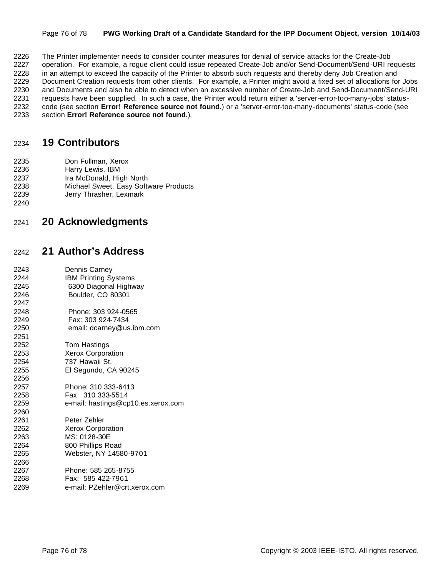### Page 76 of 78 **PWG Working Draft of a Candidate Standard for the IPP Document Object, version 10/14/03**

2226 The Printer implementer needs to consider counter measures for denial of service attacks for the Create-Job<br>2227 operation. For example, a rogue client could issue repeated Create-Job and/or Send-Document/Send-URI re operation. For example, a rogue client could issue repeated Create-Job and/or Send-Document/Send-URI requests 2228 in an attempt to exceed the capacity of the Printer to absorb such requests and thereby deny Job Creation and Document Creation requests from other clients. For example, a Printer might avoid a fixed set of allocations for Jobs and Documents and also be able to detect when an excessive number of Create-Job and Send-Document/Send-URI 2231 requests have been supplied. In such a case, the Printer would return either a 'server-error-too-many-jobs' status- code (see section **Error! Reference source not found.**) or a 'server-error-too-many-documents' status-code (see section **Error! Reference source not found.**).

# **19 Contributors**

- Don Fullman, Xerox
- Harry Lewis, IBM
- Ira McDonald, High North
- Michael Sweet, Easy Software Products
- Jerry Thrasher, Lexmark
- 

# **20 Acknowledgments**

# **21 Author's Address**

 Dennis Carney IBM Printing Systems 6300 Diagonal Highway Boulder, CO 80301 Phone: 303 924-0565 Fax: 303 924-7434 email: dcarney@us.ibm.com Tom Hastings Xerox Corporation 737 Hawaii St. El Segundo, CA 90245 Phone: 310 333-6413 Fax: 310 333-5514 e-mail: hastings@cp10.es.xerox.com Peter Zehler Xerox Corporation MS: 0128-30E 800 Phillips Road Webster, NY 14580-9701 Phone: 585 265-8755 Fax: 585 422-7961 e-mail: PZehler@crt.xerox.com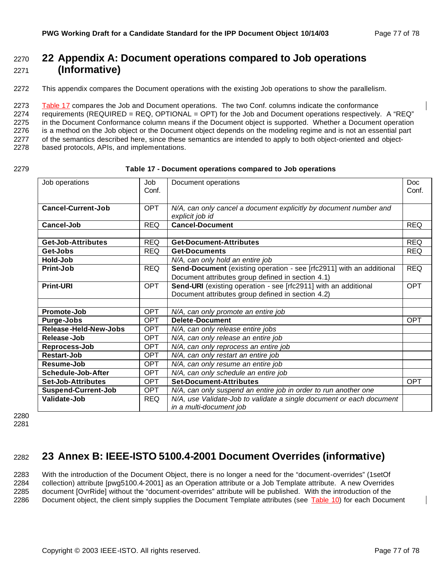# <sup>2270</sup> **22 Appendix A: Document operations compared to Job operations**  <sup>2271</sup> **(Informative)**

2272 This appendix compares the Document operations with the existing Job operations to show the parallelism.

 Table 17 compares the Job and Document operations. The two Conf. columns indicate the conformance 2274 requirements (REQUIRED = REQ, OPTIONAL = OPT) for the Job and Document operations respectively. A "REQ" in the Document Conformance column means if the Document object is supported. Whether a Document operation is a method on the Job object or the Document object depends on the modeling regime and is not an essential part 2277 of the semantics described here, since these semantics are intended to apply to both object-oriented and object-based protocols, APIs, and implementations.

#### 2279 **Table 17 - Document operations compared to Job operations**

| Job operations                                                                                     | Job<br>Conf. | Document operations                                                  | Doc<br>Conf. |
|----------------------------------------------------------------------------------------------------|--------------|----------------------------------------------------------------------|--------------|
|                                                                                                    |              |                                                                      |              |
| <b>Cancel-Current-Job</b>                                                                          | <b>OPT</b>   | N/A, can only cancel a document explicitly by document number and    |              |
|                                                                                                    |              | explicit job id                                                      |              |
| Cancel-Job                                                                                         | <b>REQ</b>   | <b>Cancel-Document</b>                                               | <b>REQ</b>   |
|                                                                                                    |              |                                                                      |              |
| <b>Get-Job-Attributes</b>                                                                          | <b>REQ</b>   | <b>Get-Document-Attributes</b>                                       | <b>REQ</b>   |
| Get-Jobs                                                                                           | <b>REQ</b>   | <b>Get-Documents</b>                                                 | <b>REQ</b>   |
| Hold-Job                                                                                           |              | N/A, can only hold an entire job                                     |              |
| Print-Job                                                                                          | <b>REQ</b>   | Send-Document (existing operation - see [rfc2911] with an additional | <b>REQ</b>   |
|                                                                                                    |              | Document attributes group defined in section 4.1)                    |              |
| <b>Print-URI</b>                                                                                   | <b>OPT</b>   | Send-URI (existing operation - see [rfc2911] with an additional      | <b>OPT</b>   |
|                                                                                                    |              | Document attributes group defined in section 4.2)                    |              |
|                                                                                                    |              |                                                                      |              |
| Promote-Job                                                                                        | <b>OPT</b>   | N/A, can only promote an entire job                                  |              |
| Purge-Jobs                                                                                         | <b>OPT</b>   | <b>Delete-Document</b>                                               | <b>OPT</b>   |
| <b>Release-Held-New-Jobs</b>                                                                       | <b>OPT</b>   | N/A, can only release entire jobs                                    |              |
| Release-Job                                                                                        | <b>OPT</b>   | N/A, can only release an entire job                                  |              |
| Reprocess-Job                                                                                      | <b>OPT</b>   | N/A, can only reprocess an entire job                                |              |
| Restart-Job                                                                                        | <b>OPT</b>   | N/A, can only restart an entire job                                  |              |
| Resume-Job                                                                                         | <b>OPT</b>   | N/A, can only resume an entire job                                   |              |
| Schedule-Job-After                                                                                 | <b>OPT</b>   | N/A, can only schedule an entire job                                 |              |
| <b>Set-Job-Attributes</b>                                                                          | <b>OPT</b>   | <b>Set-Document-Attributes</b>                                       | <b>OPT</b>   |
| <b>Suspend-Current-Job</b>                                                                         | <b>OPT</b>   | N/A, can only suspend an entire job in order to run another one      |              |
| N/A, use Validate-Job to validate a single document or each document<br>Validate-Job<br><b>REQ</b> |              |                                                                      |              |
|                                                                                                    |              | in a multi-document job                                              |              |

2280

2281

# <sup>2282</sup> **23 Annex B: IEEE-ISTO 5100.4-2001 Document Overrides (informative)**

 With the introduction of the Document Object, there is no longer a need for the "document-overrides" (1setOf collection) attribute [pwg5100.4-2001] as an Operation attribute or a Job Template attribute. A new Overrides document [OvrRide] without the "document-overrides" attribute will be published. With the introduction of the 2286 Document object, the client simply supplies the Document Template attributes (see Table 10) for each Document